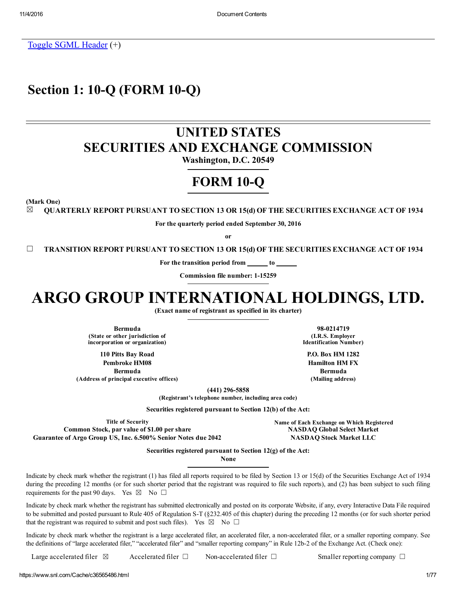Toggle SGML Header (+)

## Section 1: 10-Q (FORM 10-Q)

# UNITED STATES SECURITIES AND EXCHANGE COMMISSION

Washington, D.C. 20549

## **FORM 10-O**

(Mark One)

 $\boxtimes$  QUARTERLY REPORT PURSUANT TO SECTION 13 OR 15(d) OF THE SECURITIES EXCHANGE ACT OF 1934

For the quarterly period ended September 30, 2016

or

 $\Box$  TRANSITION REPORT PURSUANT TO SECTION 13 OR 15(d) OF THE SECURITIES EXCHANGE ACT OF 1934

For the transition period from \_\_\_\_\_\_\_ to \_

Commission file number: 1-15259

# ARGO GROUP INTERNATIONAL HOLDINGS, LTD.

(Exact name of registrant as specified in its charter)

Bermuda 98-0214719 (State or other jurisdiction of incorporation or organization)

110 Pitts Bay Road Pembroke HM08 Bermuda

(I.R.S. Employer Identification Number)

P.O. Box HM 1282 Hamilton HM FX Bermuda (Address of principal executive offices) (Mailing address)

 $(441)$  296-5858

(Registrant's telephone number, including area code)

Securities registered pursuant to Section 12(b) of the Act:

Common Stock, par value of \$1.00 per share NASDAQ Global Select Market Guarantee of Argo Group US, Inc. 6.500% Senior Notes due 2042 NASDAQ Stock Market LLC

Title of Security Name of Each Exchange on Which Registered

Securities registered pursuant to Section 12(g) of the Act:

None

Indicate by check mark whether the registrant (1) has filed all reports required to be filed by Section 13 or 15(d) of the Securities Exchange Act of 1934 during the preceding 12 months (or for such shorter period that the registrant was required to file such reports), and (2) has been subject to such filing requirements for the past 90 days. Yes  $\boxtimes$  No  $\Box$ 

Indicate by check mark whether the registrant has submitted electronically and posted on its corporate Website, if any, every Interactive Data File required to be submitted and posted pursuant to Rule 405 of Regulation S-T (§232.405 of this chapter) during the preceding 12 months (or for such shorter period that the registrant was required to submit and post such files). Yes  $\boxtimes$  No  $\Box$ 

Indicate by check mark whether the registrant is a large accelerated filer, an accelerated filer, a non-accelerated filer, or a smaller reporting company. See the definitions of "large accelerated filer," "accelerated filer" and "smaller reporting company" in Rule 12b-2 of the Exchange Act. (Check one):

Large accelerated filer  $\boxtimes$  Accelerated filer  $\Box$  Non-accelerated filer  $\Box$  Smaller reporting company  $\Box$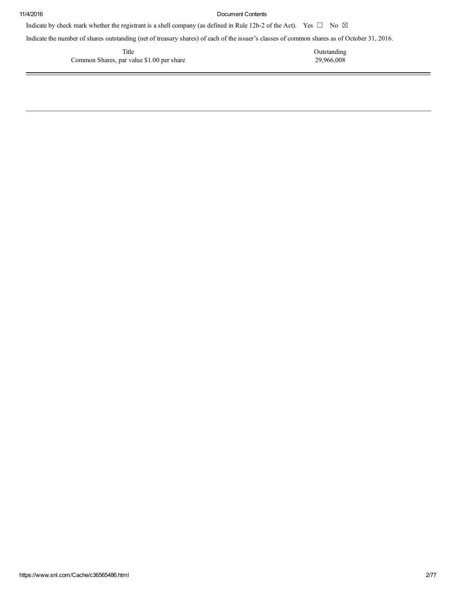Indicate by check mark whether the registrant is a shell company (as defined in Rule 12b-2 of the Act). Yes  $\Box$  No  $\boxtimes$ 

Indicate the number of shares outstanding (net of treasury shares) of each of the issuer's classes of common shares as of October 31, 2016.

Title Outstanding<br>ar value \$1.00 per share 29,966,008 Common Shares, par value \$1.00 per share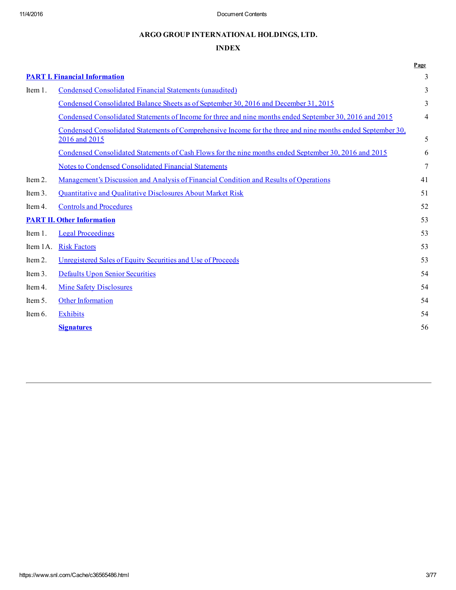## ARGO GROUP INTERNATIONAL HOLDINGS, LTD.

## INDEX

|          |                                                                                                                                     | Page |
|----------|-------------------------------------------------------------------------------------------------------------------------------------|------|
|          | <b>PART I. Financial Information</b>                                                                                                | 3    |
| Item 1.  | <b>Condensed Consolidated Financial Statements (unaudited)</b>                                                                      | 3    |
|          | <u>Condensed Consolidated Balance Sheets as of September 30, 2016 and December 31, 2015</u>                                         | 3    |
|          | Condensed Consolidated Statements of Income for three and nine months ended September 30, 2016 and 2015                             | 4    |
|          | <u>Condensed Consolidated Statements of Comprehensive Income for the three and nine months ended September 30,</u><br>2016 and 2015 | 5    |
|          | Condensed Consolidated Statements of Cash Flows for the nine months ended September 30, 2016 and 2015                               | 6    |
|          | <b>Notes to Condensed Consolidated Financial Statements</b>                                                                         | 7    |
| Item 2.  | Management's Discussion and Analysis of Financial Condition and Results of Operations                                               | 41   |
| Item 3.  | Quantitative and Qualitative Disclosures About Market Risk                                                                          | 51   |
| Item 4.  | <b>Controls and Procedures</b>                                                                                                      | 52   |
|          | <b>PART II. Other Information</b>                                                                                                   | 53   |
| Item 1.  | <b>Legal Proceedings</b>                                                                                                            | 53   |
| Item 1A. | <b>Risk Factors</b>                                                                                                                 | 53   |
| Item 2.  | Unregistered Sales of Equity Securities and Use of Proceeds                                                                         | 53   |
| Item 3.  | <b>Defaults Upon Senior Securities</b>                                                                                              | 54   |
| Item 4.  | <b>Mine Safety Disclosures</b>                                                                                                      | 54   |
| Item 5.  | <b>Other Information</b>                                                                                                            | 54   |
| Item 6.  | <b>Exhibits</b>                                                                                                                     | 54   |
|          | <b>Signatures</b>                                                                                                                   | 56   |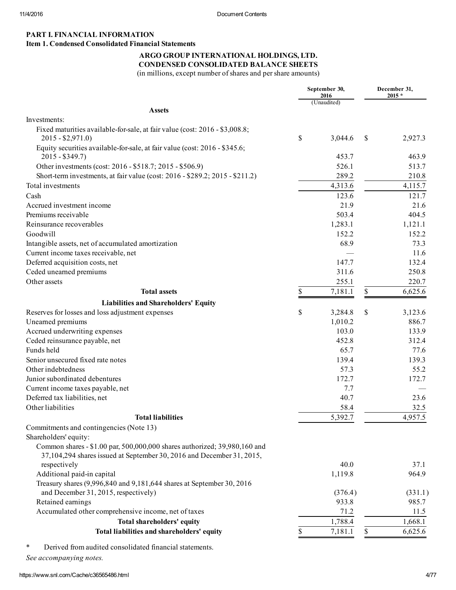## <span id="page-3-1"></span><span id="page-3-0"></span>PART I. FINANCIAL INFORMATION Item 1. Condensed Consolidated Financial Statements

## ARGO GROUP INTERNATIONAL HOLDINGS, LTD.

## CONDENSED CONSOLIDATED BALANCE SHEETS

(in millions, except number of shares and per share amounts)

<span id="page-3-2"></span>

|                                                                              | September 30,<br>2016 |             | December 31,<br>$2015 *$ |                  |  |
|------------------------------------------------------------------------------|-----------------------|-------------|--------------------------|------------------|--|
|                                                                              |                       | (Unaudited) |                          |                  |  |
| <b>Assets</b>                                                                |                       |             |                          |                  |  |
| Investments:                                                                 |                       |             |                          |                  |  |
| Fixed maturities available-for-sale, at fair value (cost: 2016 - \$3,008.8;  |                       |             |                          |                  |  |
| $2015 - $2,971.0$                                                            | \$                    | 3,044.6     | S                        | 2,927.3          |  |
| Equity securities available-for-sale, at fair value (cost: 2016 - \$345.6;   |                       |             |                          |                  |  |
| $2015 - $349.7$                                                              |                       | 453.7       |                          | 463.9            |  |
| Other investments (cost: 2016 - \$518.7; 2015 - \$506.9)                     |                       | 526.1       |                          | 513.7            |  |
| Short-term investments, at fair value (cost: 2016 - \$289.2; 2015 - \$211.2) |                       | 289.2       |                          | 210.8            |  |
| Total investments                                                            |                       | 4,313.6     |                          | 4,115.7          |  |
| Cash                                                                         |                       | 123.6       |                          | 121.7            |  |
| Accrued investment income                                                    |                       | 21.9        |                          | 21.6             |  |
| Premiums receivable                                                          |                       | 503.4       |                          | 404.5            |  |
| Reinsurance recoverables                                                     |                       | 1,283.1     |                          | 1,121.1          |  |
| Goodwill                                                                     |                       | 152.2       |                          | 152.2            |  |
| Intangible assets, net of accumulated amortization                           |                       | 68.9        |                          | 73.3             |  |
| Current income taxes receivable, net                                         |                       |             |                          | 11.6             |  |
| Deferred acquisition costs, net                                              |                       | 147.7       |                          | 132.4            |  |
| Ceded unearned premiums                                                      |                       | 311.6       |                          | 250.8            |  |
| Other assets                                                                 |                       | 255.1       |                          | 220.7            |  |
| <b>Total assets</b>                                                          | \$                    | 7,181.1     | \$                       | 6,625.6          |  |
| <b>Liabilities and Shareholders' Equity</b>                                  |                       |             |                          |                  |  |
|                                                                              | \$                    |             |                          |                  |  |
| Reserves for losses and loss adjustment expenses                             |                       | 3,284.8     | \$                       | 3,123.6<br>886.7 |  |
| Unearned premiums                                                            |                       | 1,010.2     |                          |                  |  |
| Accrued underwriting expenses                                                |                       | 103.0       |                          | 133.9            |  |
| Ceded reinsurance payable, net                                               |                       | 452.8       |                          | 312.4            |  |
| Funds held                                                                   |                       | 65.7        |                          | 77.6             |  |
| Senior unsecured fixed rate notes                                            |                       | 139.4       |                          | 139.3            |  |
| Other indebtedness                                                           |                       | 57.3        |                          | 55.2             |  |
| Junior subordinated debentures                                               |                       | 172.7       |                          | 172.7            |  |
| Current income taxes payable, net                                            |                       | 7.7         |                          |                  |  |
| Deferred tax liabilities, net                                                |                       | 40.7        |                          | 23.6             |  |
| Other liabilities                                                            |                       | 58.4        |                          | 32.5             |  |
| <b>Total liabilities</b>                                                     |                       | 5,392.7     |                          | 4,957.5          |  |
| Commitments and contingencies (Note 13)                                      |                       |             |                          |                  |  |
| Shareholders' equity:                                                        |                       |             |                          |                  |  |
| Common shares - \$1.00 par, 500,000,000 shares authorized; 39,980,160 and    |                       |             |                          |                  |  |
| 37,104,294 shares issued at September 30, 2016 and December 31, 2015,        |                       |             |                          |                  |  |
| respectively                                                                 |                       | 40.0        |                          | 37.1             |  |
| Additional paid-in capital                                                   |                       | 1,119.8     |                          | 964.9            |  |
| Treasury shares (9,996,840 and 9,181,644 shares at September 30, 2016        |                       |             |                          |                  |  |
| and December 31, 2015, respectively)                                         |                       | (376.4)     |                          | (331.1)          |  |
| Retained earnings                                                            |                       | 933.8       |                          | 985.7            |  |
| Accumulated other comprehensive income, net of taxes                         |                       | 71.2        |                          | 11.5             |  |
| Total shareholders' equity                                                   |                       | 1,788.4     |                          | 1,668.1          |  |
| Total liabilities and shareholders' equity                                   | \$                    | 7,181.1     | \$                       | 6,625.6          |  |
|                                                                              |                       |             |                          |                  |  |

\* Derived from audited consolidated financial statements.

*See accompanying notes.*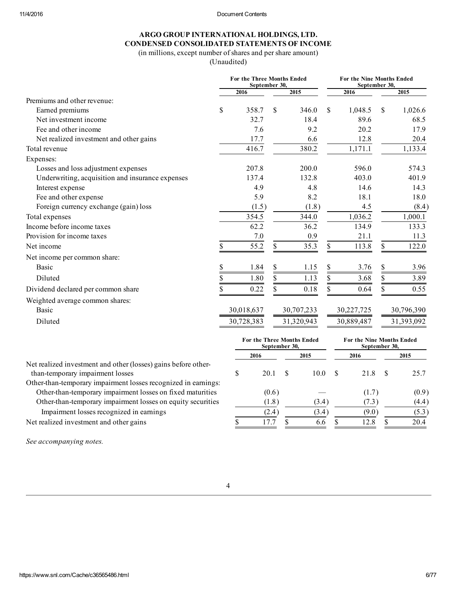## ARGO GROUP INTERNATIONAL HOLDINGS, LTD. CONDENSED CONSOLIDATED STATEMENTS OF INCOME

(in millions, except number of shares and per share amount)

(Unaudited)

<span id="page-5-0"></span>

|                                                  | For the Three Months Ended<br>September 30, |            |    |            |    | For the Nine Months Ended<br>September 30, |    |            |
|--------------------------------------------------|---------------------------------------------|------------|----|------------|----|--------------------------------------------|----|------------|
|                                                  |                                             | 2016       |    | 2015       |    | 2016                                       |    | 2015       |
| Premiums and other revenue:                      |                                             |            |    |            |    |                                            |    |            |
| Earned premiums                                  | \$                                          | 358.7      | \$ | 346.0      | \$ | 1,048.5                                    | \$ | 1,026.6    |
| Net investment income                            |                                             | 32.7       |    | 18.4       |    | 89.6                                       |    | 68.5       |
| Fee and other income                             |                                             | 7.6        |    | 9.2        |    | 20.2                                       |    | 17.9       |
| Net realized investment and other gains          |                                             | 17.7       |    | 6.6        |    | 12.8                                       |    | 20.4       |
| Total revenue                                    |                                             | 416.7      |    | 380.2      |    | 1,171.1                                    |    | 1,133.4    |
| Expenses:                                        |                                             |            |    |            |    |                                            |    |            |
| Losses and loss adjustment expenses              |                                             | 207.8      |    | 200.0      |    | 596.0                                      |    | 574.3      |
| Underwriting, acquisition and insurance expenses |                                             | 137.4      |    | 132.8      |    | 403.0                                      |    | 401.9      |
| Interest expense                                 |                                             | 4.9        |    | 4.8        |    | 14.6                                       |    | 14.3       |
| Fee and other expense                            |                                             | 5.9        |    | 8.2        |    | 18.1                                       |    | 18.0       |
| Foreign currency exchange (gain) loss            |                                             | (1.5)      |    | (1.8)      |    | 4.5                                        |    | (8.4)      |
| Total expenses                                   |                                             | 354.5      |    | 344.0      |    | 1,036.2                                    |    | 1,000.1    |
| Income before income taxes                       |                                             | 62.2       |    | 36.2       |    | 134.9                                      |    | 133.3      |
| Provision for income taxes                       |                                             | 7.0        |    | 0.9        |    | 21.1                                       |    | 11.3       |
| Net income                                       | S.                                          | 55.2       | \$ | 35.3       | \$ | 113.8                                      | \$ | 122.0      |
| Net income per common share:                     |                                             |            |    |            |    |                                            |    |            |
| <b>Basic</b>                                     | \$                                          | 1.84       | \$ | 1.15       | \$ | 3.76                                       | \$ | 3.96       |
| Diluted                                          |                                             | 1.80       |    | 1.13       | \$ | 3.68                                       |    | 3.89       |
| Dividend declared per common share               |                                             | 0.22       |    | 0.18       |    | 0.64                                       |    | 0.55       |
| Weighted average common shares:                  |                                             |            |    |            |    |                                            |    |            |
| <b>Basic</b>                                     |                                             | 30,018,637 |    | 30,707,233 |    | 30,227,725                                 |    | 30,796,390 |
| Diluted                                          |                                             | 30,728,383 |    | 31,320,943 |    | 30,889,487                                 |    | 31,393,092 |

Net realized investment and other (losses) gains before otherthan-temporary impairment losses \$ 20.1 \$ 10.0 \$ 21.8 \$ 25.7

Other-than-temporary impairment losses recognized in earnings: Other-than-temporary impairment losses on fixed maturities  $(0.6)$  –  $(1.7)$  (0.9) Other-than-temporary impairment losses on equity securities (1.8) (3.4) (7.3) (4.4) Impairment losses recognized in earnings (2.4) (3.4) (9.0) (5.3)

Net realized investment and other gains <br>
\$ 17.7 \$ 6.6 \$ 12.8 \$ 20.4

*See accompanying notes.*

For the Three Months Ended September 30,

For the Nine Months Ended September 30,

2016 2015 2016 2015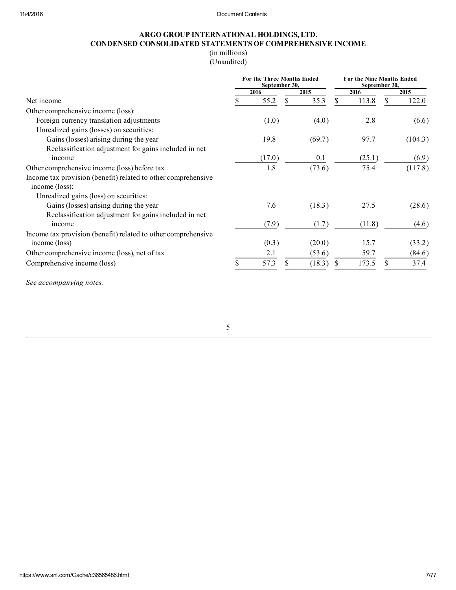## ARGO GROUP INTERNATIONAL HOLDINGS, LTD. CONDENSED CONSOLIDATED STATEMENTS OF COMPREHENSIVE INCOME

(in millions) (Unaudited)

<span id="page-6-0"></span>

|                                                               | For the Three Months Ended<br>September 30, |      |        |      | For the Nine Months Ended<br>September 30, |      |         |
|---------------------------------------------------------------|---------------------------------------------|------|--------|------|--------------------------------------------|------|---------|
|                                                               | 2016                                        | 2015 |        | 2016 |                                            | 2015 |         |
| Net income                                                    | 55.2                                        | S.   | 35.3   |      | 113.8                                      | S.   | 122.0   |
| Other comprehensive income (loss):                            |                                             |      |        |      |                                            |      |         |
| Foreign currency translation adjustments                      | (1.0)                                       |      | (4.0)  |      | 2.8                                        |      | (6.6)   |
| Unrealized gains (losses) on securities:                      |                                             |      |        |      |                                            |      |         |
| Gains (losses) arising during the year                        | 19.8                                        |      | (69.7) |      | 97.7                                       |      | (104.3) |
| Reclassification adjustment for gains included in net         |                                             |      |        |      |                                            |      |         |
| income                                                        | (17.0)                                      |      | 0.1    |      | (25.1)                                     |      | (6.9)   |
| Other comprehensive income (loss) before tax                  | 1.8                                         |      | (73.6) |      | 75.4                                       |      | (117.8) |
| Income tax provision (benefit) related to other comprehensive |                                             |      |        |      |                                            |      |         |
| income (loss):                                                |                                             |      |        |      |                                            |      |         |
| Unrealized gains (loss) on securities:                        |                                             |      |        |      |                                            |      |         |
| Gains (losses) arising during the year                        | 7.6                                         |      | (18.3) |      | 27.5                                       |      | (28.6)  |
| Reclassification adjustment for gains included in net         |                                             |      |        |      |                                            |      |         |
| income                                                        | (7.9)                                       |      | (1.7)  |      | (11.8)                                     |      | (4.6)   |
| Income tax provision (benefit) related to other comprehensive |                                             |      |        |      |                                            |      |         |
| income (loss)                                                 | (0.3)                                       |      | (20.0) |      | 15.7                                       |      | (33.2)  |
| Other comprehensive income (loss), net of tax                 | 2.1                                         |      | (53.6) |      | 59.7                                       |      | (84.6)  |
| Comprehensive income (loss)                                   | 57.3                                        |      | (18.3) |      | 173.5                                      |      | 37.4    |

*See accompanying notes.*

5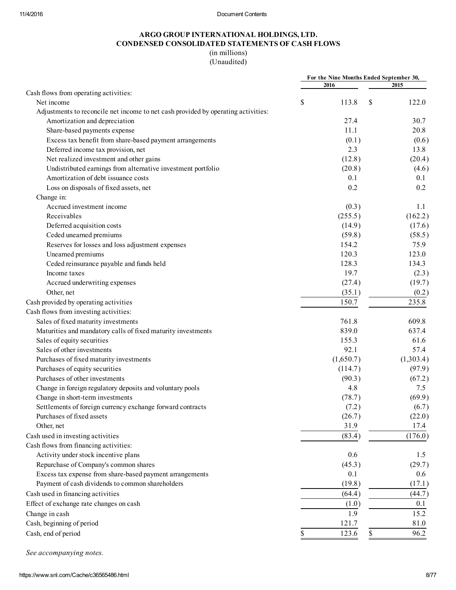#### ARGO GROUP INTERNATIONAL HOLDINGS, LTD. CONDENSED CONSOLIDATED STATEMENTS OF CASH FLOWS (in millions)

(Unaudited)

<span id="page-7-0"></span>

|                                                                                   |    | For the Nine Months Ended September 30, |             |
|-----------------------------------------------------------------------------------|----|-----------------------------------------|-------------|
|                                                                                   |    | 2016                                    | 2015        |
| Cash flows from operating activities:                                             |    |                                         |             |
| Net income                                                                        | \$ | 113.8                                   | \$<br>122.0 |
| Adjustments to reconcile net income to net cash provided by operating activities: |    |                                         |             |
| Amortization and depreciation                                                     |    | 27.4                                    | 30.7        |
| Share-based payments expense                                                      |    | 11.1                                    | 20.8        |
| Excess tax benefit from share-based payment arrangements                          |    | (0.1)                                   | (0.6)       |
| Deferred income tax provision, net                                                |    | 2.3                                     | 13.8        |
| Net realized investment and other gains                                           |    | (12.8)                                  | (20.4)      |
| Undistributed earnings from alternative investment portfolio                      |    | (20.8)                                  | (4.6)       |
| Amortization of debt issuance costs                                               |    | 0.1                                     | 0.1         |
| Loss on disposals of fixed assets, net                                            |    | 0.2                                     | 0.2         |
| Change in:                                                                        |    |                                         |             |
| Accrued investment income                                                         |    | (0.3)                                   | 1.1         |
| Receivables                                                                       |    | (255.5)                                 | (162.2)     |
| Deferred acquisition costs                                                        |    | (14.9)                                  | (17.6)      |
| Ceded unearned premiums                                                           |    | (59.8)                                  | (58.5)      |
| Reserves for losses and loss adjustment expenses                                  |    | 154.2                                   | 75.9        |
| Unearned premiums                                                                 |    | 120.3                                   | 123.0       |
| Ceded reinsurance payable and funds held                                          |    | 128.3                                   | 134.3       |
| Income taxes                                                                      |    | 19.7                                    | (2.3)       |
| Accrued underwriting expenses                                                     |    | (27.4)                                  | (19.7)      |
| Other, net                                                                        |    | (35.1)                                  | (0.2)       |
| Cash provided by operating activities                                             |    | 150.7                                   | 235.8       |
| Cash flows from investing activities:                                             |    |                                         |             |
| Sales of fixed maturity investments                                               |    | 761.8                                   | 609.8       |
| Maturities and mandatory calls of fixed maturity investments                      |    | 839.0                                   | 637.4       |
| Sales of equity securities                                                        |    | 155.3                                   | 61.6        |
| Sales of other investments                                                        |    | 92.1                                    | 57.4        |
| Purchases of fixed maturity investments                                           |    | (1,650.7)                               | (1,303.4)   |
| Purchases of equity securities                                                    |    | (114.7)                                 | (97.9)      |
| Purchases of other investments                                                    |    | (90.3)                                  | (67.2)      |
| Change in foreign regulatory deposits and voluntary pools                         |    | 4.8                                     | 7.5         |
| Change in short-term investments                                                  |    | (78.7)                                  | (69.9)      |
| Settlements of foreign currency exchange forward contracts                        |    | (7.2)                                   | (6.7)       |
| Purchases of fixed assets                                                         |    | (26.7)                                  | (22.0)      |
| Other, net                                                                        |    | 31.9                                    | 17.4        |
| Cash used in investing activities                                                 |    | (83.4)                                  | (176.0)     |
| Cash flows from financing activities:                                             |    |                                         |             |
| Activity under stock incentive plans                                              |    | 0.6                                     | 1.5         |
|                                                                                   |    |                                         |             |
| Repurchase of Company's common shares                                             |    | (45.3)                                  | (29.7)      |
| Excess tax expense from share-based payment arrangements                          |    | 0.1                                     | 0.6         |
| Payment of cash dividends to common shareholders                                  |    | (19.8)                                  | (17.1)      |
| Cash used in financing activities                                                 |    | (64.4)                                  | (44.7)      |
| Effect of exchange rate changes on cash                                           |    | (1.0)                                   | 0.1         |
| Change in cash                                                                    |    | 1.9                                     | 15.2        |
| Cash, beginning of period                                                         |    | 121.7                                   | 81.0        |
| Cash, end of period                                                               | S  | 123.6                                   | \$<br>96.2  |

*See accompanying notes.*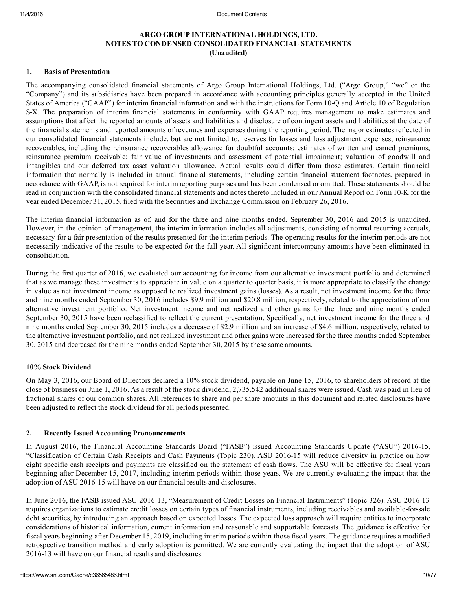#### ARGO GROUP INTERNATIONAL HOLDINGS, LTD. NOTES TO CONDENSED CONSOLIDATED FINANCIAL STATEMENTS (Unaudited)

#### <span id="page-9-0"></span>1. Basis of Presentation

The accompanying consolidated financial statements of Argo Group International Holdings, Ltd. ("Argo Group," "we" or the "Company") and its subsidiaries have been prepared in accordance with accounting principles generally accepted in the United States of America ("GAAP") for interim financial information and with the instructions for Form 10-Q and Article 10 of Regulation S-X. The preparation of interim financial statements in conformity with GAAP requires management to make estimates and assumptions that affect the reported amounts of assets and liabilities and disclosure of contingent assets and liabilities at the date of the financial statements and reported amounts of revenues and expenses during the reporting period. The major estimates reflected in our consolidated financial statements include, but are not limited to, reserves for losses and loss adjustment expenses; reinsurance recoverables, including the reinsurance recoverables allowance for doubtful accounts; estimates of written and earned premiums; reinsurance premium receivable; fair value of investments and assessment of potential impairment; valuation of goodwill and intangibles and our deferred tax asset valuation allowance. Actual results could differ from those estimates. Certain financial information that normally is included in annual financial statements, including certain financial statement footnotes, prepared in accordance with GAAP, is not required for interim reporting purposes and has been condensed or omitted. These statements should be read in conjunction with the consolidated financial statements and notes thereto included in our Annual Report on Form 10-K for the year ended December 31, 2015, filed with the Securities and Exchange Commission on February 26, 2016.

The interim financial information as of, and for the three and nine months ended, September 30, 2016 and 2015 is unaudited. However, in the opinion of management, the interim information includes all adjustments, consisting of normal recurring accruals, necessary for a fair presentation of the results presented for the interim periods. The operating results for the interim periods are not necessarily indicative of the results to be expected for the full year. All significant intercompany amounts have been eliminated in consolidation.

During the first quarter of 2016, we evaluated our accounting for income from our alternative investment portfolio and determined that as we manage these investments to appreciate in value on a quarter to quarter basis, it is more appropriate to classify the change in value as net investment income as opposed to realized investment gains (losses). As a result, net investment income for the three and nine months ended September 30, 2016 includes \$9.9 million and \$20.8 million, respectively, related to the appreciation of our alternative investment portfolio. Net investment income and net realized and other gains for the three and nine months ended September 30, 2015 have been reclassified to reflect the current presentation. Specifically, net investment income for the three and nine months ended September 30, 2015 includes a decrease of \$2.9 million and an increase of \$4.6 million, respectively, related to the alternative investment portfolio, and net realized investment and other gains were increased for the three months ended September 30, 2015 and decreased for the nine months ended September 30, 2015 by these same amounts.

#### 10% Stock Dividend

On May 3, 2016, our Board of Directors declared a 10% stock dividend, payable on June 15, 2016, to shareholders of record at the close of business on June 1, 2016. As a result of the stock dividend, 2,735,542 additional shares were issued. Cash was paid in lieu of fractional shares of our common shares. All references to share and per share amounts in this document and related disclosures have been adjusted to reflect the stock dividend for all periods presented.

#### 2. Recently Issued Accounting Pronouncements

In August 2016, the Financial Accounting Standards Board ("FASB") issued Accounting Standards Update ("ASU") 2016-15, "Classification of Certain Cash Receipts and Cash Payments (Topic 230). ASU 201615 will reduce diversity in practice on how eight specific cash receipts and payments are classified on the statement of cash flows. The ASU will be effective for fiscal years beginning after December 15, 2017, including interim periods within those years. We are currently evaluating the impact that the adoption of ASU 2016-15 will have on our financial results and disclosures.

In June 2016, the FASB issued ASU 2016-13, "Measurement of Credit Losses on Financial Instruments" (Topic 326). ASU 2016-13 requires organizations to estimate credit losses on certain types of financial instruments, including receivables and availableforsale debt securities, by introducing an approach based on expected losses. The expected loss approach will require entities to incorporate considerations of historical information, current information and reasonable and supportable forecasts. The guidance is effective for fiscal years beginning after December 15, 2019, including interim periods within those fiscal years. The guidance requires a modified retrospective transition method and early adoption is permitted. We are currently evaluating the impact that the adoption of ASU 2016-13 will have on our financial results and disclosures.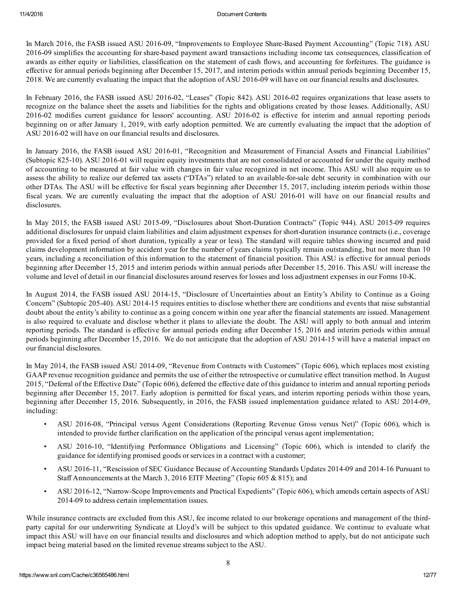In March 2016, the FASB issued ASU 2016-09, "Improvements to Employee Share-Based Payment Accounting" (Topic 718). ASU 2016-09 simplifies the accounting for share-based payment award transactions including income tax consequences, classification of awards as either equity or liabilities, classification on the statement of cash flows, and accounting for forfeitures. The guidance is effective for annual periods beginning after December 15, 2017, and interim periods within annual periods beginning December 15, 2018. We are currently evaluating the impact that the adoption of ASU 201609 will have on our financial results and disclosures.

In February 2016, the FASB issued ASU 2016-02, "Leases" (Topic 842). ASU 2016-02 requires organizations that lease assets to recognize on the balance sheet the assets and liabilities for the rights and obligations created by those leases. Additionally, ASU 2016-02 modifies current guidance for lessors' accounting. ASU 2016-02 is effective for interim and annual reporting periods beginning on or after January 1, 2019, with early adoption permitted. We are currently evaluating the impact that the adoption of ASU 2016-02 will have on our financial results and disclosures.

In January 2016, the FASB issued ASU 2016-01, "Recognition and Measurement of Financial Assets and Financial Liabilities" (Subtopic 825-10). ASU 2016-01 will require equity investments that are not consolidated or accounted for under the equity method of accounting to be measured at fair value with changes in fair value recognized in net income. This ASU will also require us to assess the ability to realize our deferred tax assets ("DTAs") related to an available-for-sale debt security in combination with our other DTAs. The ASU will be effective for fiscal years beginning after December 15, 2017, including interim periods within those fiscal years. We are currently evaluating the impact that the adoption of ASU 2016-01 will have on our financial results and disclosures.

In May 2015, the FASB issued ASU 2015-09, "Disclosures about Short-Duration Contracts" (Topic 944). ASU 2015-09 requires additional disclosures for unpaid claim liabilities and claim adjustment expenses for short-duration insurance contracts (i.e., coverage provided for a fixed period of short duration, typically a year or less). The standard will require tables showing incurred and paid claims development information by accident year for the number of years claims typically remain outstanding, but not more than 10 years, including a reconciliation of this information to the statement of financial position. This ASU is effective for annual periods beginning after December 15, 2015 and interim periods within annual periods after December 15, 2016. This ASU will increase the volume and level of detail in our financial disclosures around reserves for losses and loss adjustment expenses in our Forms 10K.

In August 2014, the FASB issued ASU 201415, "Disclosure of Uncertainties about an Entity's Ability to Continue as a Going Concern" (Subtopic 20540). ASU 201415 requires entities to disclose whether there are conditions and events that raise substantial doubt about the entity's ability to continue as a going concern within one year after the financial statements are issued. Management is also required to evaluate and disclose whether it plans to alleviate the doubt. The ASU will apply to both annual and interim reporting periods. The standard is effective for annual periods ending after December 15, 2016 and interim periods within annual periods beginning after December 15, 2016. We do not anticipate that the adoption of ASU 201415 will have a material impact on our financial disclosures.

In May 2014, the FASB issued ASU 2014-09, "Revenue from Contracts with Customers" (Topic 606), which replaces most existing GAAP revenue recognition guidance and permits the use of either the retrospective or cumulative effect transition method. In August 2015, "Deferral of the Effective Date" (Topic 606), deferred the effective date of this guidance to interim and annual reporting periods beginning after December 15, 2017. Early adoption is permitted for fiscal years, and interim reporting periods within those years, beginning after December 15, 2016. Subsequently, in 2016, the FASB issued implementation guidance related to ASU 201409, including:

- ASU 2016-08, "Principal versus Agent Considerations (Reporting Revenue Gross versus Net)" (Topic 606), which is intended to provide further clarification on the application of the principal versus agent implementation;
- ASU 201610, "Identifying Performance Obligations and Licensing" (Topic 606), which is intended to clarify the guidance for identifying promised goods orservices in a contract with a customer;
- ASU 2016-11, "Rescission of SEC Guidance Because of Accounting Standards Updates 2014-09 and 2014-16 Pursuant to Staff Announcements at the March 3, 2016 EITF Meeting" (Topic 605 & 815); and
- ASU 2016-12, "Narrow-Scope Improvements and Practical Expedients" (Topic 606), which amends certain aspects of ASU 201409 to address certain implementation issues.

While insurance contracts are excluded from this ASU, fee income related to our brokerage operations and management of the thirdparty capital for our underwriting Syndicate at Lloyd's will be subject to this updated guidance. We continue to evaluate what impact this ASU will have on our financial results and disclosures and which adoption method to apply, but do not anticipate such impact being material based on the limited revenue streams subject to the ASU.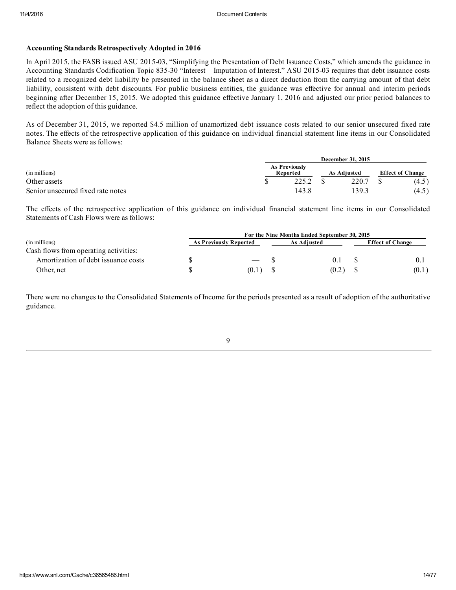#### Accounting Standards Retrospectively Adopted in 2016

In April 2015, the FASB issued ASU 2015-03, "Simplifying the Presentation of Debt Issuance Costs," which amends the guidance in Accounting Standards Codification Topic 835-30 "Interest – Imputation of Interest." ASU 2015-03 requires that debt issuance costs related to a recognized debt liability be presented in the balance sheet as a direct deduction from the carrying amount of that debt liability, consistent with debt discounts. For public business entities, the guidance was effective for annual and interim periods beginning after December 15, 2015. We adopted this guidance effective January 1, 2016 and adjusted our prior period balances to reflect the adoption of this guidance.

As of December 31, 2015, we reported \$4.5 million of unamortized debt issuance costs related to our senior unsecured fixed rate notes. The effects of the retrospective application of this guidance on individual financial statement line items in our Consolidated Balance Sheets were as follows:

|                                   |          |                      | December 31, 2015 |                    |                         |       |
|-----------------------------------|----------|----------------------|-------------------|--------------------|-------------------------|-------|
|                                   |          | <b>As Previously</b> |                   |                    |                         |       |
| (in millions)                     | Reported |                      |                   | <b>As Adiusted</b> | <b>Effect of Change</b> |       |
| Other assets                      |          |                      |                   | 220.7              |                         | (4.5) |
| Senior unsecured fixed rate notes |          | 143.8                |                   | 39.                |                         | (4.5) |

The effects of the retrospective application of this guidance on individual financial statement line items in our Consolidated Statements of Cash Flows were as follows:

|                                       | For the Nine Months Ended September 30, 2015 |                               |  |             |  |                         |  |  |  |
|---------------------------------------|----------------------------------------------|-------------------------------|--|-------------|--|-------------------------|--|--|--|
| (in millions)                         |                                              | <b>As Previously Reported</b> |  | As Adjusted |  | <b>Effect of Change</b> |  |  |  |
| Cash flows from operating activities: |                                              |                               |  |             |  |                         |  |  |  |
| Amortization of debt issuance costs   |                                              |                               |  | 0.1         |  |                         |  |  |  |
| Other, net                            |                                              |                               |  | (0.2)       |  | (0.1)                   |  |  |  |

There were no changes to the Consolidated Statements of Income for the periods presented as a result of adoption of the authoritative guidance.

9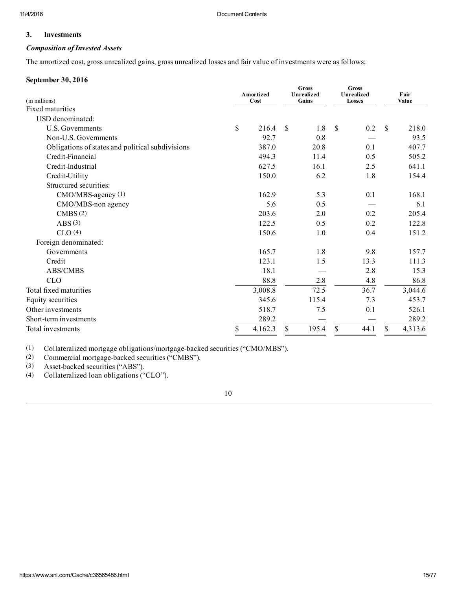#### 3. Investments

#### *Composition ofInvested Assets*

The amortized cost, gross unrealized gains, gross unrealized losses and fair value of investments were as follows:

#### September 30, 2016

| (in millions)                                    | Amortized<br>Cost | <b>Gross</b><br>Unrealized<br>Gains |       | <b>Gross</b><br><b>Unrealized</b><br>Losses |      | Fair<br>Value |         |
|--------------------------------------------------|-------------------|-------------------------------------|-------|---------------------------------------------|------|---------------|---------|
| Fixed maturities                                 |                   |                                     |       |                                             |      |               |         |
| USD denominated:                                 |                   |                                     |       |                                             |      |               |         |
| U.S. Governments                                 | \$<br>216.4       | \$                                  | 1.8   | $\mathcal{S}$                               | 0.2  | \$            | 218.0   |
| Non-U.S. Governments                             | 92.7              |                                     | 0.8   |                                             |      |               | 93.5    |
| Obligations of states and political subdivisions | 387.0             |                                     | 20.8  |                                             | 0.1  |               | 407.7   |
| Credit-Financial                                 | 494.3             |                                     | 11.4  |                                             | 0.5  |               | 505.2   |
| Credit-Industrial                                | 627.5             |                                     | 16.1  |                                             | 2.5  |               | 641.1   |
| Credit-Utility                                   | 150.0             |                                     | 6.2   |                                             | 1.8  |               | 154.4   |
| Structured securities:                           |                   |                                     |       |                                             |      |               |         |
| CMO/MBS-agency (1)                               | 162.9             |                                     | 5.3   |                                             | 0.1  |               | 168.1   |
| CMO/MBS-non agency                               | 5.6               |                                     | 0.5   |                                             |      |               | 6.1     |
| CMBS(2)                                          | 203.6             |                                     | 2.0   |                                             | 0.2  |               | 205.4   |
| ABS(3)                                           | 122.5             |                                     | 0.5   |                                             | 0.2  |               | 122.8   |
| CLO(4)                                           | 150.6             |                                     | 1.0   |                                             | 0.4  |               | 151.2   |
| Foreign denominated:                             |                   |                                     |       |                                             |      |               |         |
| Governments                                      | 165.7             |                                     | 1.8   |                                             | 9.8  |               | 157.7   |
| Credit                                           | 123.1             |                                     | 1.5   |                                             | 13.3 |               | 111.3   |
| <b>ABS/CMBS</b>                                  | 18.1              |                                     |       |                                             | 2.8  |               | 15.3    |
| <b>CLO</b>                                       | 88.8              |                                     | 2.8   |                                             | 4.8  |               | 86.8    |
| Total fixed maturities                           | 3,008.8           |                                     | 72.5  |                                             | 36.7 |               | 3,044.6 |
| Equity securities                                | 345.6             |                                     | 115.4 |                                             | 7.3  |               | 453.7   |
| Other investments                                | 518.7             |                                     | 7.5   |                                             | 0.1  |               | 526.1   |
| Short-term investments                           | 289.2             |                                     |       |                                             |      |               | 289.2   |
| Total investments                                | \$<br>4,162.3     | \$                                  | 195.4 | \$                                          | 44.1 | \$            | 4,313.6 |

(1) Collateralized mortgage obligations/mortgage-backed securities ("CMO/MBS").<br>(2) Commercial mortgage-backed securities ("CMBS").

Commercial mortgage-backed securities ("CMBS").

(3) Asset-backed securities ("ABS").

(4) Collateralized loan obligations ("CLO").

10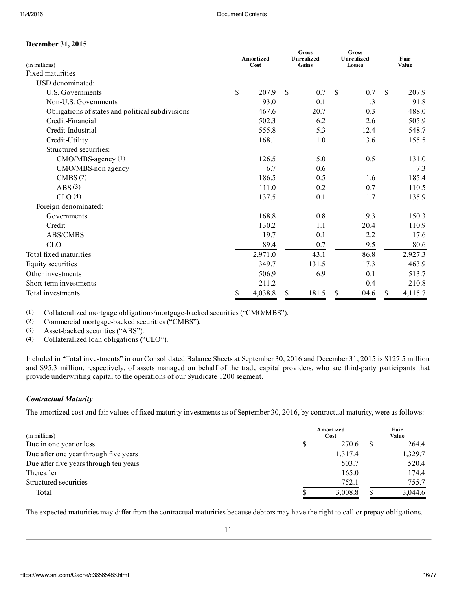## December 31, 2015

| (in millions)                                    |    | Amortized<br>Cost | <b>Gross</b><br><b>Unrealized</b><br>Gains |               | <b>Gross</b><br><b>Unrealized</b><br>Losses | Fair<br>Value |
|--------------------------------------------------|----|-------------------|--------------------------------------------|---------------|---------------------------------------------|---------------|
| <b>Fixed maturities</b>                          |    |                   |                                            |               |                                             |               |
| USD denominated:                                 |    |                   |                                            |               |                                             |               |
| <b>U.S. Governments</b>                          | \$ | 207.9             | \$<br>0.7                                  | $\mathcal{S}$ | 0.7                                         | \$<br>207.9   |
| Non-U.S. Governments                             |    | 93.0              | 0.1                                        |               | 1.3                                         | 91.8          |
| Obligations of states and political subdivisions |    | 467.6             | 20.7                                       |               | 0.3                                         | 488.0         |
| Credit-Financial                                 |    | 502.3             | 6.2                                        |               | 2.6                                         | 505.9         |
| Credit-Industrial                                |    | 555.8             | 5.3                                        |               | 12.4                                        | 548.7         |
| Credit-Utility                                   |    | 168.1             | 1.0                                        |               | 13.6                                        | 155.5         |
| Structured securities:                           |    |                   |                                            |               |                                             |               |
| CMO/MBS-agency (1)                               |    | 126.5             | 5.0                                        |               | 0.5                                         | 131.0         |
| CMO/MBS-non agency                               |    | 6.7               | 0.6                                        |               |                                             | 7.3           |
| CMBS(2)                                          |    | 186.5             | 0.5                                        |               | 1.6                                         | 185.4         |
| ABS(3)                                           |    | 111.0             | 0.2                                        |               | 0.7                                         | 110.5         |
| CLO(4)                                           |    | 137.5             | 0.1                                        |               | 1.7                                         | 135.9         |
| Foreign denominated:                             |    |                   |                                            |               |                                             |               |
| Governments                                      |    | 168.8             | 0.8                                        |               | 19.3                                        | 150.3         |
| Credit                                           |    | 130.2             | 1.1                                        |               | 20.4                                        | 110.9         |
| ABS/CMBS                                         |    | 19.7              | 0.1                                        |               | 2.2                                         | 17.6          |
| <b>CLO</b>                                       |    | 89.4              | 0.7                                        |               | 9.5                                         | 80.6          |
| Total fixed maturities                           |    | 2,971.0           | 43.1                                       |               | 86.8                                        | 2,927.3       |
| Equity securities                                |    | 349.7             | 131.5                                      |               | 17.3                                        | 463.9         |
| Other investments                                |    | 506.9             | 6.9                                        |               | 0.1                                         | 513.7         |
| Short-term investments                           |    | 211.2             |                                            |               | 0.4                                         | 210.8         |
| Total investments                                | S  | 4,038.8           | \$<br>181.5                                | \$            | 104.6                                       | \$<br>4,115.7 |

(1) Collateralized mortgage obligations/mortgage-backed securities ("CMO/MBS").

(2) Commercial mortgagebacked securities ("CMBS").

(3) Asset-backed securities ("ABS").

(4) Collateralized loan obligations ("CLO").

Included in "Total investments" in our Consolidated Balance Sheets at September 30, 2016 and December 31, 2015 is \$127.5 million and \$95.3 million, respectively, of assets managed on behalf of the trade capital providers, who are third-party participants that provide underwriting capital to the operations of our Syndicate 1200 segment.

## *Contractual Maturity*

The amortized cost and fair values of fixed maturity investments as of September 30, 2016, by contractual maturity, were as follows:

| (in millions)                          |   | Amortized<br>Cost |  |         |  |
|----------------------------------------|---|-------------------|--|---------|--|
| Due in one year or less                | S | 270.6             |  | 264.4   |  |
| Due after one year through five years  |   | 1,317.4           |  | 1,329.7 |  |
| Due after five years through ten years |   | 503.7             |  | 520.4   |  |
| Thereafter                             |   | 165.0             |  | 174.4   |  |
| Structured securities                  |   | 752.1             |  | 755.7   |  |
| Total                                  |   | 3,008.8           |  | 3,044.6 |  |

The expected maturities may differ from the contractual maturities because debtors may have the right to call or prepay obligations.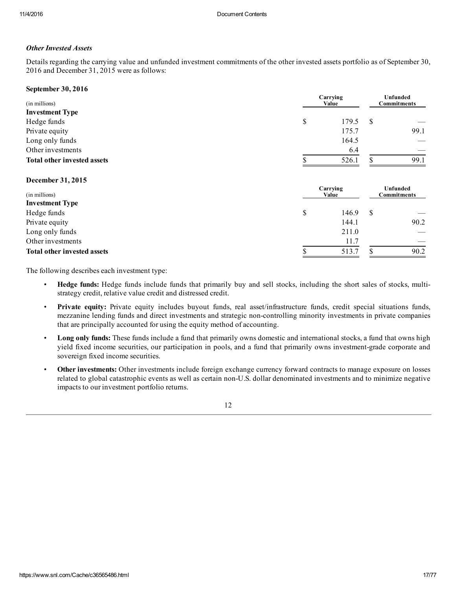#### *Other Invested Assets*

Details regarding the carrying value and unfunded investment commitments of the other invested assets portfolio as of September 30, 2016 and December 31, 2015 were as follows:

#### September 30, 2016

| (in millions)                      | Carrying<br>Value |   |      |  |
|------------------------------------|-------------------|---|------|--|
| <b>Investment Type</b>             |                   |   |      |  |
| Hedge funds                        | \$<br>179.5       | S |      |  |
| Private equity                     | 175.7             |   | 99.1 |  |
| Long only funds                    | 164.5             |   |      |  |
| Other investments                  | 6.4               |   |      |  |
| <b>Total other invested assets</b> | 526.1             |   | 99.1 |  |
|                                    |                   |   |      |  |

#### December 31, 2015

| (in millions)                      | Carrying<br>Value |               |      |
|------------------------------------|-------------------|---------------|------|
| <b>Investment Type</b>             |                   |               |      |
| Hedge funds                        | \$<br>146.9       | <sup>\$</sup> |      |
| Private equity                     | 144.1             |               | 90.2 |
| Long only funds                    | 211.0             |               |      |
| Other investments                  | 11.7              |               |      |
| <b>Total other invested assets</b> | 513.7             |               | 90.2 |

The following describes each investment type:

- Hedge funds: Hedge funds include funds that primarily buy and sell stocks, including the short sales of stocks, multistrategy credit, relative value credit and distressed credit.
- Private equity: Private equity includes buyout funds, real asset/infrastructure funds, credit special situations funds, mezzanine lending funds and direct investments and strategic non-controlling minority investments in private companies that are principally accounted for using the equity method of accounting.
- Long only funds: These funds include a fund that primarily owns domestic and international stocks, a fund that owns high yield fixed income securities, our participation in pools, and a fund that primarily owns investmentgrade corporate and sovereign fixed income securities.
- Other investments: Other investments include foreign exchange currency forward contracts to manage exposure on losses related to global catastrophic events as well as certain non-U.S. dollar denominated investments and to minimize negative impacts to our investment portfolio returns.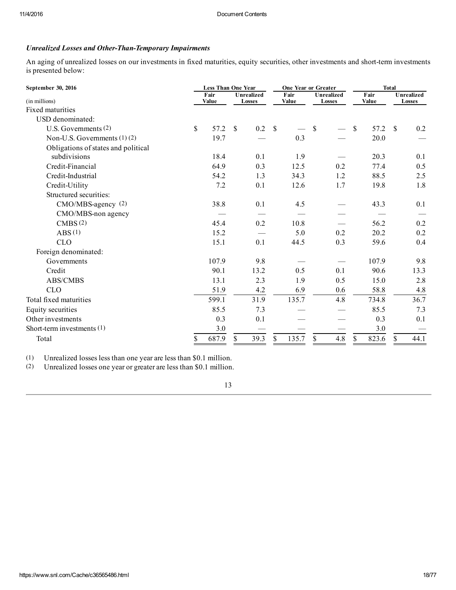#### *Unrealized Losses and OtherThanTemporary Impairments*

An aging of unrealized losses on our investments in fixed maturities, equity securities, other investments and short-term investments is presented below:

| September 30, 2016<br><b>Less Than One Year</b> |    |               | One Year or Greater                |    |               |                             | <b>Total</b> |               |       |                                    |      |
|-------------------------------------------------|----|---------------|------------------------------------|----|---------------|-----------------------------|--------------|---------------|-------|------------------------------------|------|
| (in millions)                                   |    | Fair<br>Value | <b>Unrealized</b><br><b>Losses</b> |    | Fair<br>Value | <b>Unrealized</b><br>Losses |              | Fair<br>Value |       | <b>Unrealized</b><br><b>Losses</b> |      |
| Fixed maturities                                |    |               |                                    |    |               |                             |              |               |       |                                    |      |
| USD denominated:                                |    |               |                                    |    |               |                             |              |               |       |                                    |      |
| U.S. Governments (2)                            | \$ | 57.2          | \$<br>$0.2 \quad$                  |    |               | \$                          |              | \$            | 57.2  | <sup>\$</sup>                      | 0.2  |
| Non-U.S. Governments $(1)$ $(2)$                |    | 19.7          |                                    |    | 0.3           |                             |              |               | 20.0  |                                    |      |
| Obligations of states and political             |    |               |                                    |    |               |                             |              |               |       |                                    |      |
| subdivisions                                    |    | 18.4          | 0.1                                |    | 1.9           |                             |              |               | 20.3  |                                    | 0.1  |
| Credit-Financial                                |    | 64.9          | 0.3                                |    | 12.5          |                             | 0.2          |               | 77.4  |                                    | 0.5  |
| Credit-Industrial                               |    | 54.2          | 1.3                                |    | 34.3          |                             | 1.2          |               | 88.5  |                                    | 2.5  |
| Credit-Utility                                  |    | 7.2           | 0.1                                |    | 12.6          |                             | 1.7          |               | 19.8  |                                    | 1.8  |
| Structured securities:                          |    |               |                                    |    |               |                             |              |               |       |                                    |      |
| $CMO/MBS$ -agency $(2)$                         |    | 38.8          | 0.1                                |    | 4.5           |                             |              |               | 43.3  |                                    | 0.1  |
| CMO/MBS-non agency                              |    |               |                                    |    |               |                             |              |               |       |                                    |      |
| CMBS(2)                                         |    | 45.4          | 0.2                                |    | 10.8          |                             |              |               | 56.2  |                                    | 0.2  |
| ABS(1)                                          |    | 15.2          |                                    |    | 5.0           |                             | 0.2          |               | 20.2  |                                    | 0.2  |
| <b>CLO</b>                                      |    | 15.1          | 0.1                                |    | 44.5          |                             | 0.3          |               | 59.6  |                                    | 0.4  |
| Foreign denominated:                            |    |               |                                    |    |               |                             |              |               |       |                                    |      |
| Governments                                     |    | 107.9         | 9.8                                |    |               |                             |              |               | 107.9 |                                    | 9.8  |
| Credit                                          |    | 90.1          | 13.2                               |    | 0.5           |                             | 0.1          |               | 90.6  |                                    | 13.3 |
| ABS/CMBS                                        |    | 13.1          | 2.3                                |    | 1.9           |                             | 0.5          |               | 15.0  |                                    | 2.8  |
| <b>CLO</b>                                      |    | 51.9          | 4.2                                |    | 6.9           |                             | 0.6          |               | 58.8  |                                    | 4.8  |
| Total fixed maturities                          |    | 599.1         | 31.9                               |    | 135.7         |                             | 4.8          |               | 734.8 |                                    | 36.7 |
| Equity securities                               |    | 85.5          | 7.3                                |    |               |                             |              |               | 85.5  |                                    | 7.3  |
| Other investments                               |    | 0.3           | 0.1                                |    |               |                             |              |               | 0.3   |                                    | 0.1  |
| Short-term investments $(1)$                    |    | 3.0           |                                    |    |               |                             |              |               | 3.0   |                                    |      |
| Total                                           | \$ | 687.9         | \$<br>39.3                         | \$ | 135.7         | \$                          | 4.8          | \$            | 823.6 | \$                                 | 44.1 |

(1) Unrealized losses less than one year are less than \$0.1 million.

(2) Unrealized losses one year or greater are less than \$0.1 million.

13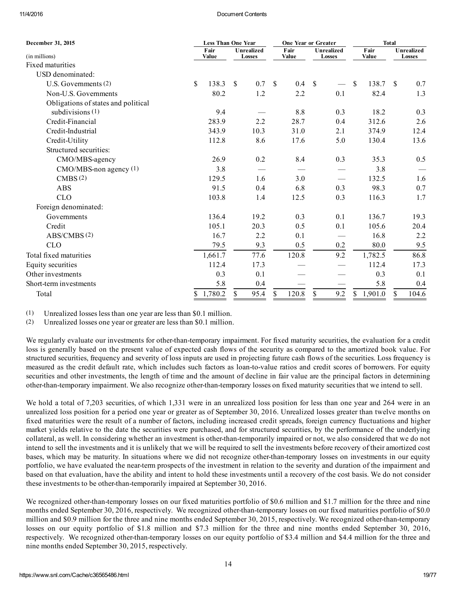#### 11/4/2016 Document Contents

| December 31, 2015<br><b>Less Than One Year</b> |    |               |    | <b>One Year or Greater</b>  |                    |               |              | <b>Total</b>                |    |               |               |                      |
|------------------------------------------------|----|---------------|----|-----------------------------|--------------------|---------------|--------------|-----------------------------|----|---------------|---------------|----------------------|
| (in millions)                                  |    | Fair<br>Value |    | <b>Unrealized</b><br>Losses |                    | Fair<br>Value |              | <b>Unrealized</b><br>Losses |    | Fair<br>Value |               | Unrealized<br>Losses |
| <b>Fixed maturities</b>                        |    |               |    |                             |                    |               |              |                             |    |               |               |                      |
| USD denominated:                               |    |               |    |                             |                    |               |              |                             |    |               |               |                      |
| U.S. Governments $(2)$                         | \$ | 138.3         | \$ | 0.7                         | $\mathbf{\hat{S}}$ | 0.4           | $\mathbb{S}$ |                             | \$ | 138.7         | <sup>\$</sup> | 0.7                  |
| Non-U.S. Governments                           |    | 80.2          |    | 1.2                         |                    | 2.2           |              | 0.1                         |    | 82.4          |               | 1.3                  |
| Obligations of states and political            |    |               |    |                             |                    |               |              |                             |    |               |               |                      |
| subdivisions $(1)$                             |    | 9.4           |    |                             |                    | 8.8           |              | 0.3                         |    | 18.2          |               | 0.3                  |
| Credit-Financial                               |    | 283.9         |    | 2.2                         |                    | 28.7          |              | 0.4                         |    | 312.6         |               | 2.6                  |
| Credit-Industrial                              |    | 343.9         |    | 10.3                        |                    | 31.0          |              | 2.1                         |    | 374.9         |               | 12.4                 |
| Credit-Utility                                 |    | 112.8         |    | 8.6                         |                    | 17.6          |              | 5.0                         |    | 130.4         |               | 13.6                 |
| Structured securities:                         |    |               |    |                             |                    |               |              |                             |    |               |               |                      |
| CMO/MBS-agency                                 |    | 26.9          |    | 0.2                         |                    | 8.4           |              | 0.3                         |    | 35.3          |               | 0.5                  |
| CMO/MBS-non agency (1)                         |    | 3.8           |    |                             |                    |               |              |                             |    | 3.8           |               |                      |
| CMBS(2)                                        |    | 129.5         |    | 1.6                         |                    | 3.0           |              |                             |    | 132.5         |               | 1.6                  |
| <b>ABS</b>                                     |    | 91.5          |    | 0.4                         |                    | 6.8           |              | 0.3                         |    | 98.3          |               | 0.7                  |
| <b>CLO</b>                                     |    | 103.8         |    | 1.4                         |                    | 12.5          |              | 0.3                         |    | 116.3         |               | 1.7                  |
| Foreign denominated:                           |    |               |    |                             |                    |               |              |                             |    |               |               |                      |
| Governments                                    |    | 136.4         |    | 19.2                        |                    | 0.3           |              | 0.1                         |    | 136.7         |               | 19.3                 |
| Credit                                         |    | 105.1         |    | 20.3                        |                    | 0.5           |              | 0.1                         |    | 105.6         |               | 20.4                 |
| ABS/CMBS(2)                                    |    | 16.7          |    | 2.2                         |                    | 0.1           |              |                             |    | 16.8          |               | 2.2                  |
| <b>CLO</b>                                     |    | 79.5          |    | 9.3                         |                    | 0.5           |              | 0.2                         |    | 80.0          |               | 9.5                  |
| Total fixed maturities                         |    | 1,661.7       |    | 77.6                        |                    | 120.8         |              | 9.2                         |    | 1,782.5       |               | 86.8                 |
| Equity securities                              |    | 112.4         |    | 17.3                        |                    |               |              |                             |    | 112.4         |               | 17.3                 |
| Other investments                              |    | 0.3           |    | 0.1                         |                    |               |              |                             |    | 0.3           |               | 0.1                  |
| Short-term investments                         |    | 5.8           |    | 0.4                         |                    |               |              |                             |    | 5.8           |               | 0.4                  |
| Total                                          |    | 1,780.2       | S  | 95.4                        | S                  | 120.8         | \$           | 9.2                         | S. | 1,901.0       | S.            | 104.6                |

(1) Unrealized losses less than one year are less than \$0.1 million.

(2) Unrealized losses one year or greater are less than \$0.1 million.

We regularly evaluate our investments for other-than-temporary impairment. For fixed maturity securities, the evaluation for a credit loss is generally based on the present value of expected cash flows of the security as compared to the amortized book value. For structured securities, frequency and severity of loss inputs are used in projecting future cash flows of the securities. Loss frequency is measured as the credit default rate, which includes such factors as loan-to-value ratios and credit scores of borrowers. For equity securities and other investments, the length of time and the amount of decline in fair value are the principal factors in determining other-than-temporary impairment. We also recognize other-than-temporary losses on fixed maturity securities that we intend to sell.

We hold a total of 7,203 securities, of which 1,331 were in an unrealized loss position for less than one year and 264 were in an unrealized loss position for a period one year or greater as of September 30, 2016. Unrealized losses greater than twelve months on fixed maturities were the result of a number of factors, including increased credit spreads, foreign currency fluctuations and higher market yields relative to the date the securities were purchased, and for structured securities, by the performance of the underlying collateral, as well. In considering whether an investment is other-than-temporarily impaired or not, we also considered that we do not intend to sell the investments and it is unlikely that we will be required to sell the investments before recovery of their amortized cost bases, which may be maturity. In situations where we did not recognize other-than-temporary losses on investments in our equity portfolio, we have evaluated the nearterm prospects of the investment in relation to the severity and duration of the impairment and based on that evaluation, have the ability and intent to hold these investments until a recovery of the cost basis. We do not consider these investments to be other-than-temporarily impaired at September 30, 2016.

We recognized other-than-temporary losses on our fixed maturities portfolio of \$0.6 million and \$1.7 million for the three and nine months ended September 30, 2016, respectively. We recognized other-than-temporary losses on our fixed maturities portfolio of \$0.0 million and \$0.9 million for the three and nine months ended September 30, 2015, respectively. We recognized otherthantemporary losses on our equity portfolio of \$1.8 million and \$7.3 million for the three and nine months ended September 30, 2016, respectively. We recognized otherthantemporary losses on our equity portfolio of \$3.4 million and \$4.4 million for the three and nine months ended September 30, 2015, respectively.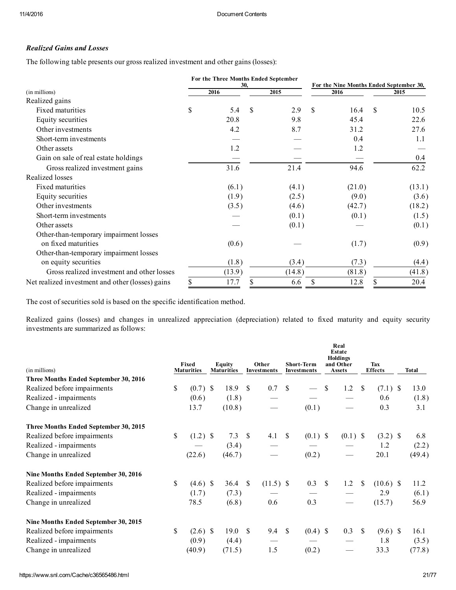## *Realized Gains and Losses*

The following table presents our gross realized investment and other gains (losses):

|                                                  |             | For the Three Months Ended September | For the Nine Months Ended September 30, |        |               |        |  |  |
|--------------------------------------------------|-------------|--------------------------------------|-----------------------------------------|--------|---------------|--------|--|--|
| (in millions)                                    | 30,<br>2016 | 2015                                 |                                         | 2016   |               | 2015   |  |  |
| Realized gains                                   |             |                                      |                                         |        |               |        |  |  |
| Fixed maturities                                 | \$<br>5.4   | \$<br>2.9                            | <sup>\$</sup>                           | 16.4   | <sup>\$</sup> | 10.5   |  |  |
| Equity securities                                | 20.8        | 9.8                                  |                                         | 45.4   |               | 22.6   |  |  |
| Other investments                                | 4.2         | 8.7                                  |                                         | 31.2   |               | 27.6   |  |  |
| Short-term investments                           |             |                                      |                                         | 0.4    |               | 1.1    |  |  |
| Other assets                                     | 1.2         |                                      |                                         | 1.2    |               |        |  |  |
| Gain on sale of real estate holdings             |             |                                      |                                         |        |               | 0.4    |  |  |
| Gross realized investment gains                  | 31.6        | 21.4                                 |                                         | 94.6   |               | 62.2   |  |  |
| Realized losses                                  |             |                                      |                                         |        |               |        |  |  |
| Fixed maturities                                 | (6.1)       | (4.1)                                |                                         | (21.0) |               | (13.1) |  |  |
| Equity securities                                | (1.9)       | (2.5)                                |                                         | (9.0)  |               | (3.6)  |  |  |
| Other investments                                | (3.5)       | (4.6)                                |                                         | (42.7) |               | (18.2) |  |  |
| Short-term investments                           |             | (0.1)                                |                                         | (0.1)  |               | (1.5)  |  |  |
| Other assets                                     |             | (0.1)                                |                                         |        |               | (0.1)  |  |  |
| Other-than-temporary impairment losses           |             |                                      |                                         |        |               |        |  |  |
| on fixed maturities                              | (0.6)       |                                      |                                         | (1.7)  |               | (0.9)  |  |  |
| Other-than-temporary impairment losses           |             |                                      |                                         |        |               |        |  |  |
| on equity securities                             | (1.8)       | (3.4)                                |                                         | (7.3)  |               | (4.4)  |  |  |
| Gross realized investment and other losses       | (13.9)      | (14.8)                               |                                         | (81.8) |               | (41.8) |  |  |
| Net realized investment and other (losses) gains | \$<br>17.7  | \$<br>6.6                            | \$                                      | 12.8   |               | 20.4   |  |  |

The cost of securities sold is based on the specific identification method.

Realized gains (losses) and changes in unrealized appreciation (depreciation) related to fixed maturity and equity security investments are summarized as follows:

| (in millions)                         | Fixed<br><b>Maturities</b> | <b>Equity</b><br><b>Maturities</b> |              | Other<br><b>Investments</b> |               | <b>Short-Term</b><br><b>Investments</b> | Real<br><b>Estate</b><br><b>Holdings</b><br>and Other<br><b>Assets</b> |               | Tax<br><b>Effects</b> | <b>Total</b> |
|---------------------------------------|----------------------------|------------------------------------|--------------|-----------------------------|---------------|-----------------------------------------|------------------------------------------------------------------------|---------------|-----------------------|--------------|
| Three Months Ended September 30, 2016 |                            |                                    |              |                             |               |                                         |                                                                        |               |                       |              |
| Realized before impairments           | \$<br>$(0.7)$ \$           | 18.9                               | \$           | 0.7                         | $\mathcal{S}$ |                                         | \$<br>1.2                                                              | \$            | $(7.1)$ \$            | 13.0         |
| Realized - impairments                | (0.6)                      | (1.8)                              |              |                             |               |                                         |                                                                        |               | 0.6                   | (1.8)        |
| Change in unrealized                  | 13.7                       | (10.8)                             |              |                             |               | (0.1)                                   |                                                                        |               | 0.3                   | 3.1          |
| Three Months Ended September 30, 2015 |                            |                                    |              |                             |               |                                         |                                                                        |               |                       |              |
| Realized before impairments           | \$<br>$(1.2)$ \$           | 7.3                                | -\$          | 4.1                         | \$.           | $(0.1)$ \$                              | $(0.1)$ \$                                                             |               | $(3.2)$ \$            | 6.8          |
| Realized - impairments                |                            | (3.4)                              |              |                             |               |                                         |                                                                        |               | 1.2                   | (2.2)        |
| Change in unrealized                  | (22.6)                     | (46.7)                             |              |                             |               | (0.2)                                   |                                                                        |               | 20.1                  | (49.4)       |
| Nine Months Ended September 30, 2016  |                            |                                    |              |                             |               |                                         |                                                                        |               |                       |              |
| Realized before impairments           | \$<br>$(4.6)$ \$           | 36.4                               | $\mathbb{S}$ | $(11.5)$ \$                 |               | 0.3                                     | \$<br>1.2                                                              | \$            | $(10.6)$ \$           | 11.2         |
| Realized - impairments                | (1.7)                      | (7.3)                              |              |                             |               |                                         |                                                                        |               | 2.9                   | (6.1)        |
| Change in unrealized                  | 78.5                       | (6.8)                              |              | 0.6                         |               | 0.3                                     |                                                                        |               | (15.7)                | 56.9         |
| Nine Months Ended September 30, 2015  |                            |                                    |              |                             |               |                                         |                                                                        |               |                       |              |
| Realized before impairments           | \$<br>$(2.6)$ \$           | 19.0                               | -S           | 9.4 \$                      |               | $(0.4)$ \$                              | 0.3                                                                    | <sup>\$</sup> | $(9.6)$ \$            | 16.1         |
| Realized - impairments                | (0.9)                      | (4.4)                              |              |                             |               |                                         |                                                                        |               | 1.8                   | (3.5)        |
| Change in unrealized                  | (40.9)                     | (71.5)                             |              | 1.5                         |               | (0.2)                                   |                                                                        |               | 33.3                  | (77.8)       |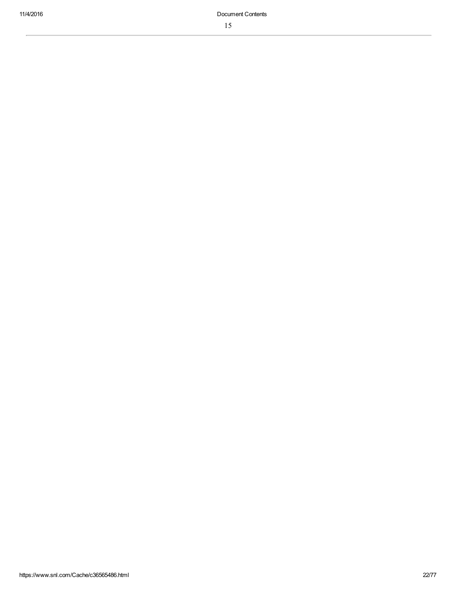15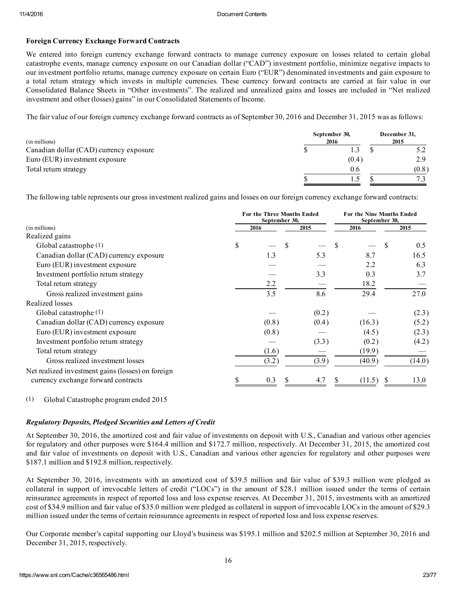## Foreign Currency Exchange Forward Contracts

We entered into foreign currency exchange forward contracts to manage currency exposure on losses related to certain global catastrophe events, manage currency exposure on our Canadian dollar ("CAD") investment portfolio, minimize negative impacts to our investment portfolio returns, manage currency exposure on certain Euro ("EUR") denominated investments and gain exposure to a total return strategy which invests in multiple currencies. These currency forward contracts are carried at fair value in our Consolidated Balance Sheets in "Other investments". The realized and unrealized gains and losses are included in "Net realized investment and other (losses) gains" in our Consolidated Statements of Income.

The fair value of our foreign currency exchange forward contracts as of September 30, 2016 and December 31, 2015 was as follows:

| (in millions)                           | September 30,<br>2016 | December 31,<br>2015 |
|-----------------------------------------|-----------------------|----------------------|
| Canadian dollar (CAD) currency exposure |                       |                      |
| Euro (EUR) investment exposure          | (0.4)                 | 2.9                  |
| Total return strategy                   | 0.6                   | (0.8)                |
|                                         |                       |                      |

The following table represents our gross investment realized gains and losses on our foreign currency exchange forward contracts:

|                                                   | For the Three Months Ended<br>September 30, | <b>For the Nine Months Ended</b><br>September 30, |        |      |        |
|---------------------------------------------------|---------------------------------------------|---------------------------------------------------|--------|------|--------|
| (in millions)                                     | 2016                                        | 2015                                              | 2016   | 2015 |        |
| Realized gains                                    |                                             |                                                   |        |      |        |
| Global catastrophe $(1)$                          | \$                                          |                                                   | S      |      | 0.5    |
| Canadian dollar (CAD) currency exposure           | 1.3                                         | 5.3                                               | 8.7    |      | 16.5   |
| Euro (EUR) investment exposure                    |                                             |                                                   | 2.2    |      | 6.3    |
| Investment portfolio return strategy              |                                             | 3.3                                               | 0.3    |      | 3.7    |
| Total return strategy                             | 2.2                                         |                                                   | 18.2   |      |        |
| Gross realized investment gains                   | 3.5                                         | 8.6                                               | 29.4   |      | 27.0   |
| Realized losses                                   |                                             |                                                   |        |      |        |
| Global catastrophe $(1)$                          |                                             | (0.2)                                             |        |      | (2.3)  |
| Canadian dollar (CAD) currency exposure           | (0.8)                                       | (0.4)                                             | (16.3) |      | (5.2)  |
| Euro (EUR) investment exposure                    | (0.8)                                       |                                                   | (4.5)  |      | (2.3)  |
| Investment portfolio return strategy              |                                             | (3.3)                                             | (0.2)  |      | (4.2)  |
| Total return strategy                             | (1.6)                                       |                                                   | (19.9) |      |        |
| Gross realized investment losses                  | (3.2)                                       | (3.9)                                             | (40.9) |      | (14.0) |
| Net realized investment gains (losses) on foreign |                                             |                                                   |        |      |        |
| currency exchange forward contracts               | 0.3                                         | 4.7                                               | (11.5) |      | 13.0   |

(1) Global Catastrophe program ended 2015

## *Regulatory Deposits, Pledged Securities and Letters of Credit*

At September 30, 2016, the amortized cost and fair value of investments on deposit with U.S., Canadian and various other agencies for regulatory and other purposes were \$164.4 million and \$172.7 million, respectively. At December 31, 2015, the amortized cost and fair value of investments on deposit with U.S., Canadian and various other agencies for regulatory and other purposes were \$187.1 million and \$192.8 million, respectively.

At September 30, 2016, investments with an amortized cost of \$39.5 million and fair value of \$39.3 million were pledged as collateral in support of irrevocable letters of credit ("LOCs") in the amount of \$28.1 million issued under the terms of certain reinsurance agreements in respect of reported loss and loss expense reserves. At December 31, 2015, investments with an amortized cost of \$34.9 million and fair value of \$35.0 million were pledged as collateral in support of irrevocable LOCs in the amount of \$29.3 million issued under the terms of certain reinsurance agreements in respect of reported loss and loss expense reserves.

Our Corporate member's capital supporting our Lloyd's business was \$195.1 million and \$202.5 million at September 30, 2016 and December 31, 2015, respectively.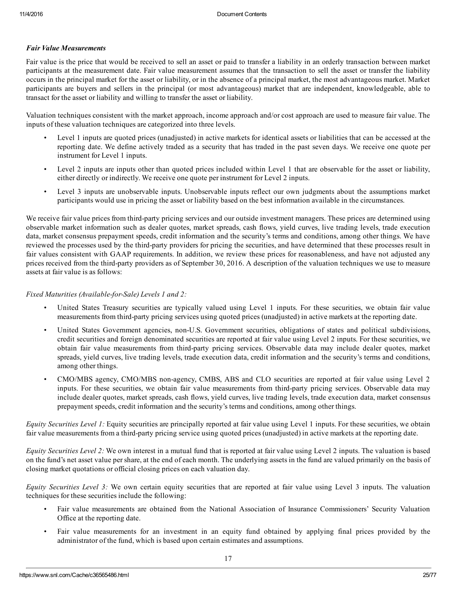#### *Fair Value Measurements*

Fair value is the price that would be received to sell an asset or paid to transfer a liability in an orderly transaction between market participants at the measurement date. Fair value measurement assumes that the transaction to sell the asset or transfer the liability occurs in the principal market for the asset or liability, or in the absence of a principal market, the most advantageous market. Market participants are buyers and sellers in the principal (or most advantageous) market that are independent, knowledgeable, able to transact for the asset or liability and willing to transfer the asset or liability.

Valuation techniques consistent with the market approach, income approach and/or cost approach are used to measure fair value. The inputs of these valuation techniques are categorized into three levels.

- Level 1 inputs are quoted prices (unadjusted) in active markets for identical assets or liabilities that can be accessed at the reporting date. We define actively traded as a security that has traded in the past seven days. We receive one quote per instrument for Level 1 inputs.
- Level 2 inputs are inputs other than quoted prices included within Level 1 that are observable for the asset or liability, either directly or indirectly. We receive one quote per instrument for Level 2 inputs.
- Level 3 inputs are unobservable inputs. Unobservable inputs reflect our own judgments about the assumptions market participants would use in pricing the asset or liability based on the best information available in the circumstances.

We receive fair value prices from third-party pricing services and our outside investment managers. These prices are determined using observable market information such as dealer quotes, market spreads, cash flows, yield curves, live trading levels, trade execution data, market consensus prepayment speeds, credit information and the security's terms and conditions, among other things. We have reviewed the processes used by the third-party providers for pricing the securities, and have determined that these processes result in fair values consistent with GAAP requirements. In addition, we review these prices for reasonableness, and have not adjusted any prices received from the third-party providers as of September 30, 2016. A description of the valuation techniques we use to measure assets at fair value is as follows:

#### *Fixed Maturities (Available-for-Sale) Levels 1 and* 2:

- United States Treasury securities are typically valued using Level 1 inputs. For these securities, we obtain fair value measurements from third-party pricing services using quoted prices (unadjusted) in active markets at the reporting date.
- United States Government agencies, non-U.S. Government securities, obligations of states and political subdivisions, credit securities and foreign denominated securities are reported at fair value using Level 2 inputs. For these securities, we obtain fair value measurements from third-party pricing services. Observable data may include dealer quotes, market spreads, yield curves, live trading levels, trade execution data, credit information and the security's terms and conditions, among other things.
- CMO/MBS agency, CMO/MBS non-agency, CMBS, ABS and CLO securities are reported at fair value using Level 2 inputs. For these securities, we obtain fair value measurements from third-party pricing services. Observable data may include dealer quotes, market spreads, cash flows, yield curves, live trading levels, trade execution data, market consensus prepayment speeds, credit information and the security's terms and conditions, among other things.

*Equity Securities Level 1:* Equity securities are principally reported at fair value using Level 1 inputs. For these securities, we obtain fair value measurements from a third-party pricing service using quoted prices (unadjusted) in active markets at the reporting date.

*Equity Securities Level 2:* We own interest in a mutual fund that is reported at fair value using Level 2 inputs. The valuation is based on the fund's net asset value per share, at the end of each month. The underlying assets in the fund are valued primarily on the basis of closing market quotations or official closing prices on each valuation day.

*Equity Securities Level 3:* We own certain equity securities that are reported at fair value using Level 3 inputs. The valuation techniques for these securities include the following:

- Fair value measurements are obtained from the National Association of Insurance Commissioners' Security Valuation Office at the reporting date.
- Fair value measurements for an investment in an equity fund obtained by applying final prices provided by the administrator of the fund, which is based upon certain estimates and assumptions.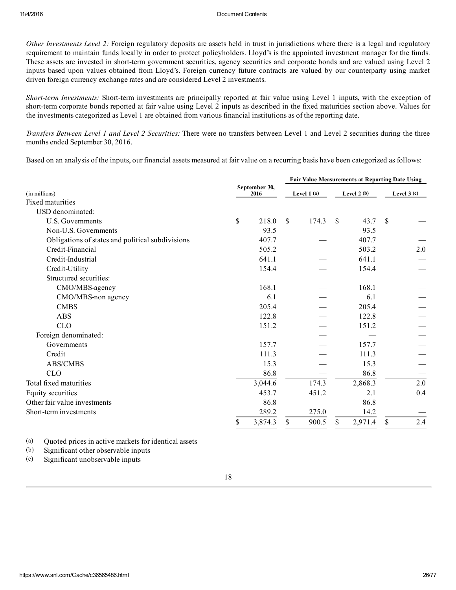*Other Investments Level 2:* Foreign regulatory deposits are assets held in trust in jurisdictions where there is a legal and regulatory requirement to maintain funds locally in order to protect policyholders. Lloyd's is the appointed investment manager for the funds. These assets are invested in short-term government securities, agency securities and corporate bonds and are valued using Level 2 inputs based upon values obtained from Lloyd's. Foreign currency future contracts are valued by our counterparty using market driven foreign currency exchange rates and are considered Level 2 investments.

*Short-term Investments:* Short-term investments are principally reported at fair value using Level 1 inputs, with the exception of short-term corporate bonds reported at fair value using Level 2 inputs as described in the fixed maturities section above. Values for the investments categorized as Level 1 are obtained from various financial institutions as of the reporting date.

*Transfers Between Level 1 and Level 2 Securities:* There were no transfers between Level 1 and Level 2 securities during the three months ended September 30, 2016.

Based on an analysis of the inputs, our financial assets measured at fair value on a recurring basis have been categorized as follows:

|                                                  |                       |     |             |               | Fair Value Measurements at Reporting Date Using |              |              |  |
|--------------------------------------------------|-----------------------|-----|-------------|---------------|-------------------------------------------------|--------------|--------------|--|
| (in millions)                                    | September 30,<br>2016 |     | Level 1 (a) |               | Level 2 (b)                                     |              | Level $3(c)$ |  |
| Fixed maturities                                 |                       |     |             |               |                                                 |              |              |  |
| USD denominated:                                 |                       |     |             |               |                                                 |              |              |  |
| U.S. Governments                                 | \$<br>218.0           | \$. | 174.3       | <sup>\$</sup> | 43.7                                            | $\mathbb{S}$ |              |  |
| Non-U.S. Governments                             | 93.5                  |     |             |               | 93.5                                            |              |              |  |
| Obligations of states and political subdivisions | 407.7                 |     |             |               | 407.7                                           |              |              |  |
| Credit-Financial                                 | 505.2                 |     |             |               | 503.2                                           |              | 2.0          |  |
| Credit-Industrial                                | 641.1                 |     |             |               | 641.1                                           |              |              |  |
| Credit-Utility                                   | 154.4                 |     |             |               | 154.4                                           |              |              |  |
| Structured securities:                           |                       |     |             |               |                                                 |              |              |  |
| CMO/MBS-agency                                   | 168.1                 |     |             |               | 168.1                                           |              |              |  |
| CMO/MBS-non agency                               | 6.1                   |     |             |               | 6.1                                             |              |              |  |
| <b>CMBS</b>                                      | 205.4                 |     |             |               | 205.4                                           |              |              |  |
| <b>ABS</b>                                       | 122.8                 |     |             |               | 122.8                                           |              |              |  |
| <b>CLO</b>                                       | 151.2                 |     |             |               | 151.2                                           |              |              |  |
| Foreign denominated:                             |                       |     |             |               |                                                 |              |              |  |
| Governments                                      | 157.7                 |     |             |               | 157.7                                           |              |              |  |
| Credit                                           | 111.3                 |     |             |               | 111.3                                           |              |              |  |
| ABS/CMBS                                         | 15.3                  |     |             |               | 15.3                                            |              |              |  |
| <b>CLO</b>                                       | 86.8                  |     |             |               | 86.8                                            |              |              |  |
| Total fixed maturities                           | 3,044.6               |     | 174.3       |               | 2,868.3                                         |              | 2.0          |  |
| Equity securities                                | 453.7                 |     | 451.2       |               | 2.1                                             |              | 0.4          |  |
| Other fair value investments                     | 86.8                  |     |             |               | 86.8                                            |              |              |  |
| Short-term investments                           | 289.2                 |     | 275.0       |               | 14.2                                            |              |              |  |
|                                                  | \$<br>3,874.3         | \$  | 900.5       | \$            | 2,971.4                                         | S.           | 2.4          |  |

(a) Quoted prices in active markets for identical assets

(b) Significant other observable inputs

(c) Significant unobservable inputs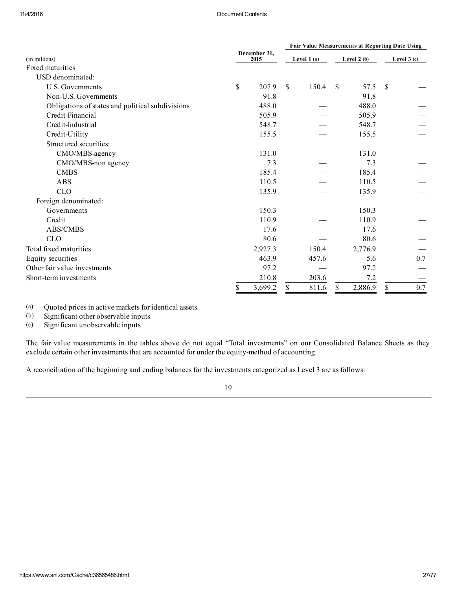#### 11/4/2016 Document Contents

|                                                  |                      | <b>Fair Value Measurements at Reporting Date Using</b> |               |             |              |              |  |
|--------------------------------------------------|----------------------|--------------------------------------------------------|---------------|-------------|--------------|--------------|--|
| (in millions)                                    | December 31,<br>2015 | Level 1 (a)                                            |               | Level 2 (b) |              | Level $3(c)$ |  |
| Fixed maturities                                 |                      |                                                        |               |             |              |              |  |
| USD denominated:                                 |                      |                                                        |               |             |              |              |  |
| U.S. Governments                                 | \$<br>207.9          | \$<br>150.4                                            | <sup>\$</sup> | 57.5        | $\mathbb{S}$ |              |  |
| Non-U.S. Governments                             | 91.8                 |                                                        |               | 91.8        |              |              |  |
| Obligations of states and political subdivisions | 488.0                |                                                        |               | 488.0       |              |              |  |
| Credit-Financial                                 | 505.9                |                                                        |               | 505.9       |              |              |  |
| Credit-Industrial                                | 548.7                |                                                        |               | 548.7       |              |              |  |
| Credit-Utility                                   | 155.5                |                                                        |               | 155.5       |              |              |  |
| Structured securities:                           |                      |                                                        |               |             |              |              |  |
| CMO/MBS-agency                                   | 131.0                |                                                        |               | 131.0       |              |              |  |
| CMO/MBS-non agency                               | 7.3                  |                                                        |               | 7.3         |              |              |  |
| <b>CMBS</b>                                      | 185.4                |                                                        |               | 185.4       |              |              |  |
| <b>ABS</b>                                       | 110.5                |                                                        |               | 110.5       |              |              |  |
| <b>CLO</b>                                       | 135.9                |                                                        |               | 135.9       |              |              |  |
| Foreign denominated:                             |                      |                                                        |               |             |              |              |  |
| Governments                                      | 150.3                |                                                        |               | 150.3       |              |              |  |
| Credit                                           | 110.9                |                                                        |               | 110.9       |              |              |  |
| ABS/CMBS                                         | 17.6                 |                                                        |               | 17.6        |              |              |  |
| <b>CLO</b>                                       | 80.6                 |                                                        |               | 80.6        |              |              |  |
| Total fixed maturities                           | 2,927.3              | 150.4                                                  |               | 2,776.9     |              |              |  |
| Equity securities                                | 463.9                | 457.6                                                  |               | 5.6         |              | 0.7          |  |
| Other fair value investments                     | 97.2                 |                                                        |               | 97.2        |              |              |  |
| Short-term investments                           | 210.8                | 203.6                                                  |               | 7.2         |              |              |  |
|                                                  | \$<br>3,699.2        | \$<br>811.6                                            | $\mathbf S$   | 2,886.9     | S.           | 0.7          |  |

(a) Quoted prices in active markets for identical assets<br>(b) Significant other observable inputs

Significant other observable inputs

(c) Significant unobservable inputs

The fair value measurements in the tables above do not equal "Total investments" on our Consolidated Balance Sheets as they exclude certain other investments that are accounted for under the equity-method of accounting.

A reconciliation of the beginning and ending balances for the investments categorized as Level 3 are as follows: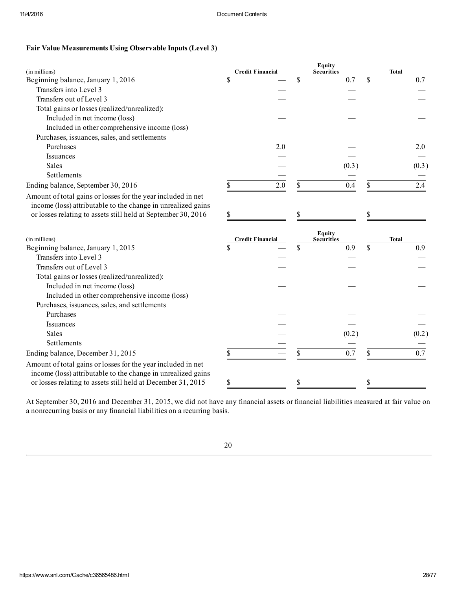## Fair Value Measurements Using Observable Inputs (Level 3)

| (in millions)                                                                                                                | <b>Credit Financial</b>       |     | Equity<br>Securities |               | <b>Total</b> |
|------------------------------------------------------------------------------------------------------------------------------|-------------------------------|-----|----------------------|---------------|--------------|
| Beginning balance, January 1, 2016                                                                                           | \$                            |     | \$<br>0.7            | \$            | 0.7          |
| Transfers into Level 3                                                                                                       |                               |     |                      |               |              |
| Transfers out of Level 3                                                                                                     |                               |     |                      |               |              |
| Total gains or losses (realized/unrealized):                                                                                 |                               |     |                      |               |              |
| Included in net income (loss)                                                                                                |                               |     |                      |               |              |
| Included in other comprehensive income (loss)                                                                                |                               |     |                      |               |              |
| Purchases, issuances, sales, and settlements                                                                                 |                               |     |                      |               |              |
| Purchases                                                                                                                    |                               | 2.0 |                      |               | 2.0          |
| Issuances                                                                                                                    |                               |     |                      |               |              |
| <b>Sales</b>                                                                                                                 |                               |     | (0.3)                |               | (0.3)        |
| Settlements                                                                                                                  |                               |     |                      |               |              |
| Ending balance, September 30, 2016                                                                                           | \$                            | 2.0 | \$<br>0.4            | \$            | 2.4          |
| Amount of total gains or losses for the year included in net<br>income (loss) attributable to the change in unrealized gains |                               |     |                      |               |              |
| or losses relating to assets still held at September 30, 2016                                                                | \$                            |     |                      | \$            |              |
| (in millions)                                                                                                                |                               |     | Equity               |               |              |
|                                                                                                                              |                               |     | <b>Securities</b>    |               | <b>Total</b> |
| Beginning balance, January 1, 2015                                                                                           | <b>Credit Financial</b><br>\$ |     | \$<br>0.9            | $\mathsf{\$}$ | 0.9          |
| Transfers into Level 3                                                                                                       |                               |     |                      |               |              |
| Transfers out of Level 3                                                                                                     |                               |     |                      |               |              |
| Total gains or losses (realized/unrealized):                                                                                 |                               |     |                      |               |              |
| Included in net income (loss)                                                                                                |                               |     |                      |               |              |
| Included in other comprehensive income (loss)                                                                                |                               |     |                      |               |              |
| Purchases, issuances, sales, and settlements                                                                                 |                               |     |                      |               |              |
| Purchases                                                                                                                    |                               |     |                      |               |              |
| Issuances                                                                                                                    |                               |     |                      |               |              |
| Sales                                                                                                                        |                               |     | (0.2)                |               | (0.2)        |
| Settlements                                                                                                                  |                               |     |                      |               |              |
| Ending balance, December 31, 2015                                                                                            | \$                            |     | \$<br>0.7            | \$            | 0.7          |
| Amount of total gains or losses for the year included in net<br>income (loss) attributable to the change in unrealized gains |                               |     |                      |               |              |

At September 30, 2016 and December 31, 2015, we did not have any financial assets or financial liabilities measured at fair value on a nonrecurring basis or any financial liabilities on a recurring basis.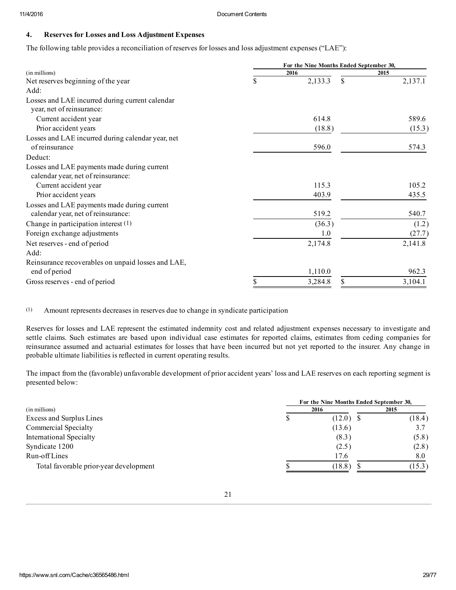## 4. Reserves for Losses and Loss Adjustment Expenses

The following table provides a reconciliation of reserves for losses and loss adjustment expenses ("LAE"):

|                                                    | For the Nine Months Ended September 30, |         |      |         |  |  |  |  |  |
|----------------------------------------------------|-----------------------------------------|---------|------|---------|--|--|--|--|--|
| (in millions)                                      |                                         | 2016    | 2015 |         |  |  |  |  |  |
| Net reserves beginning of the year                 | \$                                      | 2,133.3 | \$   | 2,137.1 |  |  |  |  |  |
| Add:                                               |                                         |         |      |         |  |  |  |  |  |
| Losses and LAE incurred during current calendar    |                                         |         |      |         |  |  |  |  |  |
| year, net of reinsurance:                          |                                         |         |      |         |  |  |  |  |  |
| Current accident year                              |                                         | 614.8   |      | 589.6   |  |  |  |  |  |
| Prior accident years                               |                                         | (18.8)  |      | (15.3)  |  |  |  |  |  |
| Losses and LAE incurred during calendar year, net  |                                         |         |      |         |  |  |  |  |  |
| of reinsurance                                     |                                         | 596.0   |      | 574.3   |  |  |  |  |  |
| Deduct:                                            |                                         |         |      |         |  |  |  |  |  |
| Losses and LAE payments made during current        |                                         |         |      |         |  |  |  |  |  |
| calendar year, net of reinsurance:                 |                                         |         |      |         |  |  |  |  |  |
| Current accident year                              |                                         | 115.3   |      | 105.2   |  |  |  |  |  |
| Prior accident years                               |                                         | 403.9   |      | 435.5   |  |  |  |  |  |
| Losses and LAE payments made during current        |                                         |         |      |         |  |  |  |  |  |
| calendar year, net of reinsurance:                 |                                         | 519.2   |      | 540.7   |  |  |  |  |  |
| Change in participation interest $(1)$             |                                         | (36.3)  |      | (1.2)   |  |  |  |  |  |
| Foreign exchange adjustments                       |                                         | 1.0     |      | (27.7)  |  |  |  |  |  |
| Net reserves - end of period                       |                                         | 2,174.8 |      | 2,141.8 |  |  |  |  |  |
| Add:                                               |                                         |         |      |         |  |  |  |  |  |
| Reinsurance recoverables on unpaid losses and LAE, |                                         |         |      |         |  |  |  |  |  |
| end of period                                      |                                         | 1,110.0 |      | 962.3   |  |  |  |  |  |
| Gross reserves - end of period                     | S                                       | 3,284.8 | S.   | 3,104.1 |  |  |  |  |  |

(1) Amount represents decreases in reserves due to change in syndicate participation

Reserves for losses and LAE represent the estimated indemnity cost and related adjustment expenses necessary to investigate and settle claims. Such estimates are based upon individual case estimates for reported claims, estimates from ceding companies for reinsurance assumed and actuarial estimates for losses that have been incurred but not yet reported to the insurer. Any change in probable ultimate liabilities is reflected in current operating results.

The impact from the (favorable) unfavorable development of prior accident years' loss and LAE reserves on each reporting segment is presented below:

| For the Nine Months Ended September 30, |        |  |             |  |  |  |  |  |
|-----------------------------------------|--------|--|-------------|--|--|--|--|--|
|                                         | 2016   |  | 2015        |  |  |  |  |  |
|                                         |        |  | (18.4)      |  |  |  |  |  |
|                                         | (13.6) |  |             |  |  |  |  |  |
|                                         | (8.3)  |  | (5.8)       |  |  |  |  |  |
|                                         | (2.5)  |  | (2.8)       |  |  |  |  |  |
|                                         | 17.6   |  | 8.0         |  |  |  |  |  |
|                                         | (18.8) |  | (15.3)      |  |  |  |  |  |
|                                         |        |  | $(12.0)$ \$ |  |  |  |  |  |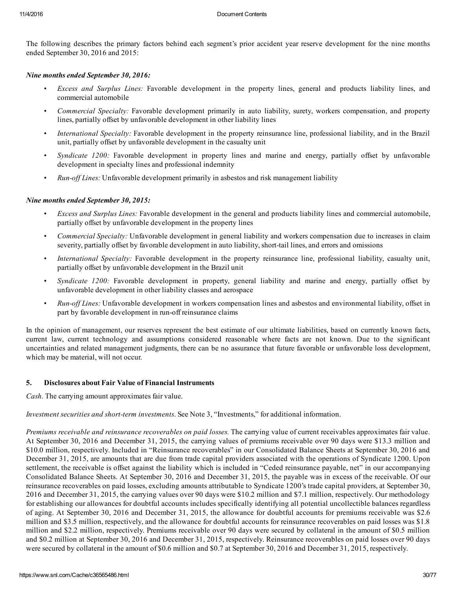The following describes the primary factors behind each segment's prior accident year reserve development for the nine months ended September 30, 2016 and 2015:

#### *Nine months ended September 30, 2016:*

- *Excess and Surplus Lines:* Favorable development in the property lines, general and products liability lines, and commercial automobile
- *Commercial Specialty:* Favorable development primarily in auto liability, surety, workers compensation, and property lines, partially offset by unfavorable development in other liability lines
- *International Specialty:* Favorable development in the property reinsurance line, professional liability, and in the Brazil unit, partially offset by unfavorable development in the casualty unit
- *Syndicate 1200:* Favorable development in property lines and marine and energy, partially offset by unfavorable development in specialty lines and professional indemnity
- *Run-off Lines:* Unfavorable development primarily in asbestos and risk management liability

#### *Nine months ended September 30, 2015:*

- *Excess and Surplus Lines:* Favorable development in the general and products liability lines and commercial automobile, partially offset by unfavorable development in the property lines
- *Commercial Specialty:* Unfavorable development in general liability and workers compensation due to increases in claim severity, partially offset by favorable development in auto liability, short-tail lines, and errors and omissions
- *International Specialty:* Favorable development in the property reinsurance line, professional liability, casualty unit, partially offset by unfavorable development in the Brazil unit
- *Syndicate 1200:* Favorable development in property, general liability and marine and energy, partially offset by unfavorable development in other liability classes and aerospace
- *Run-off Lines:* Unfavorable development in workers compensation lines and asbestos and environmental liability, offset in part by favorable development in run-off reinsurance claims

In the opinion of management, our reserves represent the best estimate of our ultimate liabilities, based on currently known facts, current law, current technology and assumptions considered reasonable where facts are not known. Due to the significant uncertainties and related management judgments, there can be no assurance that future favorable or unfavorable loss development, which may be material, will not occur.

#### 5. Disclosures about Fair Value of Financial Instruments

*Cash.* The carrying amount approximates fair value.

*Investment securities and short-term investments*. See Note 3, "Investments," for additional information.

*Premiums receivable and reinsurance recoverables on paid losses.* The carrying value of current receivables approximates fair value. At September 30, 2016 and December 31, 2015, the carrying values of premiums receivable over 90 days were \$13.3 million and \$10.0 million, respectively. Included in "Reinsurance recoverables" in our Consolidated Balance Sheets at September 30, 2016 and December 31, 2015, are amounts that are due from trade capital providers associated with the operations of Syndicate 1200. Upon settlement, the receivable is offset against the liability which is included in "Ceded reinsurance payable, net" in our accompanying Consolidated Balance Sheets. At September 30, 2016 and December 31, 2015, the payable was in excess of the receivable. Of our reinsurance recoverables on paid losses, excluding amounts attributable to Syndicate 1200's trade capital providers, at September 30, 2016 and December 31, 2015, the carrying values over 90 days were \$10.2 million and \$7.1 million, respectively. Our methodology for establishing our allowances for doubtful accounts includes specifically identifying all potential uncollectible balances regardless of aging. At September 30, 2016 and December 31, 2015, the allowance for doubtful accounts for premiums receivable was \$2.6 million and \$3.5 million, respectively, and the allowance for doubtful accounts for reinsurance recoverables on paid losses was \$1.8 million and \$2.2 million, respectively. Premiums receivable over 90 days were secured by collateral in the amount of \$0.5 million and \$0.2 million at September 30, 2016 and December 31, 2015, respectively. Reinsurance recoverables on paid losses over 90 days were secured by collateral in the amount of \$0.6 million and \$0.7 at September 30, 2016 and December 31, 2015, respectively.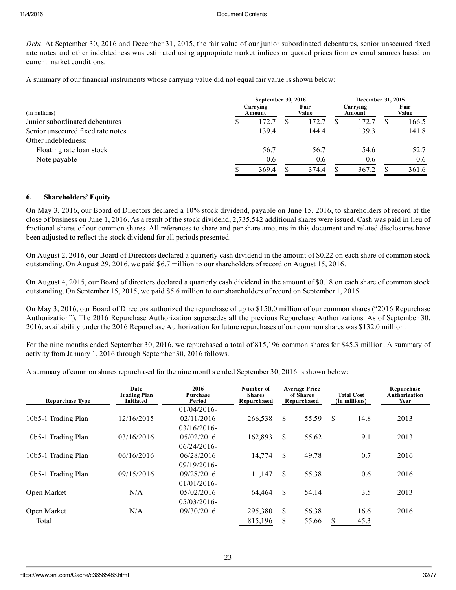*Debt*. At September 30, 2016 and December 31, 2015, the fair value of our junior subordinated debentures, senior unsecured fixed rate notes and other indebtedness was estimated using appropriate market indices or quoted prices from external sources based on current market conditions.

A summary of our financial instruments whose carrying value did not equal fair value is shown below:

|                                   | <b>September 30, 2016</b> |       |  |               |  |                    | December 31, 2015 |               |  |  |
|-----------------------------------|---------------------------|-------|--|---------------|--|--------------------|-------------------|---------------|--|--|
| (in millions)                     | Carrying<br>Amount        |       |  | Fair<br>Value |  | Carrving<br>Amount |                   | Fair<br>Value |  |  |
| Junior subordinated debentures    |                           | 172.1 |  | 172.7         |  | 172.7              |                   | 166.5         |  |  |
| Senior unsecured fixed rate notes |                           | 139.4 |  | 144.4         |  | 139.3              |                   | 141.8         |  |  |
| Other indebtedness:               |                           |       |  |               |  |                    |                   |               |  |  |
| Floating rate loan stock          |                           | 56.7  |  | 56.7          |  | 54.6               |                   | 52.7          |  |  |
| Note payable                      |                           | 0.6   |  | 0.6           |  | 0.6                |                   | 0.6           |  |  |
|                                   |                           | 369.4 |  | 374.4         |  | 367.2              |                   | 361.6         |  |  |

#### 6. Shareholders' Equity

On May 3, 2016, our Board of Directors declared a 10% stock dividend, payable on June 15, 2016, to shareholders of record at the close of business on June 1, 2016. As a result of the stock dividend, 2,735,542 additional shares were issued. Cash was paid in lieu of fractional shares of our common shares. All references to share and per share amounts in this document and related disclosures have been adjusted to reflect the stock dividend for all periods presented.

On August 2, 2016, our Board of Directors declared a quarterly cash dividend in the amount of \$0.22 on each share of common stock outstanding. On August 29, 2016, we paid \$6.7 million to ourshareholders of record on August 15, 2016.

On August 4, 2015, our Board of directors declared a quarterly cash dividend in the amount of \$0.18 on each share of common stock outstanding. On September 15, 2015, we paid \$5.6 million to ourshareholders of record on September 1, 2015.

On May 3, 2016, our Board of Directors authorized the repurchase of up to \$150.0 million of our common shares ("2016 Repurchase Authorization"). The 2016 Repurchase Authorization supersedes all the previous Repurchase Authorizations. As of September 30, 2016, availability under the 2016 Repurchase Authorization for future repurchases of our common shares was \$132.0 million.

For the nine months ended September 30, 2016, we repurchased a total of 815,196 common shares for \$45.3 million. A summary of activity from January 1, 2016 through September 30, 2016 follows.

A summary of common shares repurchased for the nine months ended September 30, 2016 is shown below:

| <b>Repurchase Type</b> | Date<br>Trading Plan<br>Initiated | 2016<br>Purchase<br>Period | Number of<br><b>Shares</b><br>Repurchased |               | <b>Average Price</b><br>of Shares<br>Repurchased | <b>Total Cost</b><br>(in millions) | Repurchase<br>Authorization<br>Year |
|------------------------|-----------------------------------|----------------------------|-------------------------------------------|---------------|--------------------------------------------------|------------------------------------|-------------------------------------|
|                        |                                   | 01/04/2016                 |                                           |               |                                                  |                                    |                                     |
| 10b5-1 Trading Plan    | 12/16/2015                        | 02/11/2016                 | 266,538                                   | \$            | 55.59                                            | \$<br>14.8                         | 2013                                |
|                        |                                   | 03/16/2016                 |                                           |               |                                                  |                                    |                                     |
| 10b5-1 Trading Plan    | 03/16/2016                        | 05/02/2016                 | 162,893                                   | \$            | 55.62                                            | 9.1                                | 2013                                |
|                        |                                   | 06/24/2016                 |                                           |               |                                                  |                                    |                                     |
| 10b5-1 Trading Plan    | 06/16/2016                        | 06/28/2016                 | 14,774                                    | \$            | 49.78                                            | 0.7                                | 2016                                |
|                        |                                   | 09/19/2016                 |                                           |               |                                                  |                                    |                                     |
| 10b5-1 Trading Plan    | 09/15/2016                        | 09/28/2016                 | 11.147                                    | <sup>\$</sup> | 55.38                                            | 0.6                                | 2016                                |
|                        |                                   | 01/01/2016                 |                                           |               |                                                  |                                    |                                     |
| Open Market            | N/A                               | 05/02/2016                 | 64,464                                    | \$            | 54.14                                            | 3.5                                | 2013                                |
|                        |                                   | 05/03/2016                 |                                           |               |                                                  |                                    |                                     |
| Open Market            | N/A                               | 09/30/2016                 | 295,380                                   | \$            | 56.38                                            | 16.6                               | 2016                                |
| Total                  |                                   |                            | 815,196                                   | \$            | 55.66                                            | 45.3                               |                                     |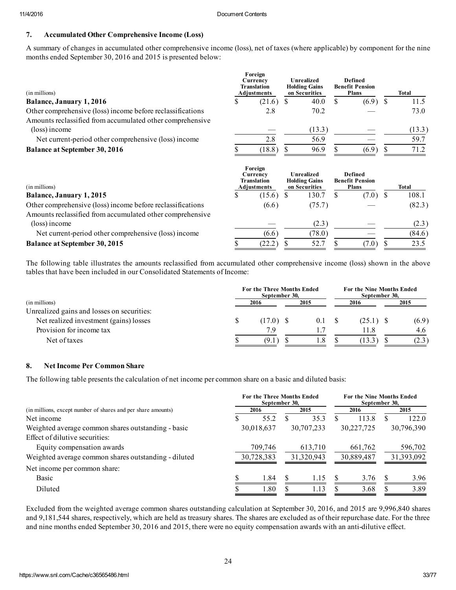## 7. Accumulated Other Comprehensive Income (Loss)

A summary of changes in accumulated other comprehensive income (loss), net of taxes (where applicable) by component for the nine months ended September 30, 2016 and 2015 is presented below:

| (in millions)                                              | Foreign<br>Currency<br><b>Translation</b><br>Adjustments | Unrealized<br><b>Holding Gains</b><br>on Securities        |    | <b>Defined</b><br><b>Benefit Pension</b><br><b>Plans</b> |    | <b>Total</b> |
|------------------------------------------------------------|----------------------------------------------------------|------------------------------------------------------------|----|----------------------------------------------------------|----|--------------|
| <b>Balance, January 1, 2016</b>                            | (21.6)                                                   | \$<br>40.0                                                 | \$ | $(6.9)$ \$                                               |    | 11.5         |
| Other comprehensive (loss) income before reclassifications | 2.8                                                      | 70.2                                                       |    |                                                          |    | 73.0         |
| Amounts reclassified from accumulated other comprehensive  |                                                          |                                                            |    |                                                          |    |              |
| (loss) income                                              |                                                          | (13.3)                                                     |    |                                                          |    | (13.3)       |
| Net current-period other comprehensive (loss) income       | 2.8                                                      | 56.9                                                       |    |                                                          |    | 59.7         |
| <b>Balance at September 30, 2016</b>                       | (18.8)                                                   | 96.9                                                       | ς  | (6.9)                                                    |    | 71.2         |
|                                                            |                                                          |                                                            |    |                                                          |    |              |
| (in millions)                                              | Foreign<br>Currency<br><b>Translation</b><br>Adjustments | <b>Unrealized</b><br><b>Holding Gains</b><br>on Securities |    | <b>Defined</b><br><b>Benefit Pension</b><br><b>Plans</b> |    | <b>Total</b> |
| Balance, January 1, 2015                                   | \$<br>(15.6)                                             | \$<br>130.7                                                | \$ | (7.0)                                                    | -S | 108.1        |
| Other comprehensive (loss) income before reclassifications | (6.6)                                                    | (75.7)                                                     |    |                                                          |    | (82.3)       |
| Amounts reclassified from accumulated other comprehensive  |                                                          |                                                            |    |                                                          |    |              |
| (loss) income                                              |                                                          | (2.3)                                                      |    |                                                          |    | (2.3)        |
| Net current-period other comprehensive (loss) income       | (6.6)                                                    | (78.0)                                                     |    |                                                          |    | (84.6)       |

The following table illustrates the amounts reclassified from accumulated other comprehensive income (loss) shown in the above tables that have been included in our Consolidated Statements of Income:

|                                            | <b>For the Three Months Ended</b><br>September 30, |             |  |      |  | <b>For the Nine Months Ended</b><br>September 30, |  |       |  |
|--------------------------------------------|----------------------------------------------------|-------------|--|------|--|---------------------------------------------------|--|-------|--|
| (in millions)                              |                                                    | 2016        |  | 2015 |  | 2016                                              |  | 2015  |  |
| Unrealized gains and losses on securities: |                                                    |             |  |      |  |                                                   |  |       |  |
| Net realized investment (gains) losses     |                                                    | $(17.0)$ \$ |  | 0.1  |  | $(25.1)$ \$                                       |  | (6.9) |  |
| Provision for income tax                   |                                                    | 79          |  |      |  | l 18                                              |  | 4.6   |  |
| Net of taxes                               |                                                    | (9.1)       |  |      |  | 13.3                                              |  | (2.3) |  |

### 8. Net Income Per Common Share

The following table presents the calculation of net income per common share on a basic and diluted basis:

|                                                              | For the Three Months Ended<br>September 30, |            |  | <b>For the Nine Months Ended</b><br>September 30, |  |            |  |            |
|--------------------------------------------------------------|---------------------------------------------|------------|--|---------------------------------------------------|--|------------|--|------------|
| (in millions, except number of shares and per share amounts) |                                             | 2016       |  | 2015                                              |  | 2016       |  | 2015       |
| Net income                                                   |                                             | 55.2       |  | 35.3                                              |  | 113.8      |  | 122.0      |
| Weighted average common shares outstanding - basic           |                                             | 30,018,637 |  | 30,707,233                                        |  | 30,227,725 |  | 30,796,390 |
| Effect of dilutive securities:                               |                                             |            |  |                                                   |  |            |  |            |
| Equity compensation awards                                   |                                             | 709,746    |  | 613,710                                           |  | 661,762    |  | 596,702    |
| Weighted average common shares outstanding - diluted         |                                             | 30,728,383 |  | 31,320,943                                        |  | 30,889,487 |  | 31,393,092 |
| Net income per common share:                                 |                                             |            |  |                                                   |  |            |  |            |
| Basic                                                        |                                             | 1.84       |  | 1.15                                              |  | 3.76       |  | 3.96       |
| Diluted                                                      |                                             | 1.80       |  | 1.13                                              |  | 3.68       |  | 3.89       |

Excluded from the weighted average common shares outstanding calculation at September 30, 2016, and 2015 are 9,996,840 shares and 9,181,544 shares, respectively, which are held as treasury shares. The shares are excluded as of their repurchase date. For the three and nine months ended September 30, 2016 and 2015, there were no equity compensation awards with an anti-dilutive effect.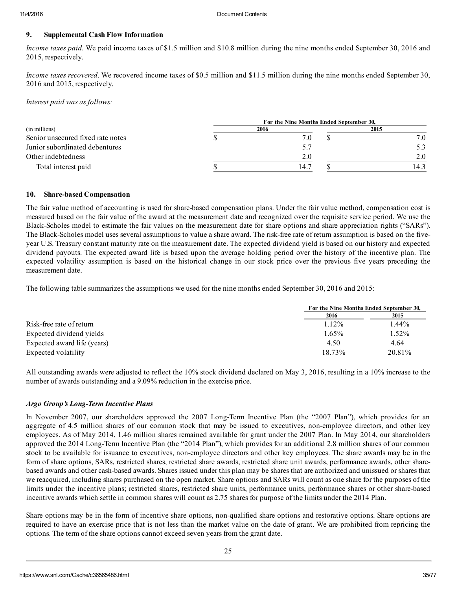## 9. Supplemental Cash Flow Information

*Income taxes paid.* We paid income taxes of \$1.5 million and \$10.8 million during the nine months ended September 30, 2016 and 2015, respectively.

*Income taxes recovered*. We recovered income taxes of \$0.5 million and \$11.5 million during the nine months ended September 30, 2016 and 2015, respectively.

#### *Interest paid was as follows:*

|                                   | For the Nine Months Ended September 30, |      |  |      |  |  |
|-----------------------------------|-----------------------------------------|------|--|------|--|--|
| (in millions)                     |                                         | 2016 |  | 2015 |  |  |
| Senior unsecured fixed rate notes |                                         | 7.0  |  | 7.0  |  |  |
| Junior subordinated debentures    |                                         | 5.7  |  |      |  |  |
| Other indebtedness                |                                         | 2.0  |  | 2.0  |  |  |
| Total interest paid               |                                         | 14.7 |  |      |  |  |

#### 10. Share-based Compensation

The fair value method of accounting is used for share-based compensation plans. Under the fair value method, compensation cost is measured based on the fair value of the award at the measurement date and recognized over the requisite service period. We use the Black-Scholes model to estimate the fair values on the measurement date for share options and share appreciation rights ("SARs"). The Black-Scholes model uses several assumptions to value a share award. The risk-free rate of return assumption is based on the fiveyear U.S. Treasury constant maturity rate on the measurement date. The expected dividend yield is based on our history and expected dividend payouts. The expected award life is based upon the average holding period over the history of the incentive plan. The expected volatility assumption is based on the historical change in our stock price over the previous five years preceding the measurement date.

The following table summarizes the assumptions we used for the nine months ended September 30, 2016 and 2015:

|                             | For the Nine Months Ended September 30, |          |
|-----------------------------|-----------------------------------------|----------|
|                             | 2016                                    | 2015     |
| Risk-free rate of return    | $1.12\%$                                | $1.44\%$ |
| Expected dividend yields    | 1.65%                                   | $.52\%$  |
| Expected award life (years) | 4.50                                    | 4.64     |
| Expected volatility         | 18.73%                                  | 20.81%   |

All outstanding awards were adjusted to reflect the 10% stock dividend declared on May 3, 2016, resulting in a 10% increase to the number of awards outstanding and a 9.09% reduction in the exercise price.

#### *Argo Group's LongTerm Incentive Plans*

In November 2007, our shareholders approved the 2007 Long-Term Incentive Plan (the "2007 Plan"), which provides for an aggregate of 4.5 million shares of our common stock that may be issued to executives, nonemployee directors, and other key employees. As of May 2014, 1.46 million shares remained available for grant under the 2007 Plan. In May 2014, our shareholders approved the 2014 Long-Term Incentive Plan (the "2014 Plan"), which provides for an additional 2.8 million shares of our common stock to be available for issuance to executives, non-employee directors and other key employees. The share awards may be in the form of share options, SARs, restricted shares, restricted share awards, restricted share unit awards, performance awards, other sharebased awards and other cash-based awards. Shares issued under this plan may be shares that are authorized and unissued or shares that we reacquired, including shares purchased on the open market. Share options and SARs will count as one share for the purposes of the limits under the incentive plans; restricted shares, restricted share units, performance units, performance shares or other share-based incentive awards which settle in common shares will count as 2.75 shares for purpose of the limits under the 2014 Plan.

Share options may be in the form of incentive share options, non-qualified share options and restorative options. Share options are required to have an exercise price that is not less than the market value on the date of grant. We are prohibited from repricing the options. The term of the share options cannot exceed seven years from the grant date.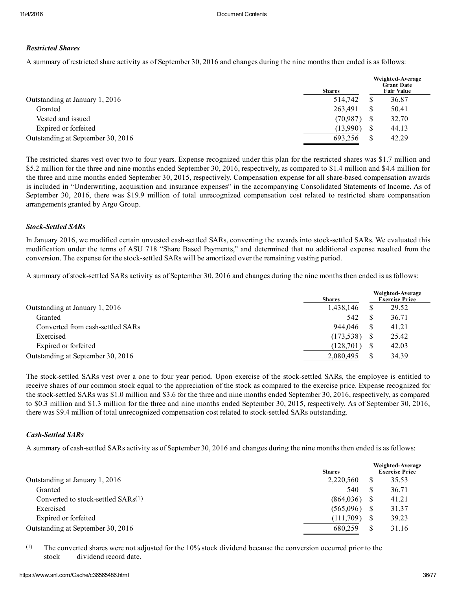#### *Restricted Shares*

A summary of restricted share activity as of September 30, 2016 and changes during the nine months then ended is as follows:

|                                   | <b>Shares</b> | Weighted-Average<br><b>Grant Date</b><br><b>Fair Value</b> |       |  |  |
|-----------------------------------|---------------|------------------------------------------------------------|-------|--|--|
| Outstanding at January 1, 2016    | 514,742       | S                                                          | 36.87 |  |  |
| Granted                           | 263.491       | S                                                          | 50.41 |  |  |
| Vested and issued                 | (70, 987)     |                                                            | 32.70 |  |  |
| Expired or forfeited              | (13,990)      | S                                                          | 44.13 |  |  |
| Outstanding at September 30, 2016 | 693.256       | S                                                          | 42.29 |  |  |

The restricted shares vest over two to four years. Expense recognized under this plan for the restricted shares was \$1.7 million and \$5.2 million for the three and nine months ended September 30, 2016, respectively, as compared to \$1.4 million and \$4.4 million for the three and nine months ended September 30, 2015, respectively. Compensation expense for all sharebased compensation awards is included in "Underwriting, acquisition and insurance expenses" in the accompanying Consolidated Statements of Income. As of September 30, 2016, there was \$19.9 million of total unrecognized compensation cost related to restricted share compensation arrangements granted by Argo Group.

#### **Stock-Settled SARs**

In January 2016, we modified certain unvested cash-settled SARs, converting the awards into stock-settled SARs. We evaluated this modification under the terms of ASU 718 "Share Based Payments," and determined that no additional expense resulted from the conversion. The expense for the stock-settled SARs will be amortized over the remaining vesting period.

A summary of stock-settled SARs activity as of September 30, 2016 and changes during the nine months then ended is as follows:

|                                   | <b>Shares</b> | Weighted-Average<br><b>Exercise Price</b> |       |  |
|-----------------------------------|---------------|-------------------------------------------|-------|--|
| Outstanding at January 1, 2016    | 1,438,146     |                                           | 29.52 |  |
| Granted                           | 542           |                                           | 36.71 |  |
| Converted from cash-settled SARs  | 944.046       |                                           | 41.21 |  |
| Exercised                         | (173, 538)    |                                           | 25.42 |  |
| Expired or forfeited              | (128, 701)    |                                           | 42.03 |  |
| Outstanding at September 30, 2016 | 2,080,495     |                                           | 34.39 |  |

The stock-settled SARs vest over a one to four year period. Upon exercise of the stock-settled SARs, the employee is entitled to receive shares of our common stock equal to the appreciation of the stock as compared to the exercise price. Expense recognized for the stock-settled SARs was \$1.0 million and \$3.6 for the three and nine months ended September 30, 2016, respectively, as compared to \$0.3 million and \$1.3 million for the three and nine months ended September 30, 2015, respectively. As of September 30, 2016, there was \$9.4 million of total unrecognized compensation cost related to stock-settled SARs outstanding.

## $Cash-Settled$  *SARs*

A summary of cash-settled SARs activity as of September 30, 2016 and changes during the nine months then ended is as follows:

|                                      | <b>Shares</b> | Weighted-Average<br><b>Exercise Price</b> |       |  |
|--------------------------------------|---------------|-------------------------------------------|-------|--|
| Outstanding at January 1, 2016       | 2,220,560     | S                                         | 35.53 |  |
| Granted                              | 540           |                                           | 36.71 |  |
| Converted to stock-settled $SARs(1)$ | (864, 036)    |                                           | 41.21 |  |
| Exercised                            | (565,096)     |                                           | 31.37 |  |
| Expired or forfeited                 | (111.709)     |                                           | 39.23 |  |
| Outstanding at September 30, 2016    | 680.259       | \$                                        | 31.16 |  |

(1) The converted shares were not adjusted for the 10% stock dividend because the conversion occurred prior to the stock dividend record date.

#### https://www.snl.com/Cache/c36565486.html 36/77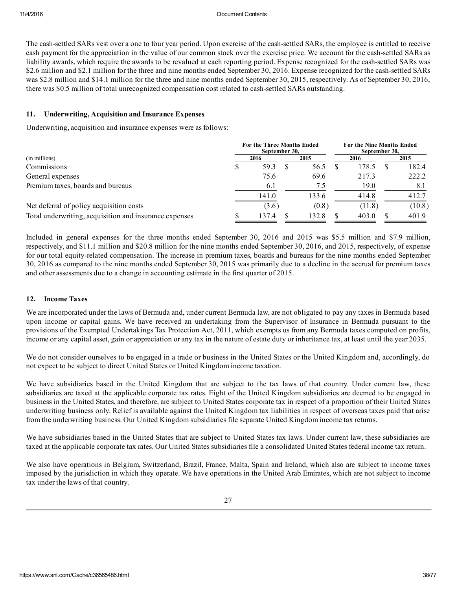The cash-settled SARs vest over a one to four year period. Upon exercise of the cash-settled SARs, the employee is entitled to receive cash payment for the appreciation in the value of our common stock over the exercise price. We account for the cash-settled SARs as liability awards, which require the awards to be revalued at each reporting period. Expense recognized for the cash-settled SARs was \$2.6 million and \$2.1 million for the three and nine months ended September 30, 2016. Expense recognized for the cash-settled SARs was \$2.8 million and \$14.1 million for the three and nine months ended September 30, 2015, respectively. As of September 30, 2016, there was \$0.5 million of total unrecognized compensation cost related to cash-settled SARs outstanding.

### 11. Underwriting, Acquisition and Insurance Expenses

Underwriting, acquisition and insurance expenses were as follows:

|                                                        |      | For the Three Months Ended<br>September 30, |  | For the Nine Months Ended<br>September 30, |  |        |  |        |
|--------------------------------------------------------|------|---------------------------------------------|--|--------------------------------------------|--|--------|--|--------|
| (in millions)                                          | 2016 |                                             |  | 2015                                       |  | 2016   |  | 2015   |
| Commissions                                            |      | 59.3                                        |  | 56.5                                       |  | 178.5  |  | 182.4  |
| General expenses                                       |      | 75.6                                        |  | 69.6                                       |  | 217.3  |  | 222.2  |
| Premium taxes, boards and bureaus                      |      | 6.1                                         |  | 7.5                                        |  | 19.0   |  | 8.1    |
|                                                        |      | 141.0                                       |  | 133.6                                      |  | 414.8  |  | 412.7  |
| Net deferral of policy acquisition costs               |      | (3.6)                                       |  | (0.8)                                      |  | (11.8) |  | (10.8) |
| Total underwriting, acquisition and insurance expenses |      | 137.4                                       |  | 132.8                                      |  | 403.0  |  | 401.9  |

Included in general expenses for the three months ended September 30, 2016 and 2015 was \$5.5 million and \$7.9 million, respectively, and \$11.1 million and \$20.8 million for the nine months ended September 30, 2016, and 2015, respectively, of expense for our total equity-related compensation. The increase in premium taxes, boards and bureaus for the nine months ended September 30, 2016 as compared to the nine months ended September 30, 2015 was primarily due to a decline in the accrual for premium taxes and other assessments due to a change in accounting estimate in the first quarter of 2015.

### 12. Income Taxes

We are incorporated under the laws of Bermuda and, under current Bermuda law, are not obligated to pay any taxes in Bermuda based upon income or capital gains. We have received an undertaking from the Supervisor of Insurance in Bermuda pursuant to the provisions of the Exempted Undertakings Tax Protection Act, 2011, which exempts us from any Bermuda taxes computed on profits, income or any capital asset, gain or appreciation or any tax in the nature of estate duty or inheritance tax, at least until the year 2035.

We do not consider ourselves to be engaged in a trade or business in the United States or the United Kingdom and, accordingly, do not expect to be subject to direct United States or United Kingdom income taxation.

We have subsidiaries based in the United Kingdom that are subject to the tax laws of that country. Under current law, these subsidiaries are taxed at the applicable corporate tax rates. Eight of the United Kingdom subsidiaries are deemed to be engaged in business in the United States, and therefore, are subject to United States corporate tax in respect of a proportion of their United States underwriting business only. Relief is available against the United Kingdom tax liabilities in respect of overseas taxes paid that arise from the underwriting business. Our United Kingdom subsidiaries file separate United Kingdom income tax returns.

We have subsidiaries based in the United States that are subject to United States tax laws. Under current law, these subsidiaries are taxed at the applicable corporate tax rates. Our United States subsidiaries file a consolidated United States federal income tax return.

We also have operations in Belgium, Switzerland, Brazil, France, Malta, Spain and Ireland, which also are subject to income taxes imposed by the jurisdiction in which they operate. We have operations in the United Arab Emirates, which are not subject to income tax under the laws of that country.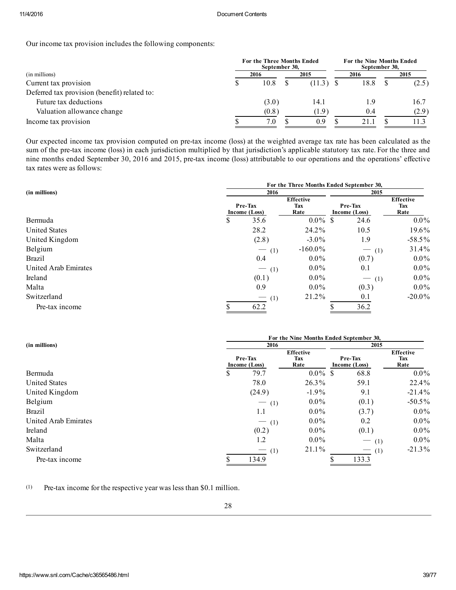Our income tax provision includes the following components:

|                                              | For the Three Months Ended |       | For the Nine Months Ended<br>September 30, |        |      |      |  |       |
|----------------------------------------------|----------------------------|-------|--------------------------------------------|--------|------|------|--|-------|
| (in millions)                                |                            | 2016  | 2015                                       |        | 2016 |      |  | 2015  |
| Current tax provision                        |                            | 10.8  |                                            | (11.3) |      | 18.8 |  | (2.5) |
| Deferred tax provision (benefit) related to: |                            |       |                                            |        |      |      |  |       |
| Future tax deductions                        |                            | (3.0) |                                            | 14.1   |      | 1.9  |  | 16.7  |
| Valuation allowance change                   |                            | (0.8) |                                            | (1.9)  |      | 0.4  |  | (2.9) |
| Income tax provision                         |                            | 7.0   |                                            | 0.9    |      | 21.1 |  | 11.3  |

Our expected income tax provision computed on pretax income (loss) at the weighted average tax rate has been calculated as the sum of the pre-tax income (loss) in each jurisdiction multiplied by that jurisdiction's applicable statutory tax rate. For the three and nine months ended September 30, 2016 and 2015, pre-tax income (loss) attributable to our operations and the operations' effective tax rates were as follows:

|                      | For the Three Months Ended September 30, |                          |                                 |                                         |                                 |  |  |  |  |  |
|----------------------|------------------------------------------|--------------------------|---------------------------------|-----------------------------------------|---------------------------------|--|--|--|--|--|
| (in millions)        |                                          | 2016                     |                                 | 2015                                    |                                 |  |  |  |  |  |
|                      |                                          | Pre-Tax<br>Income (Loss) | <b>Effective</b><br>Tax<br>Rate | Pre-Tax<br>Income (Loss)                | <b>Effective</b><br>Tax<br>Rate |  |  |  |  |  |
| Bermuda              | \$                                       | 35.6                     | $0.0\%$ \$                      | 24.6                                    | $0.0\%$                         |  |  |  |  |  |
| <b>United States</b> |                                          | 28.2                     | 24.2%                           | 10.5                                    | 19.6%                           |  |  |  |  |  |
| United Kingdom       |                                          | (2.8)                    | $-3.0\%$                        | 1.9                                     | $-58.5\%$                       |  |  |  |  |  |
| Belgium              |                                          | (1)                      | $-160.0\%$                      | (1)<br>$\overbrace{\hspace{4.5cm}}^{ }$ | 31.4%                           |  |  |  |  |  |
| <b>Brazil</b>        |                                          | 0.4                      | $0.0\%$                         | (0.7)                                   | $0.0\%$                         |  |  |  |  |  |
| United Arab Emirates |                                          | $-$ (1)                  | $0.0\%$                         | 0.1                                     | $0.0\%$                         |  |  |  |  |  |
| Ireland              |                                          | (0.1)                    | $0.0\%$                         | (1)                                     | $0.0\%$                         |  |  |  |  |  |
| Malta                |                                          | 0.9                      | $0.0\%$                         | (0.3)                                   | $0.0\%$                         |  |  |  |  |  |
| Switzerland          |                                          | $-$ (1)                  | 21.2%                           | 0.1                                     | $-20.0\%$                       |  |  |  |  |  |
| Pre-tax income       |                                          | 62.2                     |                                 | 36.2                                    |                                 |  |  |  |  |  |

|                      | For the Nine Months Ended September 30, |                          |                                 |                          |                                 |                                 |  |  |  |  |
|----------------------|-----------------------------------------|--------------------------|---------------------------------|--------------------------|---------------------------------|---------------------------------|--|--|--|--|
| (in millions)        |                                         | 2016                     | 2015                            |                          |                                 |                                 |  |  |  |  |
|                      |                                         | Pre-Tax<br>Income (Loss) | <b>Effective</b><br>Tax<br>Rate | Pre-Tax<br>Income (Loss) |                                 | <b>Effective</b><br>Tax<br>Rate |  |  |  |  |
| Bermuda              | S                                       | 79.7                     | $0.0\%$ \$                      |                          | 68.8                            | $0.0\%$                         |  |  |  |  |
| <b>United States</b> |                                         | 78.0                     | 26.3%                           |                          | 59.1                            | 22.4%                           |  |  |  |  |
| United Kingdom       |                                         | (24.9)                   | $-1.9\%$                        |                          | 9.1                             | $-21.4\%$                       |  |  |  |  |
| Belgium              |                                         | $-$ (1)                  | $0.0\%$                         |                          | (0.1)                           | $-50.5\%$                       |  |  |  |  |
| <b>Brazil</b>        |                                         | 1.1                      | $0.0\%$                         |                          | (3.7)                           | $0.0\%$                         |  |  |  |  |
| United Arab Emirates |                                         | $-$ (1)                  | $0.0\%$                         |                          | 0.2                             | $0.0\%$                         |  |  |  |  |
| Ireland              |                                         | (0.2)                    | $0.0\%$                         |                          | (0.1)                           | $0.0\%$                         |  |  |  |  |
| Malta                |                                         | 1.2                      | $0.0\%$                         |                          | (1)<br>$\overline{\phantom{0}}$ | $0.0\%$                         |  |  |  |  |
| Switzerland          |                                         | $-$ (1)                  | 21.1%                           |                          | (1)                             | $-21.3\%$                       |  |  |  |  |
| Pre-tax income       |                                         | 134.9                    |                                 |                          | 133.3                           |                                 |  |  |  |  |

 $(1)$  Pre-tax income for the respective year was less than \$0.1 million.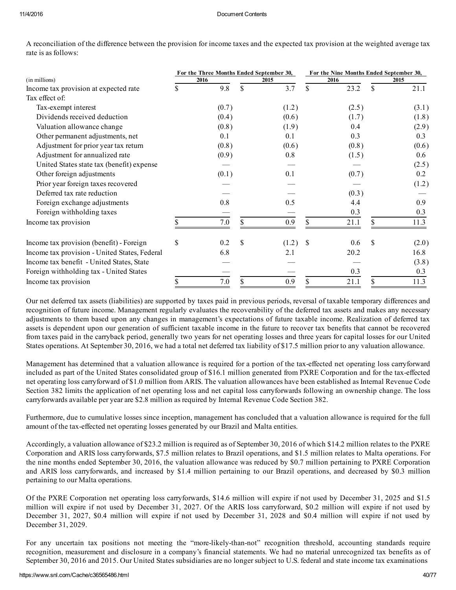For the Three Months Ended September 30, For the Nine Months Ended September 30,

| (in millions)                                 | 2016      | 2015        |    | 2016  | 2015        |
|-----------------------------------------------|-----------|-------------|----|-------|-------------|
| Income tax provision at expected rate         | 9.8       | \$<br>3.7   | \$ | 23.2  | \$<br>21.1  |
| Tax effect of:                                |           |             |    |       |             |
| Tax-exempt interest                           | (0.7)     | (1.2)       |    | (2.5) | (3.1)       |
| Dividends received deduction                  | (0.4)     | (0.6)       |    | (1.7) | (1.8)       |
| Valuation allowance change                    | (0.8)     | (1.9)       |    | 0.4   | (2.9)       |
| Other permanent adjustments, net              | 0.1       | 0.1         |    | 0.3   | 0.3         |
| Adjustment for prior year tax return          | (0.8)     | (0.6)       |    | (0.8) | (0.6)       |
| Adjustment for annualized rate                | (0.9)     | 0.8         |    | (1.5) | 0.6         |
| United States state tax (benefit) expense     |           |             |    |       | (2.5)       |
| Other foreign adjustments                     | (0.1)     | 0.1         |    | (0.7) | 0.2         |
| Prior year foreign taxes recovered            |           |             |    |       | (1.2)       |
| Deferred tax rate reduction                   |           |             |    | (0.3) |             |
| Foreign exchange adjustments                  | 0.8       | 0.5         |    | 4.4   | 0.9         |
| Foreign withholding taxes                     |           |             |    | 0.3   | 0.3         |
| Income tax provision                          | 7.0       | \$<br>0.9   |    | 21.1  | \$<br>11.3  |
| Income tax provision (benefit) - Foreign      | \$<br>0.2 | \$<br>(1.2) | -S | 0.6   | \$<br>(2.0) |
| Income tax provision - United States, Federal | 6.8       | 2.1         |    | 20.2  | 16.8        |
| Income tax benefit - United States, State     |           |             |    |       | (3.8)       |
| Foreign withholding tax - United States       |           |             |    | 0.3   | 0.3         |
| Income tax provision                          | 7.0       | 0.9         | \$ | 21.1  | \$<br>11.3  |

A reconciliation of the difference between the provision for income taxes and the expected tax provision at the weighted average tax rate is as follows:

Our net deferred tax assets (liabilities) are supported by taxes paid in previous periods, reversal of taxable temporary differences and recognition of future income. Management regularly evaluates the recoverability of the deferred tax assets and makes any necessary adjustments to them based upon any changes in management's expectations of future taxable income. Realization of deferred tax assets is dependent upon our generation of sufficient taxable income in the future to recover tax benefits that cannot be recovered from taxes paid in the carryback period, generally two years for net operating losses and three years for capital losses for our United States operations. At September 30, 2016, we had a total net deferred tax liability of \$17.5 million prior to any valuation allowance.

Management has determined that a valuation allowance is required for a portion of the tax-effected net operating loss carryforward included as part of the United States consolidated group of \$16.1 million generated from PXRE Corporation and for the tax-effected net operating loss carryforward of \$1.0 million from ARIS. The valuation allowances have been established as Internal Revenue Code Section 382 limits the application of net operating loss and net capital loss carryforwards following an ownership change. The loss carryforwards available per year are \$2.8 million as required by Internal Revenue Code Section 382.

Furthermore, due to cumulative losses since inception, management has concluded that a valuation allowance is required for the full amount of the tax-effected net operating losses generated by our Brazil and Malta entities.

Accordingly, a valuation allowance of \$23.2 million is required as of September 30, 2016 of which \$14.2 million relates to the PXRE Corporation and ARIS loss carryforwards, \$7.5 million relates to Brazil operations, and \$1.5 million relates to Malta operations. For the nine months ended September 30, 2016, the valuation allowance was reduced by \$0.7 million pertaining to PXRE Corporation and ARIS loss carryforwards, and increased by \$1.4 million pertaining to our Brazil operations, and decreased by \$0.3 million pertaining to our Malta operations.

Of the PXRE Corporation net operating loss carryforwards, \$14.6 million will expire if not used by December 31, 2025 and \$1.5 million will expire if not used by December 31, 2027. Of the ARIS loss carryforward, \$0.2 million will expire if not used by December 31, 2027, \$0.4 million will expire if not used by December 31, 2028 and \$0.4 million will expire if not used by December 31, 2029.

For any uncertain tax positions not meeting the "more-likely-than-not" recognition threshold, accounting standards require recognition, measurement and disclosure in a company's financial statements. We had no material unrecognized tax benefits as of September 30, 2016 and 2015. Our United States subsidiaries are no longersubject to U.S. federal and state income tax examinations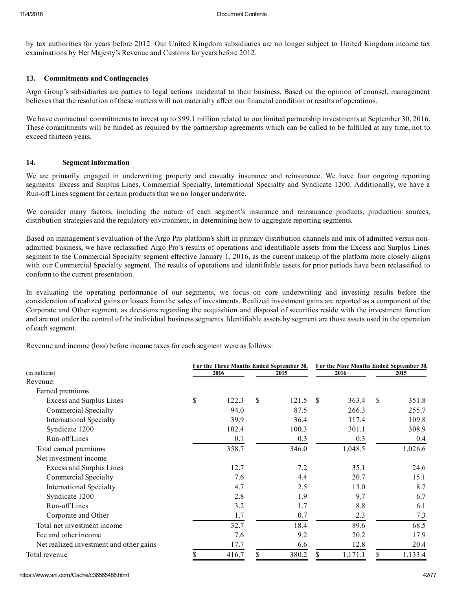by tax authorities for years before 2012. Our United Kingdom subsidiaries are no longer subject to United Kingdom income tax examinations by Her Majesty's Revenue and Customs for years before 2012.

### 13. Commitments and Contingencies

Argo Group's subsidiaries are parties to legal actions incidental to their business. Based on the opinion of counsel, management believes that the resolution of these matters will not materially affect our financial condition or results of operations.

We have contractual commitments to invest up to \$99.1 million related to our limited partnership investments at September 30, 2016. These commitments will be funded as required by the partnership agreements which can be called to be fulfilled at any time, not to exceed thirteen years.

## 14. Segment Information

We are primarily engaged in underwriting property and casualty insurance and reinsurance. We have four ongoing reporting segments: Excess and Surplus Lines, Commercial Specialty, International Specialty and Syndicate 1200. Additionally, we have a Run-off Lines segment for certain products that we no longer underwrite.

We consider many factors, including the nature of each segment's insurance and reinsurance products, production sources, distribution strategies and the regulatory environment, in determining how to aggregate reporting segments.

Based on management's evaluation of the Argo Pro platform's shift in primary distribution channels and mix of admitted versus nonadmitted business, we have reclassified Argo Pro's results of operations and identifiable assets from the Excess and Surplus Lines segment to the Commercial Specialty segment effective January 1, 2016, as the current makeup of the platform more closely aligns with our Commercial Specialty segment. The results of operations and identifiable assets for prior periods have been reclassified to conform to the current presentation.

In evaluating the operating performance of our segments, we focus on core underwriting and investing results before the consideration of realized gains or losses from the sales of investments. Realized investment gains are reported as a component of the Corporate and Other segment, as decisions regarding the acquisition and disposal of securities reside with the investment function and are not under the control of the individual business segments. Identifiable assets by segment are those assets used in the operation of each segment.

Revenue and income (loss) before income taxes for each segment were as follows:

|                                         | For the Three Months Ended September 30, |             |    |         | For the Nine Months Ended September 30, |         |  |
|-----------------------------------------|------------------------------------------|-------------|----|---------|-----------------------------------------|---------|--|
| (in millions)                           | 2016                                     | 2015        |    | 2016    |                                         | 2015    |  |
| Revenue:                                |                                          |             |    |         |                                         |         |  |
| Earned premiums                         |                                          |             |    |         |                                         |         |  |
| Excess and Surplus Lines                | \$<br>122.3                              | \$<br>121.5 | -S | 363.4   | \$                                      | 351.8   |  |
| Commercial Specialty                    | 94.0                                     | 87.5        |    | 266.3   |                                         | 255.7   |  |
| <b>International Specialty</b>          | 39.9                                     | 36.4        |    | 117.4   |                                         | 109.8   |  |
| Syndicate 1200                          | 102.4                                    | 100.3       |    | 301.1   |                                         | 308.9   |  |
| Run-off Lines                           | 0.1                                      | 0.3         |    | 0.3     |                                         | 0.4     |  |
| Total earned premiums                   | 358.7                                    | 346.0       |    | 1,048.5 |                                         | 1,026.6 |  |
| Net investment income                   |                                          |             |    |         |                                         |         |  |
| Excess and Surplus Lines                | 12.7                                     | 7.2         |    | 35.1    |                                         | 24.6    |  |
| Commercial Specialty                    | 7.6                                      | 4.4         |    | 20.7    |                                         | 15.1    |  |
| <b>International Specialty</b>          | 4.7                                      | 2.5         |    | 13.0    |                                         | 8.7     |  |
| Syndicate 1200                          | 2.8                                      | 1.9         |    | 9.7     |                                         | 6.7     |  |
| Run-off Lines                           | 3.2                                      | 1.7         |    | 8.8     |                                         | 6.1     |  |
| Corporate and Other                     | 1.7                                      | 0.7         |    | 2.3     |                                         | 7.3     |  |
| Total net investment income             | 32.7                                     | 18.4        |    | 89.6    |                                         | 68.5    |  |
| Fee and other income                    | 7.6                                      | 9.2         |    | 20.2    |                                         | 17.9    |  |
| Net realized investment and other gains | 17.7                                     | 6.6         |    | 12.8    |                                         | 20.4    |  |
| Total revenue                           | 416.7                                    | \$<br>380.2 | \$ | 1,171.1 | \$                                      | 1,133.4 |  |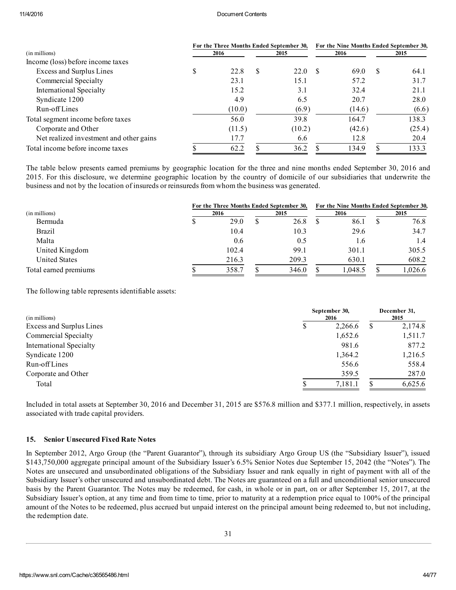|                                         | For the Three Months Ended September 30, |     |        | For the Nine Months Ended September 30, |        |      |        |
|-----------------------------------------|------------------------------------------|-----|--------|-----------------------------------------|--------|------|--------|
| (in millions)                           | 2016                                     |     | 2015   |                                         | 2016   | 2015 |        |
| Income (loss) before income taxes       |                                          |     |        |                                         |        |      |        |
| Excess and Surplus Lines                | 22.8                                     | \$. | 22.0   | - S                                     | 69.0   | S    | 64.1   |
| Commercial Specialty                    | 23.1                                     |     | 15.1   |                                         | 57.2   |      | 31.7   |
| <b>International Specialty</b>          | 15.2                                     |     | 3.1    |                                         | 32.4   |      | 21.1   |
| Syndicate 1200                          | 4.9                                      |     | 6.5    |                                         | 20.7   |      | 28.0   |
| Run-off Lines                           | (10.0)                                   |     | (6.9)  |                                         | (14.6) |      | (6.6)  |
| Total segment income before taxes       | 56.0                                     |     | 39.8   |                                         | 164.7  |      | 138.3  |
| Corporate and Other                     | (11.5)                                   |     | (10.2) |                                         | (42.6) |      | (25.4) |
| Net realized investment and other gains | 17.7                                     |     | 6.6    |                                         | 12.8   |      | 20.4   |
| Total income before income taxes        | 62.2                                     |     | 36.2   |                                         | 134.9  |      | 133.3  |

The table below presents earned premiums by geographic location for the three and nine months ended September 30, 2016 and 2015. For this disclosure, we determine geographic location by the country of domicile of our subsidiaries that underwrite the business and not by the location of insureds or reinsureds from whom the business was generated.

|                       | For the Three Months Ended September 30, | For the Nine Months Ended September 30, |  |         |  |        |
|-----------------------|------------------------------------------|-----------------------------------------|--|---------|--|--------|
| (in millions)         | 2016                                     | 2015                                    |  | 2016    |  | 2015   |
| Bermuda               | 29.0                                     | 26.8                                    |  | 86.1    |  | 76.8   |
| <b>Brazil</b>         | 10.4                                     | 10.3                                    |  | 29.6    |  | 34.7   |
| Malta                 | 0.6                                      | 0.5                                     |  | 1.6     |  | 1.4    |
| United Kingdom        | 102.4                                    | 99.1                                    |  | 301.1   |  | 305.5  |
| <b>United States</b>  | 216.3                                    | 209.3                                   |  | 630.1   |  | 608.2  |
| Total earned premiums | 358.7                                    | 346.0                                   |  | 1.048.5 |  | ,026.6 |

The following table represents identifiable assets:

| (in millions)            |   | September 30,<br>2016 |   | December 31,<br>2015 |
|--------------------------|---|-----------------------|---|----------------------|
| Excess and Surplus Lines | S | 2,266.6               | S | 2,174.8              |
| Commercial Specialty     |   | 1,652.6               |   | 1,511.7              |
| International Specialty  |   | 981.6                 |   | 877.2                |
| Syndicate 1200           |   | 1,364.2               |   | 1,216.5              |
| Run-off Lines            |   | 556.6                 |   | 558.4                |
| Corporate and Other      |   | 359.5                 |   | 287.0                |
| Total                    |   | 7,181.1               |   | 6,625.6              |

Included in total assets at September 30, 2016 and December 31, 2015 are \$576.8 million and \$377.1 million, respectively, in assets associated with trade capital providers.

### 15. Senior Unsecured Fixed Rate Notes

In September 2012, Argo Group (the "Parent Guarantor"), through its subsidiary Argo Group US (the "Subsidiary Issuer"), issued \$143,750,000 aggregate principal amount of the Subsidiary Issuer's 6.5% Senior Notes due September 15, 2042 (the "Notes"). The Notes are unsecured and unsubordinated obligations of the Subsidiary Issuer and rank equally in right of payment with all of the Subsidiary Issuer's other unsecured and unsubordinated debt. The Notes are guaranteed on a full and unconditional senior unsecured basis by the Parent Guarantor. The Notes may be redeemed, for cash, in whole or in part, on or after September 15, 2017, at the Subsidiary Issuer's option, at any time and from time to time, prior to maturity at a redemption price equal to 100% of the principal amount of the Notes to be redeemed, plus accrued but unpaid interest on the principal amount being redeemed to, but not including, the redemption date.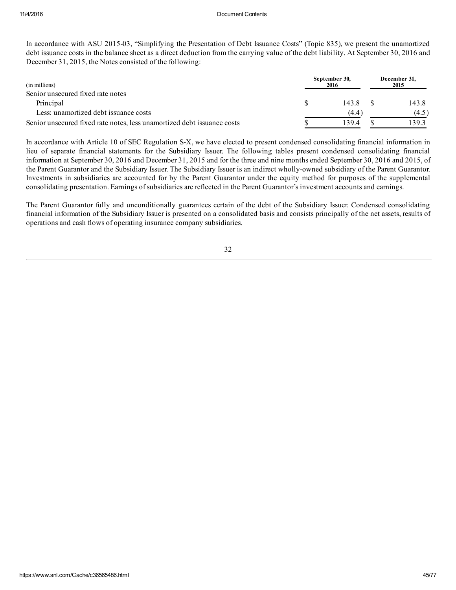In accordance with ASU 2015-03, "Simplifying the Presentation of Debt Issuance Costs" (Topic 835), we present the unamortized debt issuance costs in the balance sheet as a direct deduction from the carrying value of the debt liability. At September 30, 2016 and December 31, 2015, the Notes consisted of the following:

| (in millions)                                                           | September 30,<br>2016 | December 31,<br>2015 |
|-------------------------------------------------------------------------|-----------------------|----------------------|
| Senior unsecured fixed rate notes                                       |                       |                      |
| Principal                                                               | 143.8                 | 143.8                |
| Less: unamortized debt issuance costs                                   | (4.4)                 | (4.5)                |
| Senior unsecured fixed rate notes, less unamortized debt issuance costs | 1394                  | 139.3                |

In accordance with Article 10 of SEC Regulation SX, we have elected to present condensed consolidating financial information in lieu of separate financial statements for the Subsidiary Issuer. The following tables present condensed consolidating financial information at September 30, 2016 and December 31, 2015 and for the three and nine months ended September 30, 2016 and 2015, of the Parent Guarantor and the Subsidiary Issuer. The Subsidiary Issuer is an indirect wholly-owned subsidiary of the Parent Guarantor. Investments in subsidiaries are accounted for by the Parent Guarantor under the equity method for purposes of the supplemental consolidating presentation. Earnings ofsubsidiaries are reflected in the Parent Guarantor's investment accounts and earnings.

The Parent Guarantor fully and unconditionally guarantees certain of the debt of the Subsidiary Issuer. Condensed consolidating financial information of the Subsidiary Issuer is presented on a consolidated basis and consists principally of the net assets, results of operations and cash flows of operating insurance company subsidiaries.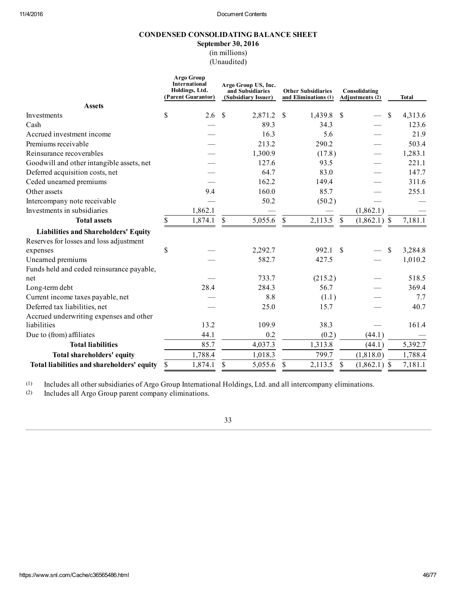## CONDENSED CONSOLIDATING BALANCE SHEET

September 30, 2016

(in millions)

(Unaudited)

|                                             | Argo Group<br>International<br>Holdings, Ltd.<br>(Parent Guarantor) |         | Argo Group US, Inc.<br>and Subsidiaries<br>(Subsidiary Issuer) |         | <b>Other Subsidiaries</b><br>and Eliminations (1) |         |              | Consolidating<br>Adjustments (2) | <b>Total</b>  |
|---------------------------------------------|---------------------------------------------------------------------|---------|----------------------------------------------------------------|---------|---------------------------------------------------|---------|--------------|----------------------------------|---------------|
| <b>Assets</b>                               |                                                                     |         |                                                                |         |                                                   |         |              |                                  |               |
| Investments                                 | \$                                                                  | 2.6     | \$                                                             | 2,871.2 | $\boldsymbol{\mathsf{S}}$                         | 1,439.8 | \$           |                                  | \$<br>4,313.6 |
| Cash                                        |                                                                     |         |                                                                | 89.3    |                                                   | 34.3    |              |                                  | 123.6         |
| Accrued investment income                   |                                                                     |         |                                                                | 16.3    |                                                   | 5.6     |              |                                  | 21.9          |
| Premiums receivable                         |                                                                     |         |                                                                | 213.2   |                                                   | 290.2   |              |                                  | 503.4         |
| Reinsurance recoverables                    |                                                                     |         |                                                                | 1,300.9 |                                                   | (17.8)  |              |                                  | 1,283.1       |
| Goodwill and other intangible assets, net   |                                                                     |         |                                                                | 127.6   |                                                   | 93.5    |              |                                  | 221.1         |
| Deferred acquisition costs, net             |                                                                     |         |                                                                | 64.7    |                                                   | 83.0    |              |                                  | 147.7         |
| Ceded unearned premiums                     |                                                                     |         |                                                                | 162.2   |                                                   | 149.4   |              |                                  | 311.6         |
| Other assets                                |                                                                     | 9.4     |                                                                | 160.0   |                                                   | 85.7    |              |                                  | 255.1         |
| Intercompany note receivable                |                                                                     |         |                                                                | 50.2    |                                                   | (50.2)  |              |                                  |               |
| Investments in subsidiaries                 |                                                                     | 1,862.1 |                                                                |         |                                                   |         |              | (1,862.1)                        |               |
| <b>Total assets</b>                         | \$                                                                  | 1,874.1 | \$                                                             | 5,055.6 | $\$$                                              | 2,113.5 | -S           | $(1,862.1)$ \$                   | 7,181.1       |
| <b>Liabilities and Shareholders' Equity</b> |                                                                     |         |                                                                |         |                                                   |         |              |                                  |               |
| Reserves for losses and loss adjustment     |                                                                     |         |                                                                |         |                                                   |         |              |                                  |               |
| expenses                                    | \$                                                                  |         |                                                                | 2,292.7 |                                                   | 992.1   | -\$          |                                  | \$<br>3,284.8 |
| Unearned premiums                           |                                                                     |         |                                                                | 582.7   |                                                   | 427.5   |              |                                  | 1,010.2       |
| Funds held and ceded reinsurance payable,   |                                                                     |         |                                                                |         |                                                   |         |              |                                  |               |
| net                                         |                                                                     |         |                                                                | 733.7   |                                                   | (215.2) |              |                                  | 518.5         |
| Long-term debt                              |                                                                     | 28.4    |                                                                | 284.3   |                                                   | 56.7    |              |                                  | 369.4         |
| Current income taxes payable, net           |                                                                     |         |                                                                | 8.8     |                                                   | (1.1)   |              |                                  | 7.7           |
| Deferred tax liabilities, net               |                                                                     |         |                                                                | 25.0    |                                                   | 15.7    |              |                                  | 40.7          |
| Accrued underwriting expenses and other     |                                                                     |         |                                                                |         |                                                   |         |              |                                  |               |
| liabilities                                 |                                                                     | 13.2    |                                                                | 109.9   |                                                   | 38.3    |              |                                  | 161.4         |
| Due to (from) affiliates                    |                                                                     | 44.1    |                                                                | 0.2     |                                                   | (0.2)   |              | (44.1)                           |               |
| <b>Total liabilities</b>                    |                                                                     | 85.7    |                                                                | 4,037.3 |                                                   | 1,313.8 |              | (44.1)                           | 5,392.7       |
| Total shareholders' equity                  |                                                                     | 1,788.4 |                                                                | 1,018.3 |                                                   | 799.7   |              | (1,818.0)                        | 1,788.4       |
| Total liabilities and shareholders' equity  | \$                                                                  | 1,874.1 | \$                                                             | 5,055.6 | \$                                                | 2,113.5 | $\mathbb{S}$ | $(1,862.1)$ \$                   | 7,181.1       |

(1) Includes all other subsidiaries of Argo Group International Holdings, Ltd. and all intercompany eliminations.<br>(2) Includes all Argo Group parent company eliminations.

Includes all Argo Group parent company eliminations.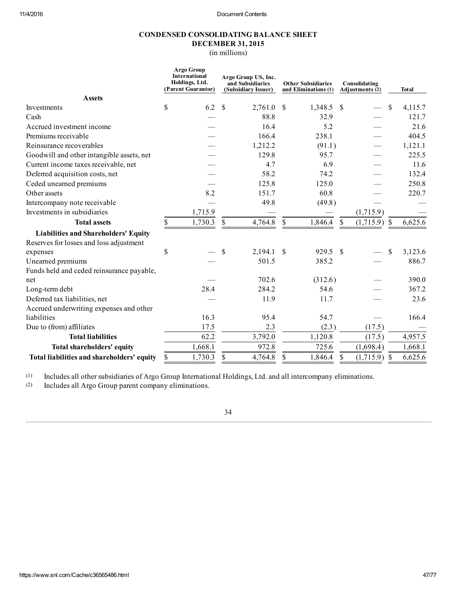# CONDENSED CONSOLIDATING BALANCE SHEET DECEMBER 31, 2015

(in millions)

|                                             | Argo Group<br>International<br>Holdings, Ltd.<br>(Parent Guarantor) |               | Argo Group US, Inc.<br>and Subsidiaries<br>(Subsidiary Issuer) |    | <b>Other Subsidiaries</b><br>and Eliminations (1) |                           | Consolidating<br>Adjustments (2) | <b>Total</b>  |
|---------------------------------------------|---------------------------------------------------------------------|---------------|----------------------------------------------------------------|----|---------------------------------------------------|---------------------------|----------------------------------|---------------|
| <b>Assets</b>                               |                                                                     |               |                                                                |    |                                                   |                           |                                  |               |
| Investments                                 | \$<br>6.2                                                           | <sup>\$</sup> | 2,761.0                                                        | \$ | 1,348.5                                           | $\mathcal{S}$             |                                  | \$<br>4,115.7 |
| Cash                                        |                                                                     |               | 88.8                                                           |    | 32.9                                              |                           |                                  | 121.7         |
| Accrued investment income                   |                                                                     |               | 16.4                                                           |    | 5.2                                               |                           |                                  | 21.6          |
| Premiums receivable                         |                                                                     |               | 166.4                                                          |    | 238.1                                             |                           |                                  | 404.5         |
| Reinsurance recoverables                    |                                                                     |               | 1,212.2                                                        |    | (91.1)                                            |                           |                                  | 1,121.1       |
| Goodwill and other intangible assets, net   |                                                                     |               | 129.8                                                          |    | 95.7                                              |                           |                                  | 225.5         |
| Current income taxes receivable, net        |                                                                     |               | 4.7                                                            |    | 6.9                                               |                           |                                  | 11.6          |
| Deferred acquisition costs, net             |                                                                     |               | 58.2                                                           |    | 74.2                                              |                           |                                  | 132.4         |
| Ceded unearned premiums                     |                                                                     |               | 125.8                                                          |    | 125.0                                             |                           |                                  | 250.8         |
| Other assets                                | 8.2                                                                 |               | 151.7                                                          |    | 60.8                                              |                           |                                  | 220.7         |
| Intercompany note receivable                |                                                                     |               | 49.8                                                           |    | (49.8)                                            |                           |                                  |               |
| Investments in subsidiaries                 | 1,715.9                                                             |               |                                                                |    |                                                   |                           | (1,715.9)                        |               |
| <b>Total assets</b>                         | \$<br>1,730.3                                                       | <sup>\$</sup> | 4,764.8                                                        | \$ | 1,846.4                                           | $\boldsymbol{\mathsf{S}}$ | $(1,715.9)$ \$                   | 6,625.6       |
| <b>Liabilities and Shareholders' Equity</b> |                                                                     |               |                                                                |    |                                                   |                           |                                  |               |
| Reserves for losses and loss adjustment     |                                                                     |               |                                                                |    |                                                   |                           |                                  |               |
| expenses                                    | \$                                                                  | \$            | 2,194.1                                                        | \$ | 929.5                                             | - \$                      |                                  | \$<br>3,123.6 |
| Unearned premiums                           |                                                                     |               | 501.5                                                          |    | 385.2                                             |                           |                                  | 886.7         |
| Funds held and ceded reinsurance payable,   |                                                                     |               |                                                                |    |                                                   |                           |                                  |               |
| net                                         |                                                                     |               | 702.6                                                          |    | (312.6)                                           |                           |                                  | 390.0         |
| Long-term debt                              | 28.4                                                                |               | 284.2                                                          |    | 54.6                                              |                           |                                  | 367.2         |
| Deferred tax liabilities, net               |                                                                     |               | 11.9                                                           |    | 11.7                                              |                           |                                  | 23.6          |
| Accrued underwriting expenses and other     |                                                                     |               |                                                                |    |                                                   |                           |                                  |               |
| liabilities                                 | 16.3                                                                |               | 95.4                                                           |    | 54.7                                              |                           |                                  | 166.4         |
| Due to (from) affiliates                    | 17.5                                                                |               | 2.3                                                            |    | (2.3)                                             |                           | (17.5)                           |               |
| <b>Total liabilities</b>                    | 62.2                                                                |               | 3,792.0                                                        |    | 1,120.8                                           |                           | (17.5)                           | 4,957.5       |
| Total shareholders' equity                  | 1,668.1                                                             |               | 972.8                                                          |    | 725.6                                             |                           | (1,698.4)                        | 1,668.1       |
| Total liabilities and shareholders' equity  | \$<br>1,730.3                                                       | \$            | 4,764.8                                                        | \$ | 1,846.4                                           | $\mathbb{S}$              | $(1,715.9)$ \$                   | 6,625.6       |

 $(1)$  Includes all other subsidiaries of Argo Group International Holdings, Ltd. and all intercompany eliminations.

(2) Includes all Argo Group parent company eliminations.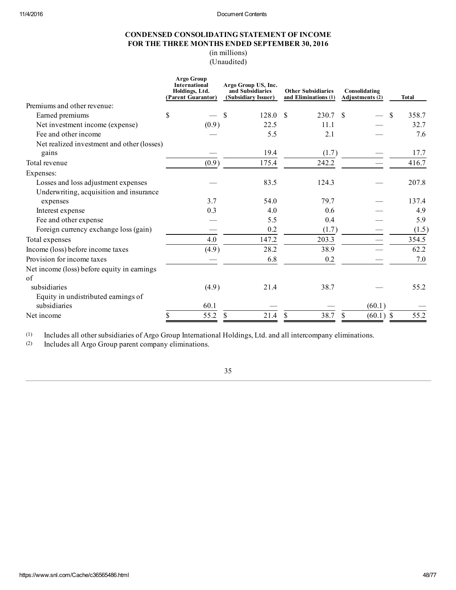## CONDENSED CONSOLIDATING STATEMENT OF INCOME FOR THE THREE MONTHS ENDED SEPTEMBER 30, 2016

(in millions) (Unaudited)

|                                                     | Argo Group<br><b>International</b><br>Holdings, Ltd.<br>(Parent Guarantor) | Argo Group US, Inc.<br>and Subsidiaries<br>(Subsidiary Issuer) | <b>Other Subsidiaries</b><br>and Eliminations (1) | Consolidating<br>Adjustments (2) | <b>Total</b> |
|-----------------------------------------------------|----------------------------------------------------------------------------|----------------------------------------------------------------|---------------------------------------------------|----------------------------------|--------------|
| Premiums and other revenue:                         |                                                                            |                                                                |                                                   |                                  |              |
| Earned premiums                                     | \$                                                                         | \$<br>128.0                                                    | 230.7<br><b>S</b>                                 | \$<br>-S                         | 358.7        |
| Net investment income (expense)                     | (0.9)                                                                      | 22.5                                                           | 11.1                                              |                                  | 32.7         |
| Fee and other income                                |                                                                            | 5.5                                                            | 2.1                                               |                                  | 7.6          |
| Net realized investment and other (losses)          |                                                                            |                                                                |                                                   |                                  |              |
| gains                                               |                                                                            | 19.4                                                           | (1.7)                                             |                                  | 17.7         |
| Total revenue                                       | (0.9)                                                                      | 175.4                                                          | 242.2                                             |                                  | 416.7        |
| Expenses:                                           |                                                                            |                                                                |                                                   |                                  |              |
| Losses and loss adjustment expenses                 |                                                                            | 83.5                                                           | 124.3                                             |                                  | 207.8        |
| Underwriting, acquisition and insurance             |                                                                            |                                                                |                                                   |                                  |              |
| expenses                                            | 3.7                                                                        | 54.0                                                           | 79.7                                              |                                  | 137.4        |
| Interest expense                                    | 0.3                                                                        | 4.0                                                            | 0.6                                               |                                  | 4.9          |
| Fee and other expense                               |                                                                            | 5.5                                                            | 0.4                                               |                                  | 5.9          |
| Foreign currency exchange loss (gain)               |                                                                            | 0.2                                                            | (1.7)                                             |                                  | (1.5)        |
| Total expenses                                      | 4.0                                                                        | 147.2                                                          | 203.3                                             |                                  | 354.5        |
| Income (loss) before income taxes                   | (4.9)                                                                      | 28.2                                                           | 38.9                                              |                                  | 62.2         |
| Provision for income taxes                          |                                                                            | 6.8                                                            | 0.2                                               |                                  | 7.0          |
| Net income (loss) before equity in earnings<br>of   |                                                                            |                                                                |                                                   |                                  |              |
| subsidiaries                                        | (4.9)                                                                      | 21.4                                                           | 38.7                                              |                                  | 55.2         |
| Equity in undistributed earnings of<br>subsidiaries | 60.1                                                                       |                                                                |                                                   | (60.1)                           |              |
| Net income                                          | \$<br>55.2                                                                 | \$<br>21.4                                                     | 38.7<br>\$                                        | \$<br>$(60.1)$ \$                | 55.2         |

(1) Includes all other subsidiaries of Argo Group International Holdings, Ltd. and all intercompany eliminations.<br>(2) Includes all Argo Group parent company eliminations.

Includes all Argo Group parent company eliminations.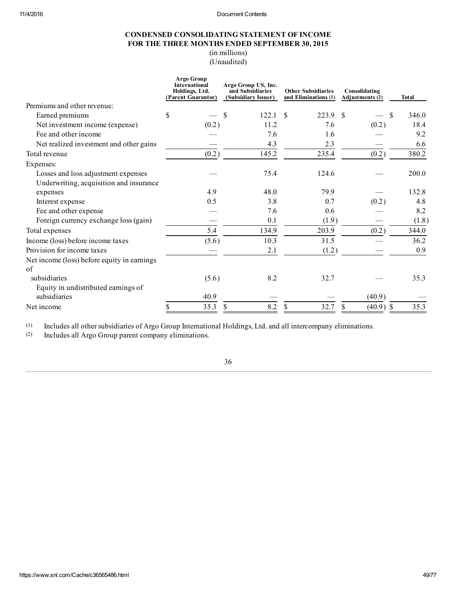## CONDENSED CONSOLIDATING STATEMENT OF INCOME FOR THE THREE MONTHS ENDED SEPTEMBER 30, 2015

(in millions) (Unaudited)

|                                             | Argo Group<br><b>International</b><br>Holdings, Ltd.<br>(Parent Guarantor) | Argo Group US, Inc.<br>and Subsidiaries<br>(Subsidiary Issuer) | <b>Other Subsidiaries</b><br>and Eliminations (1) | Consolidating<br>Adjustments (2) | Total |
|---------------------------------------------|----------------------------------------------------------------------------|----------------------------------------------------------------|---------------------------------------------------|----------------------------------|-------|
| Premiums and other revenue:                 |                                                                            |                                                                |                                                   |                                  |       |
| Earned premiums                             | \$                                                                         | \$<br>122.1                                                    | \$<br>223.9                                       | -\$<br>S.                        | 346.0 |
| Net investment income (expense)             | (0.2)                                                                      | 11.2                                                           | 7.6                                               | (0.2)                            | 18.4  |
| Fee and other income                        |                                                                            | 7.6                                                            | 1.6                                               |                                  | 9.2   |
| Net realized investment and other gains     |                                                                            | 4.3                                                            | 2.3                                               |                                  | 6.6   |
| Total revenue                               | (0.2)                                                                      | 145.2                                                          | 235.4                                             | (0.2)                            | 380.2 |
| Expenses:                                   |                                                                            |                                                                |                                                   |                                  |       |
| Losses and loss adjustment expenses         |                                                                            | 75.4                                                           | 124.6                                             |                                  | 200.0 |
| Underwriting, acquisition and insurance     |                                                                            |                                                                |                                                   |                                  |       |
| expenses                                    | 4.9                                                                        | 48.0                                                           | 79.9                                              |                                  | 132.8 |
| Interest expense                            | 0.5                                                                        | 3.8                                                            | 0.7                                               | (0.2)                            | 4.8   |
| Fee and other expense                       |                                                                            | 7.6                                                            | 0.6                                               |                                  | 8.2   |
| Foreign currency exchange loss (gain)       |                                                                            | 0.1                                                            | (1.9)                                             |                                  | (1.8) |
| Total expenses                              | 5.4                                                                        | 134.9                                                          | 203.9                                             | (0.2)                            | 344.0 |
| Income (loss) before income taxes           | (5.6)                                                                      | 10.3                                                           | 31.5                                              |                                  | 36.2  |
| Provision for income taxes                  |                                                                            | 2.1                                                            | (1.2)                                             |                                  | 0.9   |
| Net income (loss) before equity in earnings |                                                                            |                                                                |                                                   |                                  |       |
| $\alpha$ f                                  |                                                                            |                                                                |                                                   |                                  |       |
| subsidiaries                                | (5.6)                                                                      | 8.2                                                            | 32.7                                              |                                  | 35.3  |
| Equity in undistributed earnings of         |                                                                            |                                                                |                                                   |                                  |       |
| subsidiaries                                | 40.9                                                                       |                                                                |                                                   | (40.9)                           |       |
| Net income                                  | 35.3                                                                       | $8.2\,$<br>\$                                                  | 32.7<br>\$                                        | \$<br>$(40.9)$ \$                | 35.3  |

(1) Includes all other subsidiaries of Argo Group International Holdings, Ltd. and all intercompany eliminations.<br>(2) Includes all Argo Group parent company eliminations.

Includes all Argo Group parent company eliminations.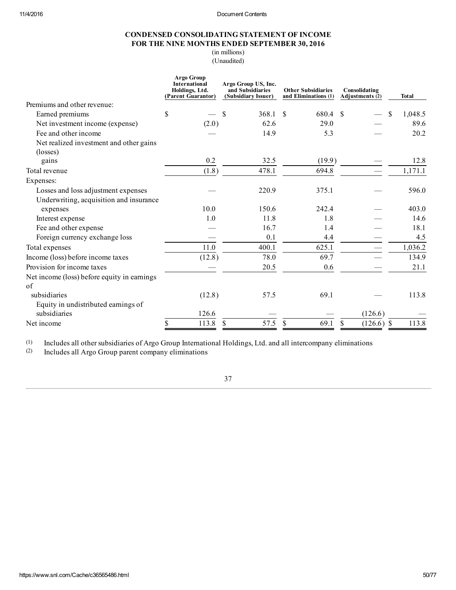## CONDENSED CONSOLIDATING STATEMENT OF INCOME FOR THE NINE MONTHS ENDED SEPTEMBER 30, 2016

(in millions) (Unaudited)

|                                                     | Argo Group<br>International<br>Holdings, Ltd.<br>(Parent Guarantor) |        | Argo Group US, Inc.<br>and Subsidiaries<br>(Subsidiary Issuer) | <b>Other Subsidiaries</b><br>and Eliminations (1) |    | Consolidating<br>Adjustments (2) |              | <b>Total</b> |
|-----------------------------------------------------|---------------------------------------------------------------------|--------|----------------------------------------------------------------|---------------------------------------------------|----|----------------------------------|--------------|--------------|
| Premiums and other revenue:                         |                                                                     |        |                                                                |                                                   |    |                                  |              |              |
| Earned premiums                                     | \$                                                                  |        | \$<br>368.1                                                    | -S<br>680.4                                       | -S |                                  | <sup>S</sup> | 1,048.5      |
| Net investment income (expense)                     |                                                                     | (2.0)  | 62.6                                                           | 29.0                                              |    |                                  |              | 89.6         |
| Fee and other income                                |                                                                     |        | 14.9                                                           | 5.3                                               |    |                                  |              | 20.2         |
| Net realized investment and other gains<br>(losses) |                                                                     |        |                                                                |                                                   |    |                                  |              |              |
| gains                                               |                                                                     | 0.2    | 32.5                                                           | (19.9)                                            |    |                                  |              | 12.8         |
| Total revenue                                       |                                                                     | (1.8)  | 478.1                                                          | 694.8                                             |    |                                  |              | 1,171.1      |
| Expenses:                                           |                                                                     |        |                                                                |                                                   |    |                                  |              |              |
| Losses and loss adjustment expenses                 |                                                                     |        | 220.9                                                          | 375.1                                             |    |                                  |              | 596.0        |
| Underwriting, acquisition and insurance             |                                                                     |        |                                                                |                                                   |    |                                  |              |              |
| expenses                                            |                                                                     | 10.0   | 150.6                                                          | 242.4                                             |    |                                  |              | 403.0        |
| Interest expense                                    |                                                                     | 1.0    | 11.8                                                           | 1.8                                               |    |                                  |              | 14.6         |
| Fee and other expense                               |                                                                     |        | 16.7                                                           | 1.4                                               |    |                                  |              | 18.1         |
| Foreign currency exchange loss                      |                                                                     |        | 0.1                                                            | 4.4                                               |    |                                  |              | 4.5          |
| Total expenses                                      |                                                                     | 11.0   | 400.1                                                          | 625.1                                             |    |                                  |              | 1,036.2      |
| Income (loss) before income taxes                   |                                                                     | (12.8) | 78.0                                                           | 69.7                                              |    |                                  |              | 134.9        |
| Provision for income taxes                          |                                                                     |        | 20.5                                                           | 0.6                                               |    |                                  |              | 21.1         |
| Net income (loss) before equity in earnings         |                                                                     |        |                                                                |                                                   |    |                                  |              |              |
| of                                                  |                                                                     |        |                                                                |                                                   |    |                                  |              |              |
| subsidiaries                                        |                                                                     | (12.8) | 57.5                                                           | 69.1                                              |    |                                  |              | 113.8        |
| Equity in undistributed earnings of                 |                                                                     |        |                                                                |                                                   |    |                                  |              |              |
| subsidiaries                                        |                                                                     | 126.6  |                                                                |                                                   |    | (126.6)                          |              |              |
| Net income                                          | \$                                                                  | 113.8  | \$<br>57.5                                                     | \$<br>69.1                                        | \$ | $(126.6)$ \$                     |              | 113.8        |

(1) Includes all other subsidiaries of Argo Group International Holdings, Ltd. and all intercompany eliminations Includes all Argo Group parent company eliminations

Includes all Argo Group parent company eliminations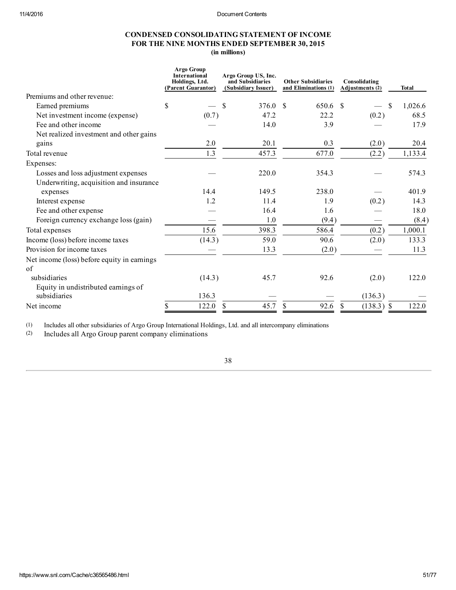# CONDENSED CONSOLIDATING STATEMENT OF INCOME FOR THE NINE MONTHS ENDED SEPTEMBER 30, 2015

(in millions)

|                                                     | Argo Group<br><b>International</b><br>Holdings, Ltd.<br>(Parent Guarantor) | Argo Group US, Inc.<br>and Subsidiaries<br>(Subsidiary Issuer) | <b>Other Subsidiaries</b><br>and Eliminations (1) | Consolidating<br>Adjustments (2) | <b>Total</b> |
|-----------------------------------------------------|----------------------------------------------------------------------------|----------------------------------------------------------------|---------------------------------------------------|----------------------------------|--------------|
| Premiums and other revenue:                         |                                                                            |                                                                |                                                   |                                  |              |
| Earned premiums                                     | \$                                                                         | S<br>376.0                                                     | \$<br>650.6                                       | \$<br>\$                         | 1,026.6      |
| Net investment income (expense)                     | (0.7)                                                                      | 47.2                                                           | 22.2                                              | (0.2)                            | 68.5         |
| Fee and other income                                |                                                                            | 14.0                                                           | 3.9                                               |                                  | 17.9         |
| Net realized investment and other gains             |                                                                            |                                                                |                                                   |                                  |              |
| gains                                               | 2.0                                                                        | 20.1                                                           | 0.3                                               | (2.0)                            | 20.4         |
| Total revenue                                       | 1.3                                                                        | 457.3                                                          | 677.0                                             | (2.2)                            | 1,133.4      |
| Expenses:                                           |                                                                            |                                                                |                                                   |                                  |              |
| Losses and loss adjustment expenses                 |                                                                            | 220.0                                                          | 354.3                                             |                                  | 574.3        |
| Underwriting, acquisition and insurance             |                                                                            |                                                                |                                                   |                                  |              |
| expenses                                            | 14.4                                                                       | 149.5                                                          | 238.0                                             |                                  | 401.9        |
| Interest expense                                    | 1.2                                                                        | 11.4                                                           | 1.9                                               | (0.2)                            | 14.3         |
| Fee and other expense                               |                                                                            | 16.4                                                           | 1.6                                               |                                  | 18.0         |
| Foreign currency exchange loss (gain)               |                                                                            | 1.0                                                            | (9.4)                                             |                                  | (8.4)        |
| Total expenses                                      | 15.6                                                                       | 398.3                                                          | 586.4                                             | (0.2)                            | 1,000.1      |
| Income (loss) before income taxes                   | (14.3)                                                                     | 59.0                                                           | 90.6                                              | (2.0)                            | 133.3        |
| Provision for income taxes                          |                                                                            | 13.3                                                           | (2.0)                                             |                                  | 11.3         |
| Net income (loss) before equity in earnings         |                                                                            |                                                                |                                                   |                                  |              |
| of                                                  |                                                                            |                                                                |                                                   |                                  |              |
| subsidiaries                                        | (14.3)                                                                     | 45.7                                                           | 92.6                                              | (2.0)                            | 122.0        |
| Equity in undistributed earnings of<br>subsidiaries | 136.3                                                                      |                                                                |                                                   | (136.3)                          |              |
| Net income                                          | 122.0<br>\$                                                                | <sup>\$</sup><br>45.7                                          | 92.6<br>\$                                        | <sup>\$</sup><br>$(138.3)$ \$    | 122.0        |

(1) Includes all other subsidiaries of Argo Group International Holdings, Ltd. and all intercompany eliminations

Includes all Argo Group parent company eliminations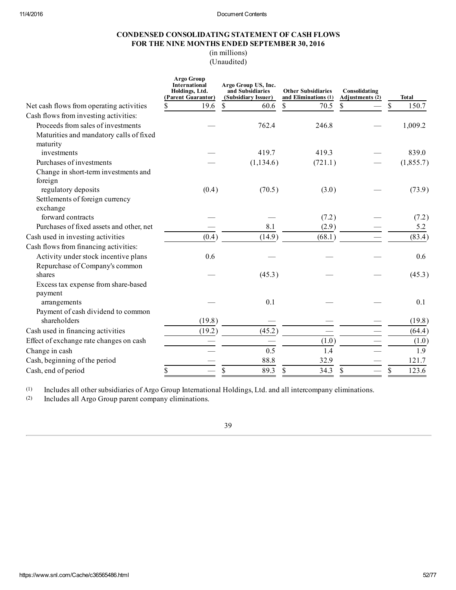### CONDENSED CONSOLIDATING STATEMENT OF CASH FLOWS FOR THE NINE MONTHS ENDED SEPTEMBER 30, 2016

(in millions) (Unaudited)

|                                                     | Argo Group<br><b>International</b><br>Holdings, Ltd.<br>(Parent Guarantor) | Argo Group US, Inc.<br>and Subsidiaries<br>(Subsidiary Issuer) | <b>Other Subsidiaries</b><br>and Eliminations (1) | Consolidating<br>Adjustments $(2)$ | <b>Total</b> |
|-----------------------------------------------------|----------------------------------------------------------------------------|----------------------------------------------------------------|---------------------------------------------------|------------------------------------|--------------|
| Net cash flows from operating activities            | 19.6<br>\$                                                                 | \$<br>60.6                                                     | \$<br>70.5                                        | \$                                 | 150.7<br>\$  |
| Cash flows from investing activities:               |                                                                            |                                                                |                                                   |                                    |              |
| Proceeds from sales of investments                  |                                                                            | 762.4                                                          | 246.8                                             |                                    | 1,009.2      |
| Maturities and mandatory calls of fixed<br>maturity |                                                                            |                                                                |                                                   |                                    |              |
| investments                                         |                                                                            | 419.7                                                          | 419.3                                             |                                    | 839.0        |
| Purchases of investments                            |                                                                            | (1, 134.6)                                                     | (721.1)                                           |                                    | (1, 855.7)   |
| Change in short-term investments and<br>foreign     |                                                                            |                                                                |                                                   |                                    |              |
| regulatory deposits                                 | (0.4)                                                                      | (70.5)                                                         | (3.0)                                             |                                    | (73.9)       |
| Settlements of foreign currency                     |                                                                            |                                                                |                                                   |                                    |              |
| exchange                                            |                                                                            |                                                                |                                                   |                                    |              |
| forward contracts                                   |                                                                            |                                                                | (7.2)                                             |                                    | (7.2)        |
| Purchases of fixed assets and other, net            |                                                                            | 8.1                                                            | (2.9)                                             |                                    | 5.2          |
| Cash used in investing activities                   | (0.4)                                                                      | (14.9)                                                         | (68.1)                                            |                                    | (83.4)       |
| Cash flows from financing activities:               |                                                                            |                                                                |                                                   |                                    |              |
| Activity under stock incentive plans                | 0.6                                                                        |                                                                |                                                   |                                    | 0.6          |
| Repurchase of Company's common                      |                                                                            |                                                                |                                                   |                                    |              |
| shares                                              |                                                                            | (45.3)                                                         |                                                   |                                    | (45.3)       |
| Excess tax expense from share-based<br>payment      |                                                                            |                                                                |                                                   |                                    |              |
| arrangements                                        |                                                                            | 0.1                                                            |                                                   |                                    | 0.1          |
| Payment of cash dividend to common                  |                                                                            |                                                                |                                                   |                                    |              |
| shareholders                                        | (19.8)                                                                     |                                                                |                                                   |                                    | (19.8)       |
| Cash used in financing activities                   | (19.2)                                                                     | (45.2)                                                         |                                                   |                                    | (64.4)       |
| Effect of exchange rate changes on cash             |                                                                            |                                                                | (1.0)                                             |                                    | (1.0)        |
| Change in cash                                      |                                                                            | 0.5                                                            | 1.4                                               |                                    | 1.9          |
| Cash, beginning of the period                       |                                                                            | 88.8                                                           | 32.9                                              |                                    | 121.7        |
| Cash, end of period                                 | \$                                                                         | \$<br>89.3                                                     | 34.3<br>\$                                        | \$                                 | \$<br>123.6  |

(1) Includes all other subsidiaries of Argo Group International Holdings, Ltd. and all intercompany eliminations.

(2) Includes all Argo Group parent company eliminations.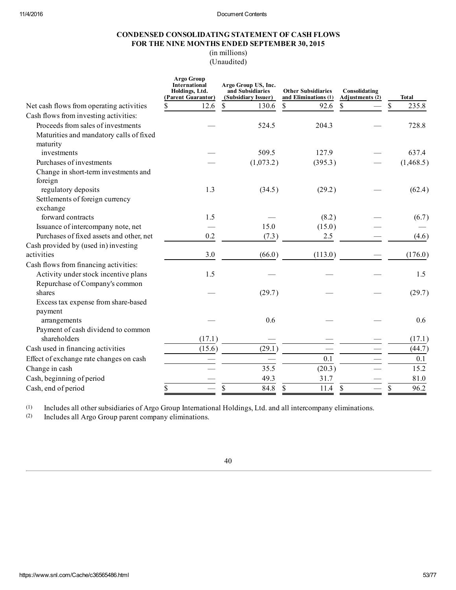## CONDENSED CONSOLIDATING STATEMENT OF CASH FLOWS FOR THE NINE MONTHS ENDED SEPTEMBER 30, 2015

(in millions) (Unaudited)

|                                                     | Argo Group<br>International<br>Holdings, Ltd.<br>(Parent Guarantor) | Argo Group US, Inc.<br>and Subsidiaries<br>(Subsidiary Issuer) | <b>Other Subsidiaries</b><br>and Eliminations (1) | Consolidating<br>Adjustments $(2)$ | <b>Total</b> |
|-----------------------------------------------------|---------------------------------------------------------------------|----------------------------------------------------------------|---------------------------------------------------|------------------------------------|--------------|
| Net cash flows from operating activities            | 12.6<br>S                                                           | \$<br>130.6                                                    | \$<br>92.6                                        | \$                                 | 235.8<br>\$  |
| Cash flows from investing activities:               |                                                                     |                                                                |                                                   |                                    |              |
| Proceeds from sales of investments                  |                                                                     | 524.5                                                          | 204.3                                             |                                    | 728.8        |
| Maturities and mandatory calls of fixed<br>maturity |                                                                     |                                                                |                                                   |                                    |              |
| investments                                         |                                                                     | 509.5                                                          | 127.9                                             |                                    | 637.4        |
| Purchases of investments                            |                                                                     | (1,073.2)                                                      | (395.3)                                           |                                    | (1,468.5)    |
| Change in short-term investments and<br>foreign     |                                                                     |                                                                |                                                   |                                    |              |
| regulatory deposits                                 | 1.3                                                                 | (34.5)                                                         | (29.2)                                            |                                    | (62.4)       |
| Settlements of foreign currency                     |                                                                     |                                                                |                                                   |                                    |              |
| exchange                                            |                                                                     |                                                                |                                                   |                                    |              |
| forward contracts                                   | 1.5                                                                 |                                                                | (8.2)                                             |                                    | (6.7)        |
| Issuance of intercompany note, net                  |                                                                     | 15.0                                                           | (15.0)                                            |                                    |              |
| Purchases of fixed assets and other, net            | 0.2                                                                 | (7.3)                                                          | 2.5                                               |                                    | (4.6)        |
| Cash provided by (used in) investing                |                                                                     |                                                                |                                                   |                                    |              |
| activities                                          | 3.0                                                                 | (66.0)                                                         | (113.0)                                           |                                    | (176.0)      |
| Cash flows from financing activities:               |                                                                     |                                                                |                                                   |                                    |              |
| Activity under stock incentive plans                | 1.5                                                                 |                                                                |                                                   |                                    | 1.5          |
| Repurchase of Company's common                      |                                                                     |                                                                |                                                   |                                    |              |
| shares                                              |                                                                     | (29.7)                                                         |                                                   |                                    | (29.7)       |
| Excess tax expense from share-based<br>payment      |                                                                     |                                                                |                                                   |                                    |              |
| arrangements                                        |                                                                     | 0.6                                                            |                                                   |                                    | 0.6          |
| Payment of cash dividend to common<br>shareholders  | (17.1)                                                              |                                                                |                                                   |                                    | (17.1)       |
| Cash used in financing activities                   | (15.6)                                                              | (29.1)                                                         |                                                   |                                    | (44.7)       |
| Effect of exchange rate changes on cash             |                                                                     |                                                                | 0.1                                               |                                    | 0.1          |
| Change in cash                                      |                                                                     | 35.5                                                           | (20.3)                                            |                                    | 15.2         |
| Cash, beginning of period                           |                                                                     | 49.3                                                           | 31.7                                              |                                    | 81.0         |
| Cash, end of period                                 | \$                                                                  | \$<br>84.8                                                     | \$<br>11.4                                        | \$                                 | \$<br>96.2   |

(1) Includes all other subsidiaries of Argo Group International Holdings, Ltd. and all intercompany eliminations.

(2) Includes all Argo Group parent company eliminations.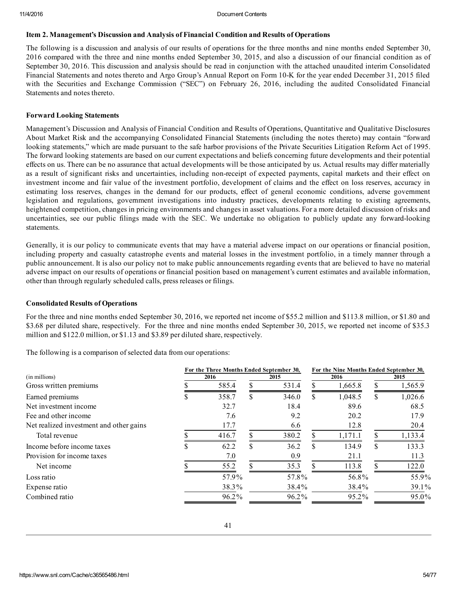## Item 2. Management's Discussion and Analysis of Financial Condition and Results of Operations

The following is a discussion and analysis of our results of operations for the three months and nine months ended September 30, 2016 compared with the three and nine months ended September 30, 2015, and also a discussion of our financial condition as of September 30, 2016. This discussion and analysis should be read in conjunction with the attached unaudited interim Consolidated Financial Statements and notes thereto and Argo Group's Annual Report on Form 10K for the year ended December 31, 2015 filed with the Securities and Exchange Commission ("SEC") on February 26, 2016, including the audited Consolidated Financial Statements and notes thereto.

#### Forward Looking Statements

Management's Discussion and Analysis of Financial Condition and Results of Operations, Quantitative and Qualitative Disclosures About Market Risk and the accompanying Consolidated Financial Statements (including the notes thereto) may contain "forward looking statements," which are made pursuant to the safe harbor provisions of the Private Securities Litigation Reform Act of 1995. The forward looking statements are based on our current expectations and beliefs concerning future developments and their potential effects on us. There can be no assurance that actual developments will be those anticipated by us. Actual results may differ materially as a result of significant risks and uncertainties, including nonreceipt of expected payments, capital markets and their effect on investment income and fair value of the investment portfolio, development of claims and the effect on loss reserves, accuracy in estimating loss reserves, changes in the demand for our products, effect of general economic conditions, adverse government legislation and regulations, government investigations into industry practices, developments relating to existing agreements, heightened competition, changes in pricing environments and changes in asset valuations. For a more detailed discussion of risks and uncertainties, see our public filings made with the SEC. We undertake no obligation to publicly update any forward-looking statements.

Generally, it is our policy to communicate events that may have a material adverse impact on our operations or financial position, including property and casualty catastrophe events and material losses in the investment portfolio, in a timely manner through a public announcement. It is also our policy not to make public announcements regarding events that are believed to have no material adverse impact on our results of operations or financial position based on management's current estimates and available information, other than through regularly scheduled calls, press releases or filings.

### Consolidated Results of Operations

For the three and nine months ended September 30, 2016, we reported net income of \$55.2 million and \$113.8 million, or \$1.80 and \$3.68 per diluted share, respectively. For the three and nine months ended September 30, 2015, we reported net income of \$35.3 million and \$122.0 million, or \$1.13 and \$3.89 per diluted share, respectively.

The following is a comparison of selected data from our operations:

|                                         | For the Three Months Ended September 30, |       |      |       |      | For the Nine Months Ended September 30, |      |         |  |
|-----------------------------------------|------------------------------------------|-------|------|-------|------|-----------------------------------------|------|---------|--|
| (in millions)                           |                                          | 2016  | 2015 |       | 2016 |                                         | 2015 |         |  |
| Gross written premiums                  |                                          | 585.4 |      | 531.4 |      | 1,665.8                                 |      | 1,565.9 |  |
| Earned premiums                         |                                          | 358.7 | S    | 346.0 | S    | 1,048.5                                 | S    | 1,026.6 |  |
| Net investment income                   |                                          | 32.7  |      | 18.4  |      | 89.6                                    |      | 68.5    |  |
| Fee and other income                    |                                          | 7.6   |      | 9.2   |      | 20.2                                    |      | 17.9    |  |
| Net realized investment and other gains |                                          | 17.7  |      | 6.6   |      | 12.8                                    |      | 20.4    |  |
| Total revenue                           |                                          | 416.7 |      | 380.2 |      | 1,171.1                                 |      | 1,133.4 |  |
| Income before income taxes              | ۰D.                                      | 62.2  | S    | 36.2  |      | 134.9                                   | S    | 133.3   |  |
| Provision for income taxes              |                                          | 7.0   |      | 0.9   |      | 21.1                                    |      | 11.3    |  |
| Net income                              |                                          | 55.2  |      | 35.3  |      | 113.8                                   |      | 122.0   |  |
| Loss ratio                              |                                          | 57.9% |      | 57.8% |      | 56.8%                                   |      | 55.9%   |  |
| Expense ratio                           |                                          | 38.3% |      | 38.4% |      | 38.4%                                   |      | 39.1%   |  |
| Combined ratio                          |                                          | 96.2% |      | 96.2% |      | 95.2%                                   |      | 95.0%   |  |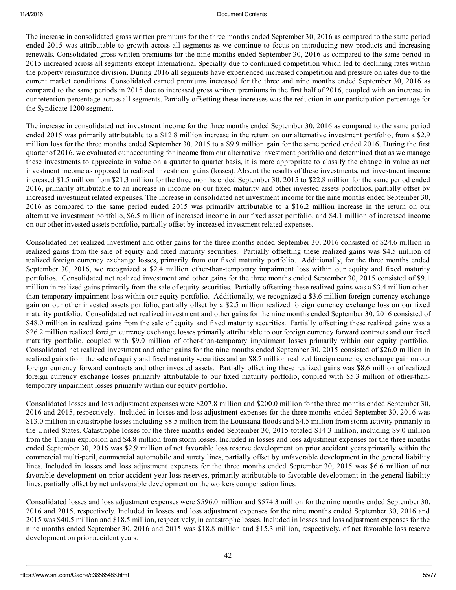The increase in consolidated gross written premiums for the three months ended September 30, 2016 as compared to the same period ended 2015 was attributable to growth across all segments as we continue to focus on introducing new products and increasing renewals. Consolidated gross written premiums for the nine months ended September 30, 2016 as compared to the same period in 2015 increased across all segments except International Specialty due to continued competition which led to declining rates within the property reinsurance division. During 2016 all segments have experienced increased competition and pressure on rates due to the current market conditions. Consolidated earned premiums increased for the three and nine months ended September 30, 2016 as compared to the same periods in 2015 due to increased gross written premiums in the first half of 2016, coupled with an increase in our retention percentage across all segments. Partially offsetting these increases was the reduction in our participation percentage for the Syndicate 1200 segment.

The increase in consolidated net investment income for the three months ended September 30, 2016 as compared to the same period ended 2015 was primarily attributable to a \$12.8 million increase in the return on our alternative investment portfolio, from a \$2.9 million loss for the three months ended September 30, 2015 to a \$9.9 million gain for the same period ended 2016. During the first quarter of 2016, we evaluated our accounting for income from our alternative investment portfolio and determined that as we manage these investments to appreciate in value on a quarter to quarter basis, it is more appropriate to classify the change in value as net investment income as opposed to realized investment gains (losses). Absent the results of these investments, net investment income increased \$1.5 million from \$21.3 million for the three months ended September 30, 2015 to \$22.8 million for the same period ended 2016, primarily attributable to an increase in income on our fixed maturity and other invested assets portfolios, partially offset by increased investment related expenses. The increase in consolidated net investment income for the nine months ended September 30, 2016 as compared to the same period ended 2015 was primarily attributable to a \$16.2 million increase in the return on our alternative investment portfolio, \$6.5 million of increased income in our fixed asset portfolio, and \$4.1 million of increased income on our other invested assets portfolio, partially offset by increased investment related expenses.

Consolidated net realized investment and other gains for the three months ended September 30, 2016 consisted of \$24.6 million in realized gains from the sale of equity and fixed maturity securities. Partially offsetting these realized gains was \$4.5 million of realized foreign currency exchange losses, primarily from our fixed maturity portfolio. Additionally, for the three months ended September 30, 2016, we recognized a \$2.4 million other-than-temporary impairment loss within our equity and fixed maturity portfolios. Consolidated net realized investment and other gains for the three months ended September 30, 2015 consisted of \$9.1 million in realized gains primarily from the sale of equity securities. Partially offsetting these realized gains was a \$3.4 million otherthan-temporary impairment loss within our equity portfolio. Additionally, we recognized a \$3.6 million foreign currency exchange gain on our other invested assets portfolio, partially offset by a \$2.5 million realized foreign currency exchange loss on our fixed maturity portfolio. Consolidated net realized investment and other gains for the nine months ended September 30, 2016 consisted of \$48.0 million in realized gains from the sale of equity and fixed maturity securities. Partially offsetting these realized gains was a \$26.2 million realized foreign currency exchange losses primarily attributable to our foreign currency forward contracts and our fixed maturity portfolio, coupled with \$9.0 million of other-than-temporary impairment losses primarily within our equity portfolio. Consolidated net realized investment and other gains for the nine months ended September 30, 2015 consisted of \$26.0 million in realized gains from the sale of equity and fixed maturity securities and an \$8.7 million realized foreign currency exchange gain on our foreign currency forward contracts and other invested assets. Partially offsetting these realized gains was \$8.6 million of realized foreign currency exchange losses primarily attributable to our fixed maturity portfolio, coupled with \$5.3 million of other-thantemporary impairment losses primarily within our equity portfolio.

Consolidated losses and loss adjustment expenses were \$207.8 million and \$200.0 million for the three months ended September 30, 2016 and 2015, respectively. Included in losses and loss adjustment expenses for the three months ended September 30, 2016 was \$13.0 million in catastrophe losses including \$8.5 million from the Louisiana floods and \$4.5 million from storm activity primarily in the United States. Catastrophe losses for the three months ended September 30, 2015 totaled \$14.3 million, including \$9.0 million from the Tianjin explosion and \$4.8 million from storm losses. Included in losses and loss adjustment expenses for the three months ended September 30, 2016 was \$2.9 million of net favorable loss reserve development on prior accident years primarily within the commercial multi-peril, commercial automobile and surety lines, partially offset by unfavorable development in the general liability lines. Included in losses and loss adjustment expenses for the three months ended September 30, 2015 was \$6.6 million of net favorable development on prior accident year loss reserves, primarily attributable to favorable development in the general liability lines, partially offset by net unfavorable development on the workers compensation lines.

Consolidated losses and loss adjustment expenses were \$596.0 million and \$574.3 million for the nine months ended September 30, 2016 and 2015, respectively. Included in losses and loss adjustment expenses for the nine months ended September 30, 2016 and 2015 was \$40.5 million and \$18.5 million, respectively, in catastrophe losses. Included in losses and loss adjustment expenses for the nine months ended September 30, 2016 and 2015 was \$18.8 million and \$15.3 million, respectively, of net favorable loss reserve development on prior accident years.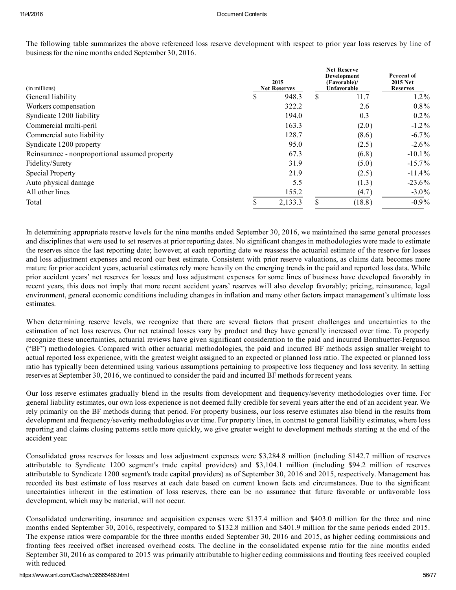| (in millions)                                  | 2015<br><b>Net Reserves</b> | <b>Net Reserve</b><br>Development<br>(Favorable)/<br>Unfavorable | Percent of<br><b>2015 Net</b><br><b>Reserves</b> |  |
|------------------------------------------------|-----------------------------|------------------------------------------------------------------|--------------------------------------------------|--|
| General liability                              | \$<br>948.3                 | \$<br>11.7                                                       | $1.2\%$                                          |  |
| Workers compensation                           | 322.2                       | 2.6                                                              | $0.8\%$                                          |  |
| Syndicate 1200 liability                       | 194.0                       | 0.3                                                              | $0.2\%$                                          |  |
| Commercial multi-peril                         | 163.3                       | (2.0)                                                            | $-1.2\%$                                         |  |
| Commercial auto liability                      | 128.7                       | (8.6)                                                            | $-6.7\%$                                         |  |
| Syndicate 1200 property                        | 95.0                        | (2.5)                                                            | $-2.6\%$                                         |  |
| Reinsurance - nonproportional assumed property | 67.3                        | (6.8)                                                            | $-10.1\%$                                        |  |
| Fidelity/Surety                                | 31.9                        | (5.0)                                                            | $-15.7\%$                                        |  |
| Special Property                               | 21.9                        | (2.5)                                                            | $-11.4\%$                                        |  |
| Auto physical damage                           | 5.5                         | (1.3)                                                            | $-23.6\%$                                        |  |
| All other lines                                | 155.2                       | (4.7)                                                            | $-3.0\%$                                         |  |
| Total                                          | 2,133.3                     | (18.8)                                                           | $-0.9\%$                                         |  |

The following table summarizes the above referenced loss reserve development with respect to prior year loss reserves by line of business for the nine months ended September 30, 2016.

In determining appropriate reserve levels for the nine months ended September 30, 2016, we maintained the same general processes and disciplines that were used to set reserves at prior reporting dates. No significant changes in methodologies were made to estimate the reserves since the last reporting date; however, at each reporting date we reassess the actuarial estimate of the reserve for losses and loss adjustment expenses and record our best estimate. Consistent with prior reserve valuations, as claims data becomes more mature for prior accident years, actuarial estimates rely more heavily on the emerging trends in the paid and reported loss data. While prior accident years' net reserves for losses and loss adjustment expenses for some lines of business have developed favorably in recent years, this does not imply that more recent accident years' reserves will also develop favorably; pricing, reinsurance, legal environment, general economic conditions including changes in inflation and many other factors impact management's ultimate loss estimates.

When determining reserve levels, we recognize that there are several factors that present challenges and uncertainties to the estimation of net loss reserves. Our net retained losses vary by product and they have generally increased over time. To properly recognize these uncertainties, actuarial reviews have given significant consideration to the paid and incurred Bornhuetter-Ferguson ("BF") methodologies. Compared with other actuarial methodologies, the paid and incurred BF methods assign smaller weight to actual reported loss experience, with the greatest weight assigned to an expected or planned loss ratio. The expected or planned loss ratio has typically been determined using various assumptions pertaining to prospective loss frequency and loss severity. In setting reserves at September 30, 2016, we continued to consider the paid and incurred BF methods for recent years.

Our loss reserve estimates gradually blend in the results from development and frequency/severity methodologies over time. For general liability estimates, our own loss experience is not deemed fully credible for several years after the end of an accident year. We rely primarily on the BF methods during that period. For property business, our loss reserve estimates also blend in the results from development and frequency/severity methodologies over time. For property lines, in contrast to general liability estimates, where loss reporting and claims closing patterns settle more quickly, we give greater weight to development methods starting at the end of the accident year.

Consolidated gross reserves for losses and loss adjustment expenses were \$3,284.8 million (including \$142.7 million of reserves attributable to Syndicate 1200 segment's trade capital providers) and \$3,104.1 million (including \$94.2 million of reserves attributable to Syndicate 1200 segment's trade capital providers) as of September 30, 2016 and 2015, respectively. Management has recorded its best estimate of loss reserves at each date based on current known facts and circumstances. Due to the significant uncertainties inherent in the estimation of loss reserves, there can be no assurance that future favorable or unfavorable loss development, which may be material, will not occur.

Consolidated underwriting, insurance and acquisition expenses were \$137.4 million and \$403.0 million for the three and nine months ended September 30, 2016, respectively, compared to \$132.8 million and \$401.9 million for the same periods ended 2015. The expense ratios were comparable for the three months ended September 30, 2016 and 2015, as higher ceding commissions and fronting fees received offset increased overhead costs. The decline in the consolidated expense ratio for the nine months ended September 30, 2016 as compared to 2015 was primarily attributable to higher ceding commissions and fronting fees received coupled with reduced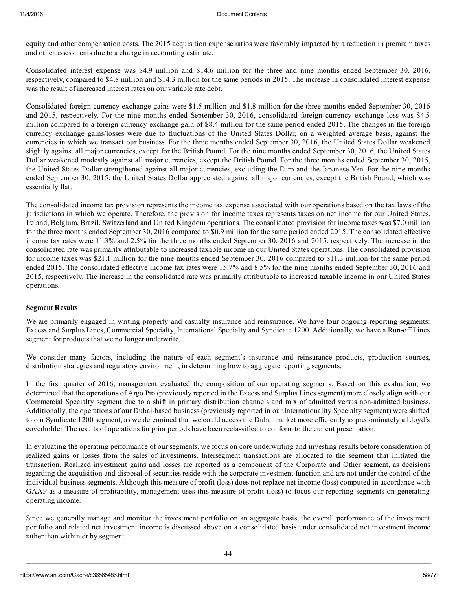equity and other compensation costs. The 2015 acquisition expense ratios were favorably impacted by a reduction in premium taxes and other assessments due to a change in accounting estimate.

Consolidated interest expense was \$4.9 million and \$14.6 million for the three and nine months ended September 30, 2016, respectively, compared to \$4.8 million and \$14.3 million for the same periods in 2015. The increase in consolidated interest expense was the result of increased interest rates on our variable rate debt.

Consolidated foreign currency exchange gains were \$1.5 million and \$1.8 million for the three months ended September 30, 2016 and 2015, respectively. For the nine months ended September 30, 2016, consolidated foreign currency exchange loss was \$4.5 million compared to a foreign currency exchange gain of \$8.4 million for the same period ended 2015. The changes in the foreign currency exchange gains/losses were due to fluctuations of the United States Dollar, on a weighted average basis, against the currencies in which we transact our business. For the three months ended September 30, 2016, the United States Dollar weakened slightly against all major currencies, except for the British Pound. For the nine months ended September 30, 2016, the United States Dollar weakened modestly against all major currencies, except the British Pound. For the three months ended September 30, 2015, the United States Dollar strengthened against all major currencies, excluding the Euro and the Japanese Yen. For the nine months ended September 30, 2015, the United States Dollar appreciated against all major currencies, except the British Pound, which was essentially flat.

The consolidated income tax provision represents the income tax expense associated with our operations based on the tax laws of the jurisdictions in which we operate. Therefore, the provision for income taxes represents taxes on net income for our United States, Ireland, Belgium, Brazil, Switzerland and United Kingdom operations. The consolidated provision for income taxes was \$7.0 million for the three months ended September 30, 2016 compared to \$0.9 million for the same period ended 2015. The consolidated effective income tax rates were 11.3% and 2.5% for the three months ended September 30, 2016 and 2015, respectively. The increase in the consolidated rate was primarily attributable to increased taxable income in our United States operations. The consolidated provision for income taxes was \$21.1 million for the nine months ended September 30, 2016 compared to \$11.3 million for the same period ended 2015. The consolidated effective income tax rates were 15.7% and 8.5% for the nine months ended September 30, 2016 and 2015, respectively. The increase in the consolidated rate was primarily attributable to increased taxable income in our United States operations.

### Segment Results

We are primarily engaged in writing property and casualty insurance and reinsurance. We have four ongoing reporting segments: Excess and Surplus Lines, Commercial Specialty, International Specialty and Syndicate 1200. Additionally, we have a Run-off Lines segment for products that we no longer underwrite.

We consider many factors, including the nature of each segment's insurance and reinsurance products, production sources, distribution strategies and regulatory environment, in determining how to aggregate reporting segments.

In the first quarter of 2016, management evaluated the composition of our operating segments. Based on this evaluation, we determined that the operations of Argo Pro (previously reported in the Excess and Surplus Lines segment) more closely align with our Commercial Specialty segment due to a shift in primary distribution channels and mix of admitted versus non-admitted business. Additionally, the operations of our Dubai-based business (previously reported in our Internationality Specialty segment) were shifted to our Syndicate 1200 segment, as we determined that we could access the Dubai market more efficiently as predominately a Lloyd's coverholder. The results of operations for prior periods have been reclassified to conform to the current presentation.

In evaluating the operating performance of our segments, we focus on core underwriting and investing results before consideration of realized gains or losses from the sales of investments. Intersegment transactions are allocated to the segment that initiated the transaction. Realized investment gains and losses are reported as a component of the Corporate and Other segment, as decisions regarding the acquisition and disposal of securities reside with the corporate investment function and are not under the control of the individual business segments. Although this measure of profit (loss) does not replace net income (loss) computed in accordance with GAAP as a measure of profitability, management uses this measure of profit (loss) to focus our reporting segments on generating operating income.

Since we generally manage and monitor the investment portfolio on an aggregate basis, the overall performance of the investment portfolio and related net investment income is discussed above on a consolidated basis under consolidated net investment income rather than within or by segment.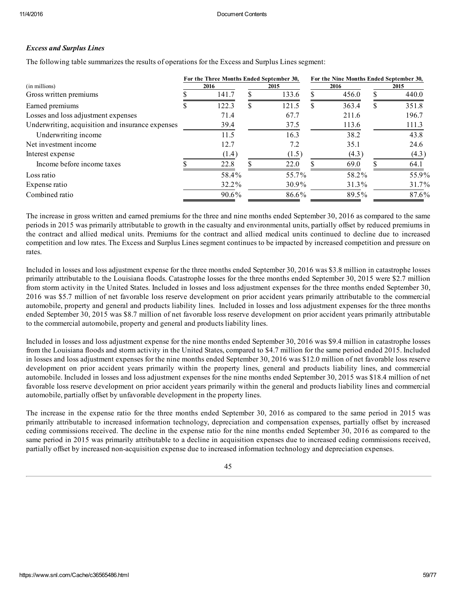### *Excess and Surplus Lines*

The following table summarizes the results of operations for the Excess and Surplus Lines segment:

|                                                  | For the Three Months Ended September 30, |          |      |       |      | For the Nine Months Ended September 30, |      |       |  |  |
|--------------------------------------------------|------------------------------------------|----------|------|-------|------|-----------------------------------------|------|-------|--|--|
| (in millions)                                    | 2016                                     |          | 2015 |       | 2016 |                                         | 2015 |       |  |  |
| Gross written premiums                           |                                          | 141.7    |      | 133.6 |      | 456.0                                   |      | 440.0 |  |  |
| Earned premiums                                  |                                          | 122.3    | S    | 121.5 | S    | 363.4                                   | S    | 351.8 |  |  |
| Losses and loss adjustment expenses              |                                          | 71.4     |      | 67.7  |      | 211.6                                   |      | 196.7 |  |  |
| Underwriting, acquisition and insurance expenses |                                          | 39.4     |      | 37.5  |      | 113.6                                   |      | 111.3 |  |  |
| Underwriting income                              |                                          | 11.5     |      | 16.3  |      | 38.2                                    |      | 43.8  |  |  |
| Net investment income                            |                                          | 12.7     |      | 7.2   |      | 35.1                                    |      | 24.6  |  |  |
| Interest expense                                 |                                          | (1.4)    |      | (1.5) |      | (4.3)                                   |      | (4.3) |  |  |
| Income before income taxes                       |                                          | 22.8     |      | 22.0  |      | 69.0                                    | ९    | 64.1  |  |  |
| Loss ratio                                       |                                          | 58.4%    |      | 55.7% |      | 58.2%                                   |      | 55.9% |  |  |
| Expense ratio                                    |                                          | 32.2%    |      | 30.9% |      | 31.3%                                   |      | 31.7% |  |  |
| Combined ratio                                   |                                          | $90.6\%$ |      | 86.6% |      | 89.5%                                   |      | 87.6% |  |  |

The increase in gross written and earned premiums for the three and nine months ended September 30, 2016 as compared to the same periods in 2015 was primarily attributable to growth in the casualty and environmental units, partially offset by reduced premiums in the contract and allied medical units. Premiums for the contract and allied medical units continued to decline due to increased competition and low rates. The Excess and Surplus Lines segment continues to be impacted by increased competition and pressure on rates.

Included in losses and loss adjustment expense for the three months ended September 30, 2016 was \$3.8 million in catastrophe losses primarily attributable to the Louisiana floods. Catastrophe losses for the three months ended September 30, 2015 were \$2.7 million from storm activity in the United States. Included in losses and loss adjustment expenses for the three months ended September 30, 2016 was \$5.7 million of net favorable loss reserve development on prior accident years primarily attributable to the commercial automobile, property and general and products liability lines. Included in losses and loss adjustment expenses for the three months ended September 30, 2015 was \$8.7 million of net favorable loss reserve development on prior accident years primarily attributable to the commercial automobile, property and general and products liability lines.

Included in losses and loss adjustment expense for the nine months ended September 30, 2016 was \$9.4 million in catastrophe losses from the Louisiana floods and storm activity in the United States, compared to \$4.7 million for the same period ended 2015. Included in losses and loss adjustment expenses for the nine months ended September 30, 2016 was \$12.0 million of net favorable loss reserve development on prior accident years primarily within the property lines, general and products liability lines, and commercial automobile. Included in losses and loss adjustment expenses for the nine months ended September 30, 2015 was \$18.4 million of net favorable loss reserve development on prior accident years primarily within the general and products liability lines and commercial automobile, partially offset by unfavorable development in the property lines.

The increase in the expense ratio for the three months ended September 30, 2016 as compared to the same period in 2015 was primarily attributable to increased information technology, depreciation and compensation expenses, partially offset by increased ceding commissions received. The decline in the expense ratio for the nine months ended September 30, 2016 as compared to the same period in 2015 was primarily attributable to a decline in acquisition expenses due to increased ceding commissions received, partially offset by increased nonacquisition expense due to increased information technology and depreciation expenses.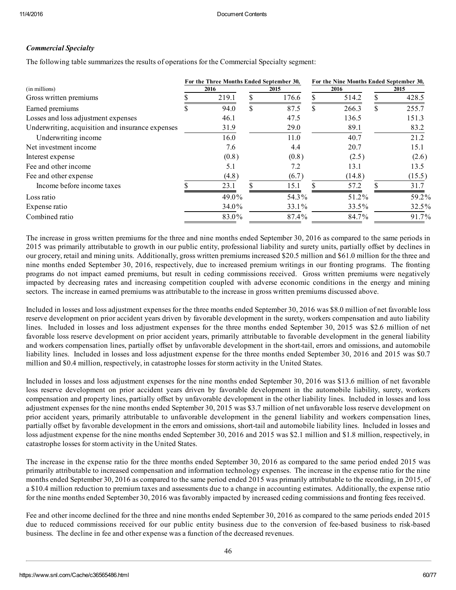## *Commercial Specialty*

The following table summarizes the results of operations for the Commercial Specialty segment:

|                                                  | For the Three Months Ended September 30, |       |   |       | For the Nine Months Ended September 30, |        |   |        |
|--------------------------------------------------|------------------------------------------|-------|---|-------|-----------------------------------------|--------|---|--------|
| (in millions)                                    |                                          | 2016  |   | 2015  |                                         | 2016   |   | 2015   |
| Gross written premiums                           |                                          | 219.1 |   | 176.6 |                                         | 514.2  |   | 428.5  |
| Earned premiums                                  | ۰ħ۰                                      | 94.0  | S | 87.5  | S                                       | 266.3  | S | 255.7  |
| Losses and loss adjustment expenses              |                                          | 46.1  |   | 47.5  |                                         | 136.5  |   | 151.3  |
| Underwriting, acquisition and insurance expenses |                                          | 31.9  |   | 29.0  |                                         | 89.1   |   | 83.2   |
| Underwriting income                              |                                          | 16.0  |   | 11.0  |                                         | 40.7   |   | 21.2   |
| Net investment income                            |                                          | 7.6   |   | 4.4   |                                         | 20.7   |   | 15.1   |
| Interest expense                                 |                                          | (0.8) |   | (0.8) |                                         | (2.5)  |   | (2.6)  |
| Fee and other income                             |                                          | 5.1   |   | 7.2   |                                         | 13.1   |   | 13.5   |
| Fee and other expense                            |                                          | (4.8) |   | (6.7) |                                         | (14.8) |   | (15.5) |
| Income before income taxes                       |                                          | 23.1  |   | 15.1  |                                         | 57.2   |   | 31.7   |
| Loss ratio                                       |                                          | 49.0% |   | 54.3% |                                         | 51.2%  |   | 59.2%  |
| Expense ratio                                    |                                          | 34.0% |   | 33.1% |                                         | 33.5%  |   | 32.5%  |
| Combined ratio                                   |                                          | 83.0% |   | 87.4% |                                         | 84.7%  |   | 91.7%  |

The increase in gross written premiums for the three and nine months ended September 30, 2016 as compared to the same periods in 2015 was primarily attributable to growth in our public entity, professional liability and surety units, partially offset by declines in our grocery, retail and mining units. Additionally, gross written premiums increased \$20.5 million and \$61.0 million for the three and nine months ended September 30, 2016, respectively, due to increased premium writings in our fronting programs. The fronting programs do not impact earned premiums, but result in ceding commissions received. Gross written premiums were negatively impacted by decreasing rates and increasing competition coupled with adverse economic conditions in the energy and mining sectors. The increase in earned premiums was attributable to the increase in gross written premiums discussed above.

Included in losses and loss adjustment expenses for the three months ended September 30, 2016 was \$8.0 million of net favorable loss reserve development on prior accident years driven by favorable development in the surety, workers compensation and auto liability lines. Included in losses and loss adjustment expenses for the three months ended September 30, 2015 was \$2.6 million of net favorable loss reserve development on prior accident years, primarily attributable to favorable development in the general liability and workers compensation lines, partially offset by unfavorable development in the short-tail, errors and omissions, and automobile liability lines. Included in losses and loss adjustment expense for the three months ended September 30, 2016 and 2015 was \$0.7 million and \$0.4 million, respectively, in catastrophe losses for storm activity in the United States.

Included in losses and loss adjustment expenses for the nine months ended September 30, 2016 was \$13.6 million of net favorable loss reserve development on prior accident years driven by favorable development in the automobile liability, surety, workers compensation and property lines, partially offset by unfavorable development in the other liability lines. Included in losses and loss adjustment expenses for the nine months ended September 30, 2015 was \$3.7 million of net unfavorable loss reserve development on prior accident years, primarily attributable to unfavorable development in the general liability and workers compensation lines, partially offset by favorable development in the errors and omissions, short-tail and automobile liability lines. Included in losses and loss adjustment expense for the nine months ended September 30, 2016 and 2015 was \$2.1 million and \$1.8 million, respectively, in catastrophe losses for storm activity in the United States.

The increase in the expense ratio for the three months ended September 30, 2016 as compared to the same period ended 2015 was primarily attributable to increased compensation and information technology expenses. The increase in the expense ratio for the nine months ended September 30, 2016 as compared to the same period ended 2015 was primarily attributable to the recording, in 2015, of a \$10.4 million reduction to premium taxes and assessments due to a change in accounting estimates. Additionally, the expense ratio for the nine months ended September 30, 2016 was favorably impacted by increased ceding commissions and fronting fees received.

Fee and other income declined for the three and nine months ended September 30, 2016 as compared to the same periods ended 2015 due to reduced commissions received for our public entity business due to the conversion of fee-based business to risk-based business. The decline in fee and other expense was a function of the decreased revenues.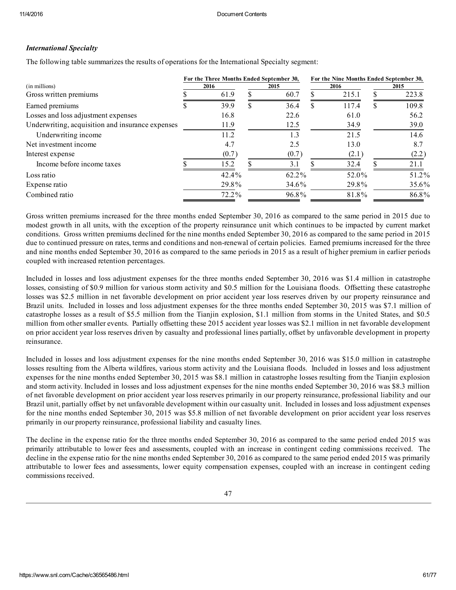### *International Specialty*

The following table summarizes the results of operations for the International Specialty segment:

|                                                  | For the Three Months Ended September 30, |       |      |       |      | For the Nine Months Ended September 30, |      |       |  |  |
|--------------------------------------------------|------------------------------------------|-------|------|-------|------|-----------------------------------------|------|-------|--|--|
| (in millions)                                    | 2016                                     |       | 2015 |       | 2016 |                                         | 2015 |       |  |  |
| Gross written premiums                           |                                          | 61.9  |      | 60.7  |      | 215.1                                   |      | 223.8 |  |  |
| Earned premiums                                  |                                          | 39.9  | S    | 36.4  | S.   | 117.4                                   | S    | 109.8 |  |  |
| Losses and loss adjustment expenses              |                                          | 16.8  |      | 22.6  |      | 61.0                                    |      | 56.2  |  |  |
| Underwriting, acquisition and insurance expenses |                                          | 11.9  |      | 12.5  |      | 34.9                                    |      | 39.0  |  |  |
| Underwriting income                              |                                          | 11.2  |      | 1.3   |      | 21.5                                    |      | 14.6  |  |  |
| Net investment income                            |                                          | 4.7   |      | 2.5   |      | 13.0                                    |      | 8.7   |  |  |
| Interest expense                                 |                                          | (0.7) |      | (0.7) |      | (2.1)                                   |      | (2.2) |  |  |
| Income before income taxes                       |                                          | 15.2  |      | 3.1   |      | 32.4                                    |      | 21.1  |  |  |
| Loss ratio                                       |                                          | 42.4% |      | 62.2% |      | 52.0%                                   |      | 51.2% |  |  |
| Expense ratio                                    |                                          | 29.8% |      | 34.6% |      | 29.8%                                   |      | 35.6% |  |  |
| Combined ratio                                   |                                          | 72.2% |      | 96.8% |      | 81.8%                                   |      | 86.8% |  |  |

Gross written premiums increased for the three months ended September 30, 2016 as compared to the same period in 2015 due to modest growth in all units, with the exception of the property reinsurance unit which continues to be impacted by current market conditions. Gross written premiums declined for the nine months ended September 30, 2016 as compared to the same period in 2015 due to continued pressure on rates, terms and conditions and non-renewal of certain policies. Earned premiums increased for the three and nine months ended September 30, 2016 as compared to the same periods in 2015 as a result of higher premium in earlier periods coupled with increased retention percentages.

Included in losses and loss adjustment expenses for the three months ended September 30, 2016 was \$1.4 million in catastrophe losses, consisting of \$0.9 million for various storm activity and \$0.5 million for the Louisiana floods. Offsetting these catastrophe losses was \$2.5 million in net favorable development on prior accident year loss reserves driven by our property reinsurance and Brazil units. Included in losses and loss adjustment expenses for the three months ended September 30, 2015 was \$7.1 million of catastrophe losses as a result of \$5.5 million from the Tianjin explosion, \$1.1 million from storms in the United States, and \$0.5 million from other smaller events. Partially offsetting these 2015 accident year losses was \$2.1 million in net favorable development on prior accident year loss reserves driven by casualty and professional lines partially, offset by unfavorable development in property reinsurance.

Included in losses and loss adjustment expenses for the nine months ended September 30, 2016 was \$15.0 million in catastrophe losses resulting from the Alberta wildfires, various storm activity and the Louisiana floods. Included in losses and loss adjustment expenses for the nine months ended September 30, 2015 was \$8.1 million in catastrophe losses resulting from the Tianjin explosion and storm activity. Included in losses and loss adjustment expenses for the nine months ended September 30, 2016 was \$8.3 million of net favorable development on prior accident year loss reserves primarily in our property reinsurance, professional liability and our Brazil unit, partially offset by net unfavorable development within our casualty unit. Included in losses and loss adjustment expenses for the nine months ended September 30, 2015 was \$5.8 million of net favorable development on prior accident year loss reserves primarily in our property reinsurance, professional liability and casualty lines.

The decline in the expense ratio for the three months ended September 30, 2016 as compared to the same period ended 2015 was primarily attributable to lower fees and assessments, coupled with an increase in contingent ceding commissions received. The decline in the expense ratio for the nine months ended September 30, 2016 as compared to the same period ended 2015 was primarily attributable to lower fees and assessments, lower equity compensation expenses, coupled with an increase in contingent ceding commissions received.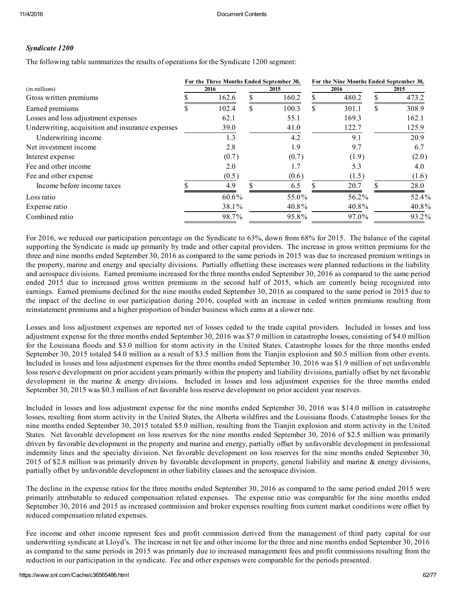## *Syndicate 1200*

The following table summarizes the results of operations for the Syndicate 1200 segment:

|                                                  | For the Three Months Ended September 30, |          |      |       |      | For the Nine Months Ended September 30, |      |       |  |
|--------------------------------------------------|------------------------------------------|----------|------|-------|------|-----------------------------------------|------|-------|--|
| (in millions)                                    | 2016                                     |          | 2015 |       | 2016 |                                         | 2015 |       |  |
| Gross written premiums                           |                                          | 162.6    |      | 160.2 |      | 480.2                                   |      | 473.2 |  |
| Earned premiums                                  |                                          | 102.4    | S    | 100.3 | S    | 301.1                                   | \$.  | 308.9 |  |
| Losses and loss adjustment expenses              |                                          | 62.1     |      | 55.1  |      | 169.3                                   |      | 162.1 |  |
| Underwriting, acquisition and insurance expenses |                                          | 39.0     |      | 41.0  |      | 122.7                                   |      | 125.9 |  |
| Underwriting income                              |                                          | 1.3      |      | 4.2   |      | 9.1                                     |      | 20.9  |  |
| Net investment income                            |                                          | 2.8      |      | 1.9   |      | 9.7                                     |      | 6.7   |  |
| Interest expense                                 |                                          | (0.7)    |      | (0.7) |      | (1.9)                                   |      | (2.0) |  |
| Fee and other income                             |                                          | 2.0      |      | 1.7   |      | 5.3                                     |      | 4.0   |  |
| Fee and other expense                            |                                          | (0.5)    |      | (0.6) |      | (1.5)                                   |      | (1.6) |  |
| Income before income taxes                       |                                          | 4.9      |      | 6.5   |      | 20.7                                    |      | 28.0  |  |
| Loss ratio                                       |                                          | $60.6\%$ |      | 55.0% |      | 56.2%                                   |      | 52.4% |  |
| Expense ratio                                    |                                          | 38.1%    |      | 40.8% |      | 40.8%                                   |      | 40.8% |  |
| Combined ratio                                   |                                          | 98.7%    |      | 95.8% |      | 97.0%                                   |      | 93.2% |  |

For 2016, we reduced our participation percentage on the Syndicate to 63%, down from 68% for 2015. The balance of the capital supporting the Syndicate is made up primarily by trade and other capital providers. The increase in gross written premiums for the three and nine months ended September 30, 2016 as compared to the same periods in 2015 was due to increased premium writings in the property, marine and energy and specialty divisions. Partially offsetting these increases were planned reductions in the liability and aerospace divisions. Earned premiums increased for the three months ended September 30, 2016 as compared to the same period ended 2015 due to increased gross written premiums in the second half of 2015, which are currently being recognized into earnings. Earned premiums declined for the nine months ended September 30, 2016 as compared to the same period in 2015 due to the impact of the decline in our participation during 2016, coupled with an increase in ceded written premiums resulting from reinstatement premiums and a higher proportion of binder business which earns at a slower rate.

Losses and loss adjustment expenses are reported net of losses ceded to the trade capital providers. Included in losses and loss adjustment expense for the three months ended September 30, 2016 was \$7.0 million in catastrophe losses, consisting of \$4.0 million for the Louisiana floods and \$3.0 million for storm activity in the United States. Catastrophe losses for the three months ended September 30, 2015 totaled \$4.0 million as a result of \$3.5 million from the Tianjin explosion and \$0.5 million from other events. Included in losses and loss adjustment expenses for the three months ended September 30, 2016 was \$1.9 million of net unfavorable loss reserve development on prior accident years primarily within the property and liability divisions, partially offset by net favorable development in the marine & energy divisions. Included in losses and loss adjustment expenses for the three months ended September 30, 2015 was \$0.3 million of net favorable loss reserve development on prior accident year reserves.

Included in losses and loss adjustment expense for the nine months ended September 30, 2016 was \$14.0 million in catastrophe losses, resulting from storm activity in the United States, the Alberta wildfires and the Louisiana floods. Catastrophe losses for the nine months ended September 30, 2015 totaled \$5.0 million, resulting from the Tianjin explosion and storm activity in the United States. Net favorable development on loss reserves for the nine months ended September 30, 2016 of \$2.5 million was primarily driven by favorable development in the property and marine and energy, partially offset by unfavorable development in professional indemnity lines and the specialty division. Net favorable development on loss reserves for the nine months ended September 30, 2015 of \$2.8 million was primarily driven by favorable development in property, general liability and marine & energy divisions, partially offset by unfavorable development in other liability classes and the aerospace division.

The decline in the expense ratios for the three months ended September 30, 2016 as compared to the same period ended 2015 were primarily attributable to reduced compensation related expenses. The expense ratio was comparable for the nine months ended September 30, 2016 and 2015 as increased commission and broker expenses resulting from current market conditions were offset by reduced compensation related expenses.

Fee income and other income represent fees and profit commission derived from the management of third party capital for our underwriting syndicate at Lloyd's. The increase in net fee and other income for the three and nine months ended September 30, 2016 as compared to the same periods in 2015 was primarily due to increased management fees and profit commissions resulting from the reduction in our participation in the syndicate. Fee and other expenses were comparable for the periods presented.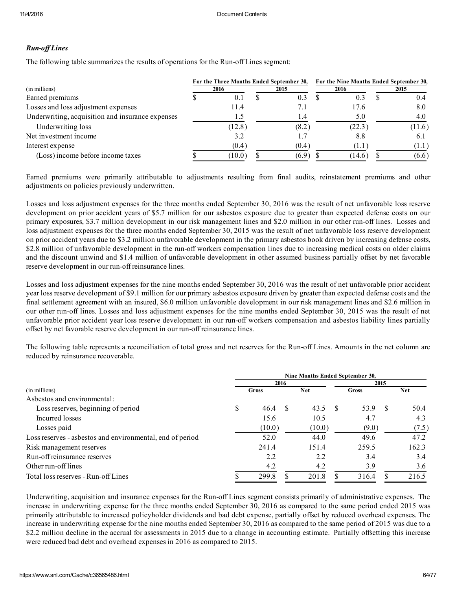## *Runof Lines*

The following table summarizes the results of operations for the Run-off Lines segment:

|                                                  |  | For the Three Months Ended September 30, |       | For the Nine Months Ended September 30, |        |      |        |  |
|--------------------------------------------------|--|------------------------------------------|-------|-----------------------------------------|--------|------|--------|--|
| (in millions)                                    |  | 2016                                     | 2015  |                                         | 2016   | 2015 |        |  |
| Earned premiums                                  |  | 0.1                                      | 0.3   |                                         | 0.3    |      | 0.4    |  |
| Losses and loss adjustment expenses              |  | 11.4                                     |       |                                         | 17.6   |      | 8.0    |  |
| Underwriting, acquisition and insurance expenses |  | 1.5                                      | 1.4   |                                         | 5.0    |      | 4.0    |  |
| Underwriting loss                                |  | (12.8)                                   | (8.2) |                                         | (22.3) |      | (11.6) |  |
| Net investment income                            |  | 3.2                                      |       |                                         | 8.8    |      | 6.1    |  |
| Interest expense                                 |  | (0.4)                                    | (0.4) |                                         | (1.1)  |      | (1.1)  |  |
| (Loss) income before income taxes                |  | (10.0)                                   | (6.9) |                                         | (14.6) |      | (6.6)  |  |

Earned premiums were primarily attributable to adjustments resulting from final audits, reinstatement premiums and other adjustments on policies previously underwritten.

Losses and loss adjustment expenses for the three months ended September 30, 2016 was the result of net unfavorable loss reserve development on prior accident years of \$5.7 million for our asbestos exposure due to greater than expected defense costs on our primary exposures, \$3.7 million development in our risk management lines and \$2.0 million in our other run-off lines. Losses and loss adjustment expenses for the three months ended September 30, 2015 was the result of net unfavorable loss reserve development on prior accident years due to \$3.2 million unfavorable development in the primary asbestos book driven by increasing defense costs, \$2.8 million of unfavorable development in the run-off workers compensation lines due to increasing medical costs on older claims and the discount unwind and \$1.4 million of unfavorable development in other assumed business partially offset by net favorable reserve development in our run-off reinsurance lines.

Losses and loss adjustment expenses for the nine months ended September 30, 2016 was the result of net unfavorable prior accident year loss reserve development of \$9.1 million for our primary asbestos exposure driven by greater than expected defense costs and the final settlement agreement with an insured, \$6.0 million unfavorable development in our risk management lines and \$2.6 million in our other run-off lines. Losses and loss adjustment expenses for the nine months ended September 30, 2015 was the result of net unfavorable prior accident year loss reserve development in our run-off workers compensation and asbestos liability lines partially offset by net favorable reserve development in our run-off reinsurance lines.

The following table represents a reconciliation of total gross and net reserves for the Run-off Lines. Amounts in the net column are reduced by reinsurance recoverable.

|                                                           | Nine Months Ended September 30, |        |      |            |    |       |    |            |  |  |
|-----------------------------------------------------------|---------------------------------|--------|------|------------|----|-------|----|------------|--|--|
| (in millions)                                             |                                 |        | 2016 | 2015       |    |       |    |            |  |  |
|                                                           |                                 | Gross  |      | <b>Net</b> |    | Gross |    | <b>Net</b> |  |  |
| Asbestos and environmental:                               |                                 |        |      |            |    |       |    |            |  |  |
| Loss reserves, beginning of period                        | \$                              | 46.4   |      | 43.5       | -8 | 53.9  | -S | 50.4       |  |  |
| Incurred losses                                           |                                 | 15.6   |      | 10.5       |    | 4.7   |    | 4.3        |  |  |
| Losses paid                                               |                                 | (10.0) |      | (10.0)     |    | (9.0) |    | (7.5)      |  |  |
| Loss reserves - asbestos and environmental, end of period |                                 | 52.0   |      | 44.0       |    | 49.6  |    | 47.2       |  |  |
| Risk management reserves                                  |                                 | 241.4  |      | 151.4      |    | 259.5 |    | 162.3      |  |  |
| Run-off reinsurance reserves                              |                                 | 2.2    |      | 2.2        |    | 3.4   |    | 3.4        |  |  |
| Other run-off lines                                       |                                 | 4.2    |      | 4.2        |    | 3.9   |    | 3.6        |  |  |
| Total loss reserves - Run-off Lines                       |                                 | 299.8  |      | 201.8      |    | 316.4 |    | 216.5      |  |  |

Underwriting, acquisition and insurance expenses for the Run-off Lines segment consists primarily of administrative expenses. The increase in underwriting expense for the three months ended September 30, 2016 as compared to the same period ended 2015 was primarily attributable to increased policyholder dividends and bad debt expense, partially offset by reduced overhead expenses. The increase in underwriting expense for the nine months ended September 30, 2016 as compared to the same period of 2015 was due to a \$2.2 million decline in the accrual for assessments in 2015 due to a change in accounting estimate. Partially offsetting this increase were reduced bad debt and overhead expenses in 2016 as compared to 2015.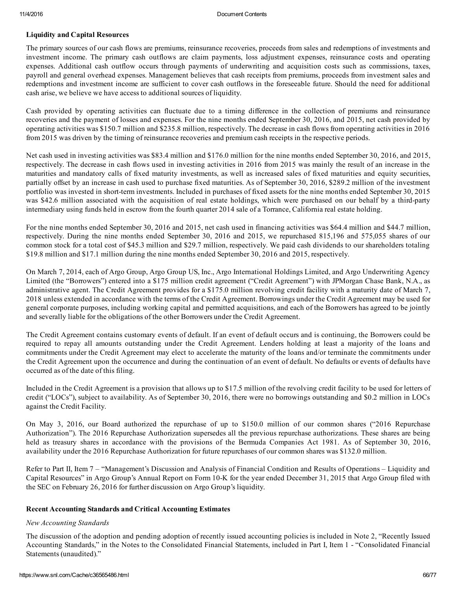### Liquidity and Capital Resources

The primary sources of our cash flows are premiums, reinsurance recoveries, proceeds from sales and redemptions of investments and investment income. The primary cash outflows are claim payments, loss adjustment expenses, reinsurance costs and operating expenses. Additional cash outflow occurs through payments of underwriting and acquisition costs such as commissions, taxes, payroll and general overhead expenses. Management believes that cash receipts from premiums, proceeds from investment sales and redemptions and investment income are sufficient to cover cash outflows in the foreseeable future. Should the need for additional cash arise, we believe we have access to additional sources of liquidity.

Cash provided by operating activities can fluctuate due to a timing difference in the collection of premiums and reinsurance recoveries and the payment of losses and expenses. For the nine months ended September 30, 2016, and 2015, net cash provided by operating activities was \$150.7 million and \$235.8 million, respectively. The decrease in cash flows from operating activities in 2016 from 2015 was driven by the timing of reinsurance recoveries and premium cash receipts in the respective periods.

Net cash used in investing activities was \$83.4 million and \$176.0 million for the nine months ended September 30, 2016, and 2015, respectively. The decrease in cash flows used in investing activities in 2016 from 2015 was mainly the result of an increase in the maturities and mandatory calls of fixed maturity investments, as well as increased sales of fixed maturities and equity securities, partially offset by an increase in cash used to purchase fixed maturities. As of September 30, 2016, \$289.2 million of the investment portfolio was invested in short-term investments. Included in purchases of fixed assets for the nine months ended September 30, 2015 was \$42.6 million associated with the acquisition of real estate holdings, which were purchased on our behalf by a third-party intermediary using funds held in escrow from the fourth quarter 2014 sale of a Torrance, California real estate holding.

For the nine months ended September 30, 2016 and 2015, net cash used in financing activities was \$64.4 million and \$44.7 million, respectively. During the nine months ended September 30, 2016 and 2015, we repurchased 815,196 and 575,055 shares of our common stock for a total cost of \$45.3 million and \$29.7 million, respectively. We paid cash dividends to our shareholders totaling \$19.8 million and \$17.1 million during the nine months ended September 30, 2016 and 2015, respectively.

On March 7, 2014, each of Argo Group, Argo Group US, Inc., Argo International Holdings Limited, and Argo Underwriting Agency Limited (the "Borrowers") entered into a \$175 million credit agreement ("Credit Agreement") with JPMorgan Chase Bank, N.A., as administrative agent. The Credit Agreement provides for a \$175.0 million revolving credit facility with a maturity date of March 7, 2018 unless extended in accordance with the terms of the Credit Agreement. Borrowings under the Credit Agreement may be used for general corporate purposes, including working capital and permitted acquisitions, and each of the Borrowers has agreed to be jointly and severally liable for the obligations of the other Borrowers under the Credit Agreement.

The Credit Agreement contains customary events of default. If an event of default occurs and is continuing, the Borrowers could be required to repay all amounts outstanding under the Credit Agreement. Lenders holding at least a majority of the loans and commitments under the Credit Agreement may elect to accelerate the maturity of the loans and/or terminate the commitments under the Credit Agreement upon the occurrence and during the continuation of an event of default. No defaults or events of defaults have occurred as of the date of this filing.

Included in the Credit Agreement is a provision that allows up to \$17.5 million of the revolving credit facility to be used for letters of credit ("LOCs"), subject to availability. As of September 30, 2016, there were no borrowings outstanding and \$0.2 million in LOCs against the Credit Facility.

On May 3, 2016, our Board authorized the repurchase of up to \$150.0 million of our common shares ("2016 Repurchase Authorization"). The 2016 Repurchase Authorization supersedes all the previous repurchase authorizations. These shares are being held as treasury shares in accordance with the provisions of the Bermuda Companies Act 1981. As of September 30, 2016, availability under the 2016 Repurchase Authorization for future repurchases of our common shares was \$132.0 million.

Refer to Part II, Item 7 – "Management's Discussion and Analysis of Financial Condition and Results of Operations – Liquidity and Capital Resources" in Argo Group's Annual Report on Form 10-K for the year ended December 31, 2015 that Argo Group filed with the SEC on February 26, 2016 for further discussion on Argo Group's liquidity.

### Recent Accounting Standards and Critical Accounting Estimates

### *New Accounting Standards*

The discussion of the adoption and pending adoption of recently issued accounting policies is included in Note 2, "Recently Issued Accounting Standards," in the Notes to the Consolidated Financial Statements, included in Part I, Item 1 "Consolidated Financial Statements (unaudited)."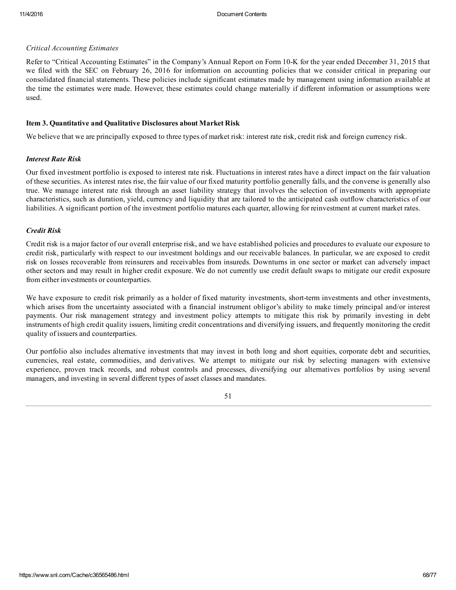### *Critical Accounting Estimates*

Refer to "Critical Accounting Estimates" in the Company's Annual Report on Form 10-K for the year ended December 31, 2015 that we filed with the SEC on February 26, 2016 for information on accounting policies that we consider critical in preparing our consolidated financial statements. These policies include significant estimates made by management using information available at the time the estimates were made. However, these estimates could change materially if different information or assumptions were used.

## Item 3. Quantitative and Qualitative Disclosures about Market Risk

We believe that we are principally exposed to three types of market risk: interest rate risk, credit risk and foreign currency risk.

## *Interest Rate Risk*

Our fixed investment portfolio is exposed to interest rate risk. Fluctuations in interest rates have a direct impact on the fair valuation of these securities. As interest rates rise, the fair value of our fixed maturity portfolio generally falls, and the converse is generally also true. We manage interest rate risk through an asset liability strategy that involves the selection of investments with appropriate characteristics, such as duration, yield, currency and liquidity that are tailored to the anticipated cash outflow characteristics of our liabilities. A significant portion of the investment portfolio matures each quarter, allowing for reinvestment at current market rates.

## *Credit Risk*

Credit risk is a major factor of our overall enterprise risk, and we have established policies and procedures to evaluate our exposure to credit risk, particularly with respect to our investment holdings and our receivable balances. In particular, we are exposed to credit risk on losses recoverable from reinsurers and receivables from insureds. Downturns in one sector or market can adversely impact other sectors and may result in higher credit exposure. We do not currently use credit default swaps to mitigate our credit exposure from either investments or counterparties.

We have exposure to credit risk primarily as a holder of fixed maturity investments, short-term investments and other investments, which arises from the uncertainty associated with a financial instrument obligor's ability to make timely principal and/or interest payments. Our risk management strategy and investment policy attempts to mitigate this risk by primarily investing in debt instruments of high credit quality issuers, limiting credit concentrations and diversifying issuers, and frequently monitoring the credit quality of issuers and counterparties.

Our portfolio also includes alternative investments that may invest in both long and short equities, corporate debt and securities, currencies, real estate, commodities, and derivatives. We attempt to mitigate our risk by selecting managers with extensive experience, proven track records, and robust controls and processes, diversifying our alternatives portfolios by using several managers, and investing in several different types of asset classes and mandates.

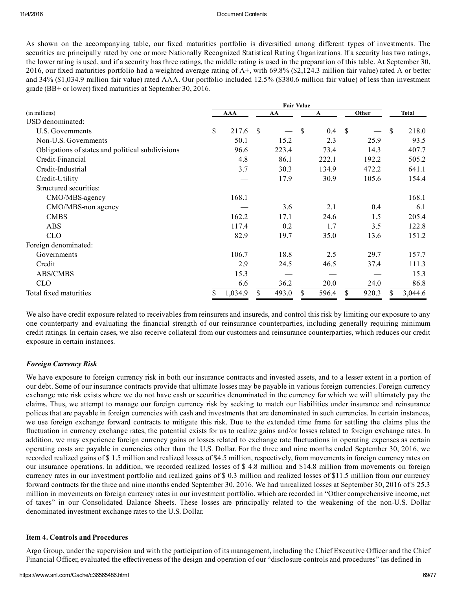As shown on the accompanying table, our fixed maturities portfolio is diversified among different types of investments. The securities are principally rated by one or more Nationally Recognized Statistical Rating Organizations. If a security has two ratings, the lower rating is used, and if a security has three ratings, the middle rating is used in the preparation of this table. At September 30, 2016, our fixed maturities portfolio had a weighted average rating of A+, with 69.8% (\$2,124.3 million fair value) rated A or better and 34% (\$1,034.9 million fair value) rated AAA. Our portfolio included 12.5% (\$380.6 million fair value) of less than investment grade (BB+ or lower) fixed maturities at September 30, 2016.

|                                                  | <b>Fair Value</b> |         |    |       |    |       |               |       |    |              |
|--------------------------------------------------|-------------------|---------|----|-------|----|-------|---------------|-------|----|--------------|
| (in millions)                                    |                   | AAA     |    | AA    |    | A     |               | Other |    | <b>Total</b> |
| USD denominated:                                 |                   |         |    |       |    |       |               |       |    |              |
| U.S. Governments                                 | \$                | 217.6   | \$ |       | \$ | 0.4   | <sup>\$</sup> |       | \$ | 218.0        |
| Non-U.S. Governments                             |                   | 50.1    |    | 15.2  |    | 2.3   |               | 25.9  |    | 93.5         |
| Obligations of states and political subdivisions |                   | 96.6    |    | 223.4 |    | 73.4  |               | 14.3  |    | 407.7        |
| Credit-Financial                                 |                   | 4.8     |    | 86.1  |    | 222.1 |               | 192.2 |    | 505.2        |
| Credit-Industrial                                |                   | 3.7     |    | 30.3  |    | 134.9 |               | 472.2 |    | 641.1        |
| Credit-Utility                                   |                   |         |    | 17.9  |    | 30.9  |               | 105.6 |    | 154.4        |
| Structured securities:                           |                   |         |    |       |    |       |               |       |    |              |
| CMO/MBS-agency                                   |                   | 168.1   |    |       |    |       |               |       |    | 168.1        |
| CMO/MBS-non agency                               |                   |         |    | 3.6   |    | 2.1   |               | 0.4   |    | 6.1          |
| <b>CMBS</b>                                      |                   | 162.2   |    | 17.1  |    | 24.6  |               | 1.5   |    | 205.4        |
| <b>ABS</b>                                       |                   | 117.4   |    | 0.2   |    | 1.7   |               | 3.5   |    | 122.8        |
| <b>CLO</b>                                       |                   | 82.9    |    | 19.7  |    | 35.0  |               | 13.6  |    | 151.2        |
| Foreign denominated:                             |                   |         |    |       |    |       |               |       |    |              |
| Governments                                      |                   | 106.7   |    | 18.8  |    | 2.5   |               | 29.7  |    | 157.7        |
| Credit                                           |                   | 2.9     |    | 24.5  |    | 46.5  |               | 37.4  |    | 111.3        |
| ABS/CMBS                                         |                   | 15.3    |    |       |    |       |               |       |    | 15.3         |
| <b>CLO</b>                                       |                   | 6.6     |    | 36.2  |    | 20.0  |               | 24.0  |    | 86.8         |
| Total fixed maturities                           |                   | 1,034.9 | \$ | 493.0 | \$ | 596.4 | \$            | 920.3 | S. | 3,044.6      |

We also have credit exposure related to receivables from reinsurers and insureds, and control this risk by limiting our exposure to any one counterparty and evaluating the financial strength of our reinsurance counterparties, including generally requiring minimum credit ratings. In certain cases, we also receive collateral from our customers and reinsurance counterparties, which reduces our credit exposure in certain instances.

### *Foreign Currency Risk*

We have exposure to foreign currency risk in both our insurance contracts and invested assets, and to a lesser extent in a portion of our debt. Some of our insurance contracts provide that ultimate losses may be payable in various foreign currencies. Foreign currency exchange rate risk exists where we do not have cash or securities denominated in the currency for which we will ultimately pay the claims. Thus, we attempt to manage our foreign currency risk by seeking to match our liabilities under insurance and reinsurance polices that are payable in foreign currencies with cash and investments that are denominated in such currencies. In certain instances, we use foreign exchange forward contracts to mitigate this risk. Due to the extended time frame for settling the claims plus the fluctuation in currency exchange rates, the potential exists for us to realize gains and/or losses related to foreign exchange rates. In addition, we may experience foreign currency gains or losses related to exchange rate fluctuations in operating expenses as certain operating costs are payable in currencies other than the U.S. Dollar. For the three and nine months ended September 30, 2016, we recorded realized gains of \$ 1.5 million and realized losses of \$4.5 million, respectively, from movements in foreign currency rates on our insurance operations. In addition, we recorded realized losses of \$ 4.8 million and \$14.8 million from movements on foreign currency rates in our investment portfolio and realized gains of \$ 0.3 million and realized losses of \$11.5 million from our currency forward contracts for the three and nine months ended September 30, 2016. We had unrealized losses at September 30, 2016 of \$ 25.3 million in movements on foreign currency rates in our investment portfolio, which are recorded in "Other comprehensive income, net of taxes" in our Consolidated Balance Sheets. These losses are principally related to the weakening of the non-U.S. Dollar denominated investment exchange rates to the U.S. Dollar.

### Item 4. Controls and Procedures

Argo Group, under the supervision and with the participation of its management, including the Chief Executive Officer and the Chief Financial Officer, evaluated the effectiveness of the design and operation of our "disclosure controls and procedures" (as defined in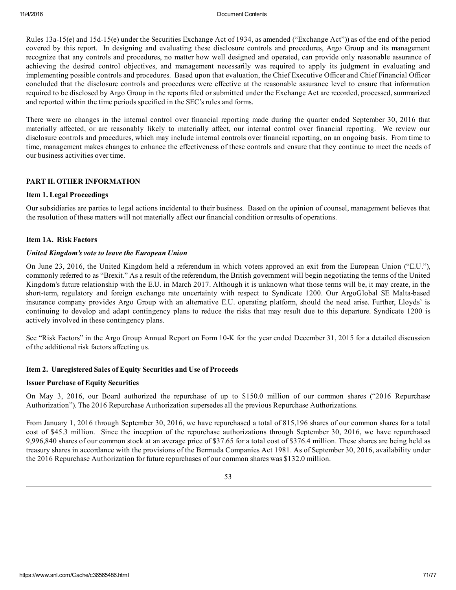Rules  $13a-15(e)$  and  $15d-15(e)$  under the Securities Exchange Act of 1934, as amended ("Exchange Act")) as of the end of the period covered by this report. In designing and evaluating these disclosure controls and procedures, Argo Group and its management recognize that any controls and procedures, no matter how well designed and operated, can provide only reasonable assurance of achieving the desired control objectives, and management necessarily was required to apply its judgment in evaluating and implementing possible controls and procedures. Based upon that evaluation, the Chief Executive Officer and Chief Financial Officer concluded that the disclosure controls and procedures were effective at the reasonable assurance level to ensure that information required to be disclosed by Argo Group in the reports filed or submitted under the Exchange Act are recorded, processed, summarized and reported within the time periods specified in the SEC's rules and forms.

There were no changes in the internal control over financial reporting made during the quarter ended September 30, 2016 that materially affected, or are reasonably likely to materially affect, our internal control over financial reporting. We review our disclosure controls and procedures, which may include internal controls over financial reporting, on an ongoing basis. From time to time, management makes changes to enhance the effectiveness of these controls and ensure that they continue to meet the needs of our business activities over time.

#### PART II. OTHER INFORMATION

#### Item 1. Legal Proceedings

Our subsidiaries are parties to legal actions incidental to their business. Based on the opinion of counsel, management believes that the resolution of these matters will not materially affect our financial condition or results of operations.

#### Item 1A. Risk Factors

#### *United Kingdom's vote to leave the European Union*

On June 23, 2016, the United Kingdom held a referendum in which voters approved an exit from the European Union ("E.U."), commonly referred to as "Brexit." As a result of the referendum, the British government will begin negotiating the terms of the United Kingdom's future relationship with the E.U. in March 2017. Although it is unknown what those terms will be, it may create, in the short-term, regulatory and foreign exchange rate uncertainty with respect to Syndicate 1200. Our ArgoGlobal SE Malta-based insurance company provides Argo Group with an alternative E.U. operating platform, should the need arise. Further, Lloyds' is continuing to develop and adapt contingency plans to reduce the risks that may result due to this departure. Syndicate 1200 is actively involved in these contingency plans.

See "Risk Factors" in the Argo Group Annual Report on Form 10-K for the year ended December 31, 2015 for a detailed discussion of the additional risk factors affecting us.

#### Item 2. Unregistered Sales of Equity Securities and Use of Proceeds

#### Issuer Purchase of Equity Securities

On May 3, 2016, our Board authorized the repurchase of up to \$150.0 million of our common shares ("2016 Repurchase Authorization"). The 2016 Repurchase Authorization supersedes all the previous Repurchase Authorizations.

From January 1, 2016 through September 30, 2016, we have repurchased a total of 815,196 shares of our common shares for a total cost of \$45.3 million. Since the inception of the repurchase authorizations through September 30, 2016, we have repurchased 9,996,840 shares of our common stock at an average price of \$37.65 for a total cost of \$376.4 million. These shares are being held as treasury shares in accordance with the provisions of the Bermuda Companies Act 1981. As of September 30, 2016, availability under the 2016 Repurchase Authorization for future repurchases of our common shares was \$132.0 million.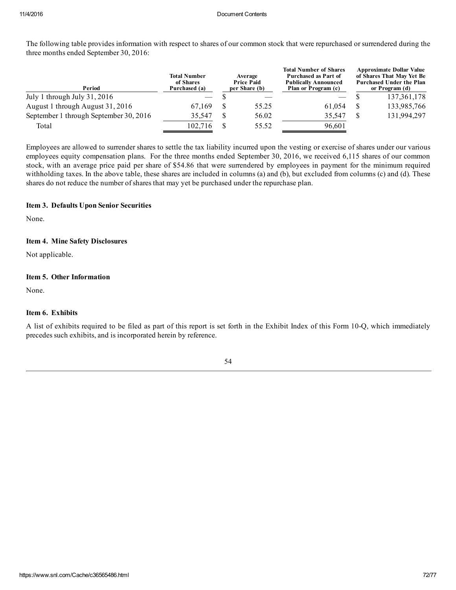The following table provides information with respect to shares of our common stock that were repurchased or surrendered during the three months ended September 30, 2016:

| Period                                 | <b>Total Number</b><br>of Shares<br>Purchased (a) | Average<br><b>Price Paid</b><br>per Share (b) |       | <b>Total Number of Shares</b><br><b>Purchased as Part of</b><br><b>Publically Announced</b><br>Plan or Program (c) | <b>Approximate Dollar Value</b><br>of Shares That May Yet Be<br><b>Purchased Under the Plan</b><br>or Program (d) |               |  |  |
|----------------------------------------|---------------------------------------------------|-----------------------------------------------|-------|--------------------------------------------------------------------------------------------------------------------|-------------------------------------------------------------------------------------------------------------------|---------------|--|--|
| July 1 through July 31, 2016           |                                                   |                                               |       |                                                                                                                    |                                                                                                                   | 137, 361, 178 |  |  |
| August 1 through August 31, 2016       | 67.169                                            |                                               | 55.25 | 61.054                                                                                                             |                                                                                                                   | 133,985,766   |  |  |
| September 1 through September 30, 2016 | 35,547                                            |                                               | 56.02 | 35.547                                                                                                             |                                                                                                                   | 131,994,297   |  |  |
| Total                                  | 102,716                                           |                                               | 55.52 | 96,601                                                                                                             |                                                                                                                   |               |  |  |

Employees are allowed to surrender shares to settle the tax liability incurred upon the vesting or exercise of shares under our various employees equity compensation plans. For the three months ended September 30, 2016, we received 6,115 shares of our common stock, with an average price paid per share of \$54.86 that were surrendered by employees in payment for the minimum required withholding taxes. In the above table, these shares are included in columns (a) and (b), but excluded from columns (c) and (d). These shares do not reduce the number of shares that may yet be purchased under the repurchase plan.

#### Item 3. Defaults Upon Senior Securities

None.

#### Item 4. Mine Safety Disclosures

Not applicable.

#### Item 5. Other Information

None.

#### Item 6. Exhibits

A list of exhibits required to be filed as part of this report is set forth in the Exhibit Index of this Form 10Q, which immediately precedes such exhibits, and is incorporated herein by reference.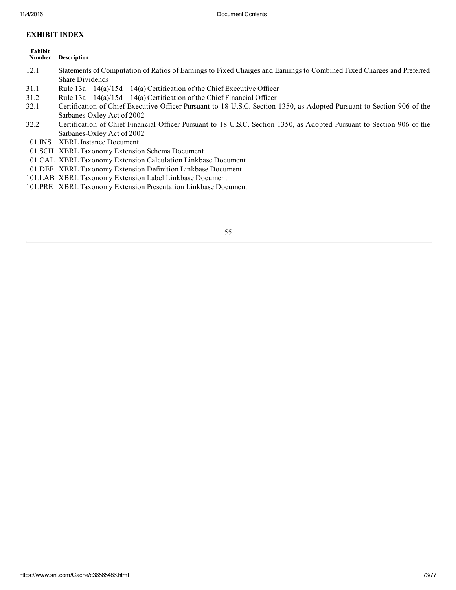# EXHIBIT INDEX

| Exhibit<br>Number | <b>Description</b>                                                                                                     |
|-------------------|------------------------------------------------------------------------------------------------------------------------|
| 12.1              | Statements of Computation of Ratios of Earnings to Fixed Charges and Earnings to Combined Fixed Charges and Preferred  |
|                   | <b>Share Dividends</b>                                                                                                 |
| 31.1              | Rule $13a - 14(a)/15d - 14(a)$ Certification of the Chief Executive Officer                                            |
| 31.2              | Rule $13a - 14(a)/15d - 14(a)$ Certification of the Chief Financial Officer                                            |
| 32.1              | Certification of Chief Executive Officer Pursuant to 18 U.S.C. Section 1350, as Adopted Pursuant to Section 906 of the |
|                   | Sarbanes-Oxley Act of 2002                                                                                             |
| 32.2              | Certification of Chief Financial Officer Pursuant to 18 U.S.C. Section 1350, as Adopted Pursuant to Section 906 of the |
|                   | Sarbanes-Oxley Act of 2002                                                                                             |
| 101.INS           | <b>XBRL</b> Instance Document                                                                                          |
|                   | 101. SCH XBRL Taxonomy Extension Schema Document                                                                       |
|                   | 101.CAL XBRL Taxonomy Extension Calculation Linkbase Document                                                          |
|                   | 101. DEF XBRL Taxonomy Extension Definition Linkbase Document                                                          |
|                   | 101.LAB XBRL Taxonomy Extension Label Linkbase Document                                                                |
|                   | 101.PRE XBRL Taxonomy Extension Presentation Linkbase Document                                                         |

55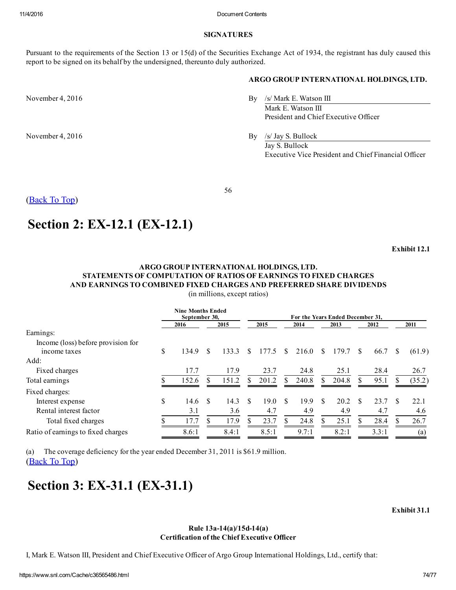### SIGNATURES

Pursuant to the requirements of the Section 13 or 15(d) of the Securities Exchange Act of 1934, the registrant has duly caused this report to be signed on its behalf by the undersigned, thereunto duly authorized.

### ARGO GROUP INTERNATIONAL HOLDINGS, LTD.

November 4, 2016 By /s/ Mark E. Watson III Mark E. Watson III President and Chief Executive Officer

November 4, 2016 By /s/ Jay S. Bullock Jay S. Bullock Executive Vice President and Chief Financial Officer

56

(Back To Top)

# Section 2: EX-12.1 (EX-12.1)

Exhibit 12.1

### ARGO GROUP INTERNATIONAL HOLDINGS, LTD. STATEMENTS OF COMPUTATION OF RATIOS OF EARNINGS TO FIXED CHARGES AND EARNINGS TO COMBINED FIXED CHARGES AND PREFERRED SHARE DIVIDENDS (in millions, except ratios)

Nine Months Ended<br>September 30, For the Years Ended December 31 2016 2015 2015 2014 2013 2012 2011 Earnings: Income (loss) before provision for income taxes \$ 134.9 \$ 133.3 \$ 177.5 \$ 216.0 \$ 179.7 \$ 66.7 \$ (61.9) Add: Fixed charges **17.7** 17.9 23.7 24.8 25.1 28.4 26.7 Total earnings \$ 152.6 \$ 151.2 \$ 201.2 \$ 240.8 \$ 204.8 \$ 95.1 \$ (35.2) Fixed charges: Interest expense \$ 14.6 \$ 14.3 \$ 19.0 \$ 19.9 \$ 20.2 \$ 23.7 \$ 22.1 Rental interest factor **3.1** 3.6 4.7 4.9 4.9 4.7 4.6 Total fixed charges \$ 17.7 \$ 17.9 \$ 23.7 \$ 24.8 \$ 25.1 \$ 28.4 \$ 26.7 Ratio of earnings to fixed charges 8.6:1 8.4:1 8.5:1 9.7:1 8.2:1 3.3:1 (a)

(a) The coverage deficiency for the year ended December 31, 2011 is \$61.9 million. (Back To Top)

# Section 3: EX-31.1 (EX-31.1)

Exhibit 31.1

## Rule  $13a-14(a)/15d-14(a)$ Certification of the Chief Executive Officer

I, Mark E. Watson III, President and Chief Executive Officer of Argo Group International Holdings, Ltd., certify that: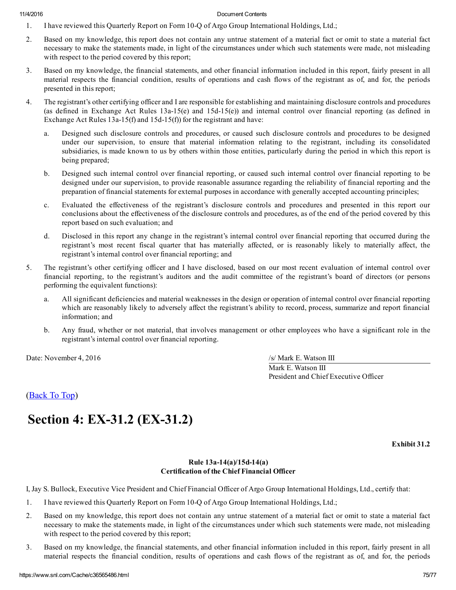### 11/4/2016 Document Contents

- 1. I have reviewed this Quarterly Report on Form 10Q of Argo Group International Holdings, Ltd.;
- 2. Based on my knowledge, this report does not contain any untrue statement of a material fact or omit to state a material fact necessary to make the statements made, in light of the circumstances under which such statements were made, not misleading with respect to the period covered by this report;
- 3. Based on my knowledge, the financial statements, and other financial information included in this report, fairly present in all material respects the financial condition, results of operations and cash flows of the registrant as of, and for, the periods presented in this report;
- 4. The registrant's other certifying officer and I are responsible for establishing and maintaining disclosure controls and procedures (as defined in Exchange Act Rules 13a15(e) and 15d15(e)) and internal control over financial reporting (as defined in Exchange Act Rules  $13a-15(f)$  and  $15d-15(f)$  for the registrant and have:
	- a. Designed such disclosure controls and procedures, or caused such disclosure controls and procedures to be designed under our supervision, to ensure that material information relating to the registrant, including its consolidated subsidiaries, is made known to us by others within those entities, particularly during the period in which this report is being prepared;
	- b. Designed such internal control over financial reporting, or caused such internal control over financial reporting to be designed under our supervision, to provide reasonable assurance regarding the reliability of financial reporting and the preparation of financial statements for external purposes in accordance with generally accepted accounting principles;
	- c. Evaluated the effectiveness of the registrant's disclosure controls and procedures and presented in this report our conclusions about the effectiveness of the disclosure controls and procedures, as of the end of the period covered by this report based on such evaluation; and
	- d. Disclosed in this report any change in the registrant's internal control over financial reporting that occurred during the registrant's most recent fiscal quarter that has materially affected, or is reasonably likely to materially affect, the registrant's internal control over financial reporting; and
- 5. The registrant's other certifying officer and I have disclosed, based on our most recent evaluation of internal control over financial reporting, to the registrant's auditors and the audit committee of the registrant's board of directors (or persons performing the equivalent functions):
	- a. All significant deficiencies and material weaknesses in the design or operation of internal control over financial reporting which are reasonably likely to adversely affect the registrant's ability to record, process, summarize and report financial information; and
	- b. Any fraud, whether or not material, that involves management or other employees who have a significant role in the registrant's internal control over financial reporting.

Date: November 4, 2016 */s/ Mark E. Watson III* 

Mark E. Watson III President and Chief Executive Officer

(Back To Top)

# Section 4: EX-31.2 (EX-31.2)

Exhibit 31.2

### Rule  $13a-14(a)/15d-14(a)$ Certification of the Chief Financial Officer

I, Jay S. Bullock, Executive Vice President and Chief Financial Officer of Argo Group International Holdings, Ltd., certify that:

- 1. I have reviewed this Quarterly Report on Form 10Q of Argo Group International Holdings, Ltd.;
- 2. Based on my knowledge, this report does not contain any untrue statement of a material fact or omit to state a material fact necessary to make the statements made, in light of the circumstances under which such statements were made, not misleading with respect to the period covered by this report;
- 3. Based on my knowledge, the financial statements, and other financial information included in this report, fairly present in all material respects the financial condition, results of operations and cash flows of the registrant as of, and for, the periods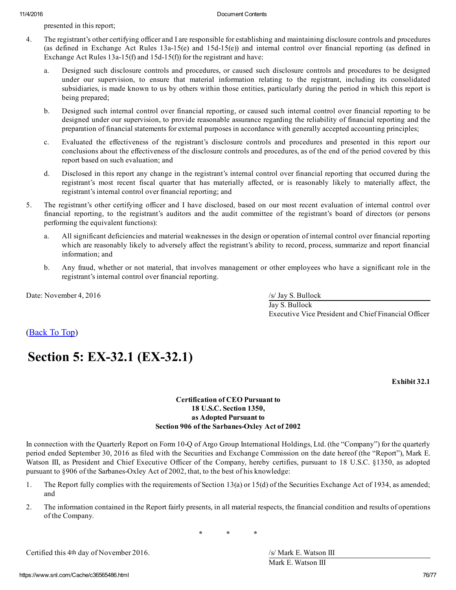presented in this report;

- 4. The registrant's other certifying officer and I are responsible for establishing and maintaining disclosure controls and procedures (as defined in Exchange Act Rules 13a15(e) and 15d15(e)) and internal control over financial reporting (as defined in Exchange Act Rules  $13a-15(f)$  and  $15d-15(f)$ ) for the registrant and have:
	- a. Designed such disclosure controls and procedures, or caused such disclosure controls and procedures to be designed under our supervision, to ensure that material information relating to the registrant, including its consolidated subsidiaries, is made known to us by others within those entities, particularly during the period in which this report is being prepared;
	- b. Designed such internal control over financial reporting, or caused such internal control over financial reporting to be designed under our supervision, to provide reasonable assurance regarding the reliability of financial reporting and the preparation of financial statements for external purposes in accordance with generally accepted accounting principles;
	- c. Evaluated the effectiveness of the registrant's disclosure controls and procedures and presented in this report our conclusions about the effectiveness of the disclosure controls and procedures, as of the end of the period covered by this report based on such evaluation; and
	- d. Disclosed in this report any change in the registrant's internal control over financial reporting that occurred during the registrant's most recent fiscal quarter that has materially affected, or is reasonably likely to materially affect, the registrant's internal control over financial reporting; and
- 5. The registrant's other certifying officer and I have disclosed, based on our most recent evaluation of internal control over financial reporting, to the registrant's auditors and the audit committee of the registrant's board of directors (or persons performing the equivalent functions):
	- a. All significant deficiencies and material weaknesses in the design or operation of internal control over financial reporting which are reasonably likely to adversely affect the registrant's ability to record, process, summarize and report financial information; and
	- b. Any fraud, whether or not material, that involves management or other employees who have a significant role in the registrant's internal control over financial reporting.

Date: November 4, 2016 /s/ Jay S. Bullock

Jay S. Bullock Executive Vice President and Chief Financial Officer

(Back To Top)

# Section 5: EX-32.1 (EX-32.1)

Exhibit 32.1

# Certification of CEO Pursuant to 18 U.S.C. Section 1350, as Adopted Pursuant to Section 906 of the Sarbanes-Oxley Act of 2002

In connection with the Quarterly Report on Form 10Q of Argo Group International Holdings, Ltd. (the "Company") for the quarterly period ended September 30, 2016 as filed with the Securities and Exchange Commission on the date hereof (the "Report"), Mark E. Watson III, as President and Chief Executive Officer of the Company, hereby certifies, pursuant to 18 U.S.C. §1350, as adopted pursuant to §906 of the Sarbanes-Oxley Act of 2002, that, to the best of his knowledge:

- 1. The Report fully complies with the requirements of Section 13(a) or 15(d) of the Securities Exchange Act of 1934, as amended; and
- 2. The information contained in the Report fairly presents, in all material respects, the financial condition and results of operations of the Company.

\* \* \*

Certified this 4th day of November 2016. /s/ Mark E. Watson III

Mark E. Watson III